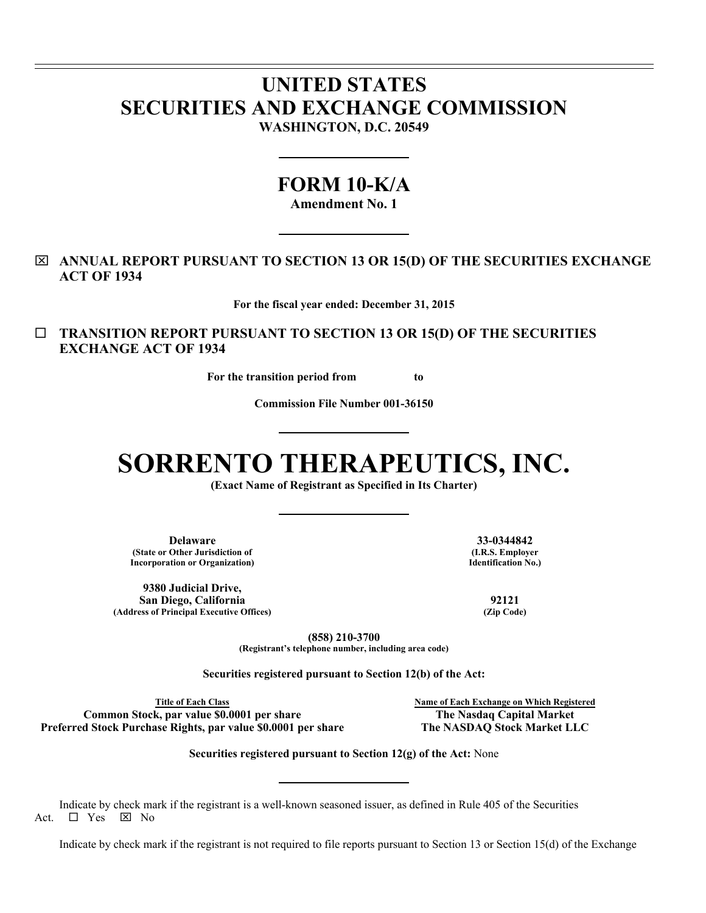# **UNITED STATES SECURITIES AND EXCHANGE COMMISSION WASHINGTON, D.C. 20549**

# **FORM 10-K/A**

**Amendment No. 1** 

# ⌧ **ANNUAL REPORT PURSUANT TO SECTION 13 OR 15(D) OF THE SECURITIES EXCHANGE ACT OF 1934**

**For the fiscal year ended: December 31, 2015** 

 **TRANSITION REPORT PURSUANT TO SECTION 13 OR 15(D) OF THE SECURITIES EXCHANGE ACT OF 1934** 

**For the transition period from to** 

**Commission File Number 001-36150** 

# **SORRENTO THERAPEUTICS, INC.**

**(Exact Name of Registrant as Specified in Its Charter)** 

**Delaware 33-0344842 (State or Other Jurisdiction of Incorporation or Organization)**

l l

> **9380 Judicial Drive, San Diego, California 92121 (Address of Principal Executive Offices)**

**(I.R.S. Employer Identification No.)**

**(858) 210-3700 (Registrant's telephone number, including area code)** 

**Securities registered pursuant to Section 12(b) of the Act:** 

**Title of Each Class Name of Each Exchange on Which Registered Common Stock, par value \$0.0001 per share The Nasdaq Capital Market Preferred Stock Purchase Rights, par value \$0.0001 per share The NASDAQ Stock Market LLC**

**Securities registered pursuant to Section 12(g) of the Act:** None

Indicate by check mark if the registrant is a well-known seasoned issuer, as defined in Rule 405 of the Securities Act.  $\square$  Yes  $\square$  No

Indicate by check mark if the registrant is not required to file reports pursuant to Section 13 or Section 15(d) of the Exchange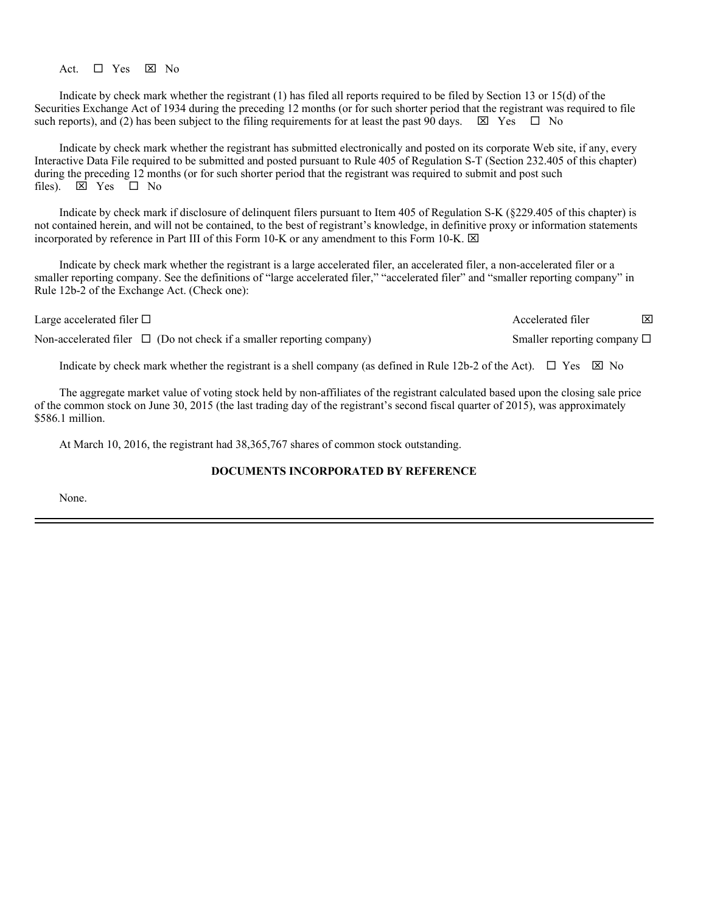Act.  $\square$  Yes  $\square$  No

Indicate by check mark whether the registrant (1) has filed all reports required to be filed by Section 13 or 15(d) of the Securities Exchange Act of 1934 during the preceding 12 months (or for such shorter period that the registrant was required to file such reports), and (2) has been subject to the filing requirements for at least the past 90 days.  $\boxtimes$  Yes  $\Box$  No

Indicate by check mark whether the registrant has submitted electronically and posted on its corporate Web site, if any, every Interactive Data File required to be submitted and posted pursuant to Rule 405 of Regulation S-T (Section 232.405 of this chapter) during the preceding 12 months (or for such shorter period that the registrant was required to submit and post such files).  $\boxtimes$  Yes  $\Box$  No

Indicate by check mark if disclosure of delinquent filers pursuant to Item 405 of Regulation S-K (§229.405 of this chapter) is not contained herein, and will not be contained, to the best of registrant's knowledge, in definitive proxy or information statements incorporated by reference in Part III of this Form 10-K or any amendment to this Form 10-K.  $\boxtimes$ 

Indicate by check mark whether the registrant is a large accelerated filer, an accelerated filer, a non-accelerated filer or a smaller reporting company. See the definitions of "large accelerated filer," "accelerated filer" and "smaller reporting company" in Rule 12b-2 of the Exchange Act. (Check one):

| Large accelerated filer $\Box$ |                                                                            | Accelerated filer                | ⊠ |
|--------------------------------|----------------------------------------------------------------------------|----------------------------------|---|
|                                | Non-accelerated filer $\Box$ (Do not check if a smaller reporting company) | Smaller reporting company $\Box$ |   |

Indicate by check mark whether the registrant is a shell company (as defined in Rule 12b-2 of the Act).  $\Box$  Yes  $\boxtimes$  No

The aggregate market value of voting stock held by non-affiliates of the registrant calculated based upon the closing sale price of the common stock on June 30, 2015 (the last trading day of the registrant's second fiscal quarter of 2015), was approximately \$586.1 million.

At March 10, 2016, the registrant had 38,365,767 shares of common stock outstanding.

# **DOCUMENTS INCORPORATED BY REFERENCE**

None.

 $\overline{a}$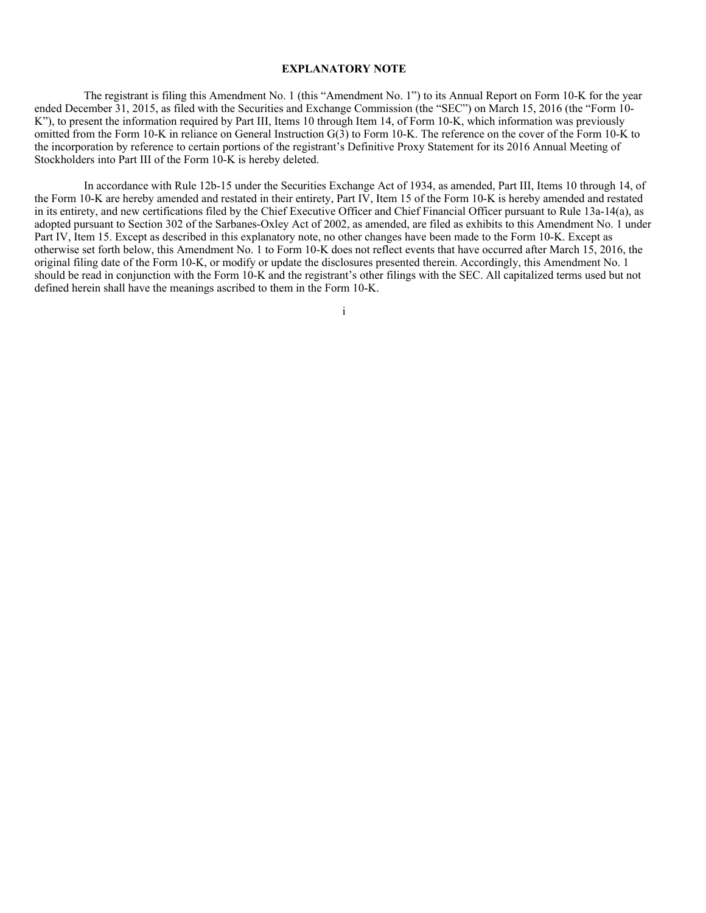# **EXPLANATORY NOTE**

The registrant is filing this Amendment No. 1 (this "Amendment No. 1") to its Annual Report on Form 10-K for the year ended December 31, 2015, as filed with the Securities and Exchange Commission (the "SEC") on March 15, 2016 (the "Form 10- K"), to present the information required by Part III, Items 10 through Item 14, of Form 10-K, which information was previously omitted from the Form 10-K in reliance on General Instruction G(3) to Form 10-K. The reference on the cover of the Form 10-K to the incorporation by reference to certain portions of the registrant's Definitive Proxy Statement for its 2016 Annual Meeting of Stockholders into Part III of the Form 10-K is hereby deleted.

In accordance with Rule 12b-15 under the Securities Exchange Act of 1934, as amended, Part III, Items 10 through 14, of the Form 10-K are hereby amended and restated in their entirety, Part IV, Item 15 of the Form 10-K is hereby amended and restated in its entirety, and new certifications filed by the Chief Executive Officer and Chief Financial Officer pursuant to Rule 13a-14(a), as adopted pursuant to Section 302 of the Sarbanes-Oxley Act of 2002, as amended, are filed as exhibits to this Amendment No. 1 under Part IV, Item 15. Except as described in this explanatory note, no other changes have been made to the Form 10-K. Except as otherwise set forth below, this Amendment No. 1 to Form 10-K does not reflect events that have occurred after March 15, 2016, the original filing date of the Form 10-K, or modify or update the disclosures presented therein. Accordingly, this Amendment No. 1 should be read in conjunction with the Form 10-K and the registrant's other filings with the SEC. All capitalized terms used but not defined herein shall have the meanings ascribed to them in the Form 10-K.

i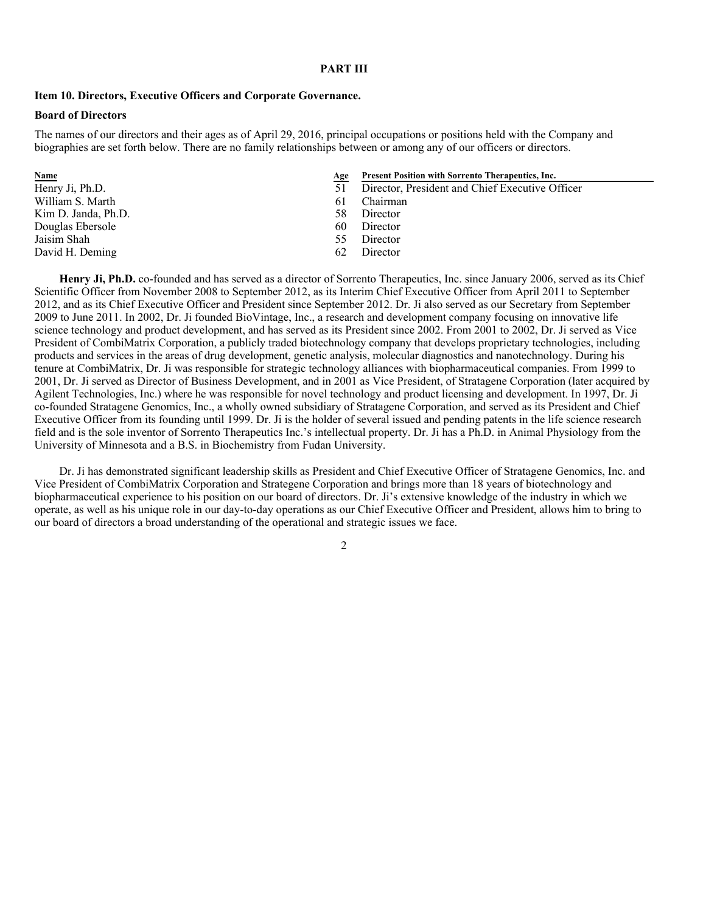#### **PART III**

# **Item 10. Directors, Executive Officers and Corporate Governance.**

#### **Board of Directors**

The names of our directors and their ages as of April 29, 2016, principal occupations or positions held with the Company and biographies are set forth below. There are no family relationships between or among any of our officers or directors.

| <b>Name</b><br>Age     | <b>Present Position with Sorrento Therapeutics, Inc.</b> |
|------------------------|----------------------------------------------------------|
| Henry Ji, Ph.D.        | Director, President and Chief Executive Officer          |
| William S. Marth<br>61 | Chairman                                                 |
| Kim D. Janda, Ph.D.    | Director                                                 |
| Douglas Ebersole<br>60 | Director                                                 |
| Jaisim Shah            | Director                                                 |
| David H. Deming<br>62  | Director                                                 |

**Henry Ji, Ph.D.** co-founded and has served as a director of Sorrento Therapeutics, Inc. since January 2006, served as its Chief Scientific Officer from November 2008 to September 2012, as its Interim Chief Executive Officer from April 2011 to September 2012, and as its Chief Executive Officer and President since September 2012. Dr. Ji also served as our Secretary from September 2009 to June 2011. In 2002, Dr. Ji founded BioVintage, Inc., a research and development company focusing on innovative life science technology and product development, and has served as its President since 2002. From 2001 to 2002, Dr. Ji served as Vice President of CombiMatrix Corporation, a publicly traded biotechnology company that develops proprietary technologies, including products and services in the areas of drug development, genetic analysis, molecular diagnostics and nanotechnology. During his tenure at CombiMatrix, Dr. Ji was responsible for strategic technology alliances with biopharmaceutical companies. From 1999 to 2001, Dr. Ji served as Director of Business Development, and in 2001 as Vice President, of Stratagene Corporation (later acquired by Agilent Technologies, Inc.) where he was responsible for novel technology and product licensing and development. In 1997, Dr. Ji co-founded Stratagene Genomics, Inc., a wholly owned subsidiary of Stratagene Corporation, and served as its President and Chief Executive Officer from its founding until 1999. Dr. Ji is the holder of several issued and pending patents in the life science research field and is the sole inventor of Sorrento Therapeutics Inc.'s intellectual property. Dr. Ji has a Ph.D. in Animal Physiology from the University of Minnesota and a B.S. in Biochemistry from Fudan University.

Dr. Ji has demonstrated significant leadership skills as President and Chief Executive Officer of Stratagene Genomics, Inc. and Vice President of CombiMatrix Corporation and Strategene Corporation and brings more than 18 years of biotechnology and biopharmaceutical experience to his position on our board of directors. Dr. Ji's extensive knowledge of the industry in which we operate, as well as his unique role in our day-to-day operations as our Chief Executive Officer and President, allows him to bring to our board of directors a broad understanding of the operational and strategic issues we face.

 $\mathfrak{D}$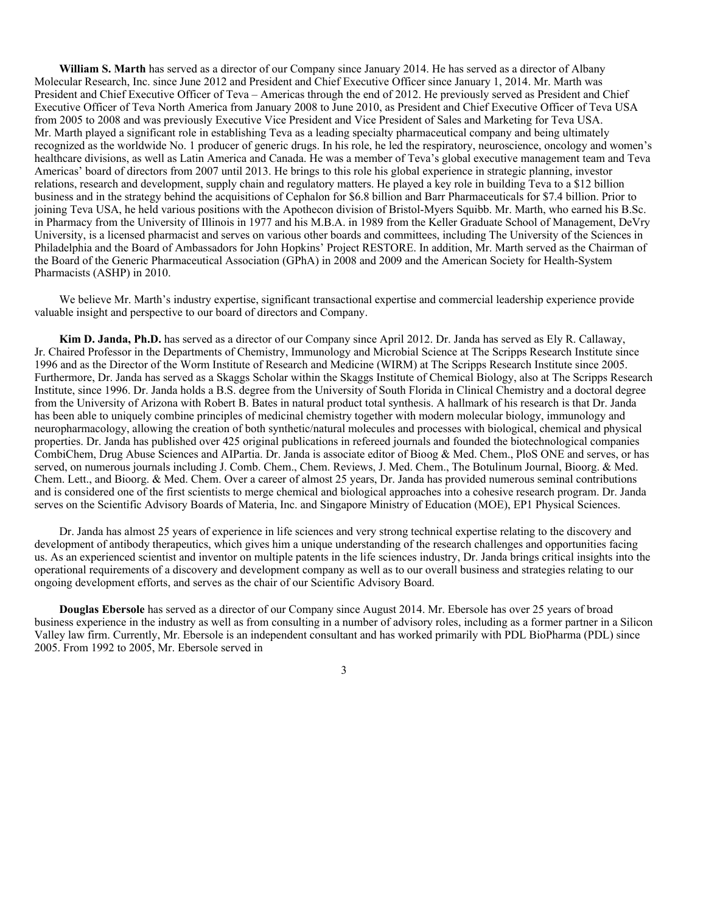**William S. Marth** has served as a director of our Company since January 2014. He has served as a director of Albany Molecular Research, Inc. since June 2012 and President and Chief Executive Officer since January 1, 2014. Mr. Marth was President and Chief Executive Officer of Teva – Americas through the end of 2012. He previously served as President and Chief Executive Officer of Teva North America from January 2008 to June 2010, as President and Chief Executive Officer of Teva USA from 2005 to 2008 and was previously Executive Vice President and Vice President of Sales and Marketing for Teva USA. Mr. Marth played a significant role in establishing Teva as a leading specialty pharmaceutical company and being ultimately recognized as the worldwide No. 1 producer of generic drugs. In his role, he led the respiratory, neuroscience, oncology and women's healthcare divisions, as well as Latin America and Canada. He was a member of Teva's global executive management team and Teva Americas' board of directors from 2007 until 2013. He brings to this role his global experience in strategic planning, investor relations, research and development, supply chain and regulatory matters. He played a key role in building Teva to a \$12 billion business and in the strategy behind the acquisitions of Cephalon for \$6.8 billion and Barr Pharmaceuticals for \$7.4 billion. Prior to joining Teva USA, he held various positions with the Apothecon division of Bristol-Myers Squibb. Mr. Marth, who earned his B.Sc. in Pharmacy from the University of Illinois in 1977 and his M.B.A. in 1989 from the Keller Graduate School of Management, DeVry University, is a licensed pharmacist and serves on various other boards and committees, including The University of the Sciences in Philadelphia and the Board of Ambassadors for John Hopkins' Project RESTORE. In addition, Mr. Marth served as the Chairman of the Board of the Generic Pharmaceutical Association (GPhA) in 2008 and 2009 and the American Society for Health-System Pharmacists (ASHP) in 2010.

We believe Mr. Marth's industry expertise, significant transactional expertise and commercial leadership experience provide valuable insight and perspective to our board of directors and Company.

**Kim D. Janda, Ph.D.** has served as a director of our Company since April 2012. Dr. Janda has served as Ely R. Callaway, Jr. Chaired Professor in the Departments of Chemistry, Immunology and Microbial Science at The Scripps Research Institute since 1996 and as the Director of the Worm Institute of Research and Medicine (WIRM) at The Scripps Research Institute since 2005. Furthermore, Dr. Janda has served as a Skaggs Scholar within the Skaggs Institute of Chemical Biology, also at The Scripps Research Institute, since 1996. Dr. Janda holds a B.S. degree from the University of South Florida in Clinical Chemistry and a doctoral degree from the University of Arizona with Robert B. Bates in natural product total synthesis. A hallmark of his research is that Dr. Janda has been able to uniquely combine principles of medicinal chemistry together with modern molecular biology, immunology and neuropharmacology, allowing the creation of both synthetic/natural molecules and processes with biological, chemical and physical properties. Dr. Janda has published over 425 original publications in refereed journals and founded the biotechnological companies CombiChem, Drug Abuse Sciences and AIPartia. Dr. Janda is associate editor of Bioog & Med. Chem., PloS ONE and serves, or has served, on numerous journals including J. Comb. Chem., Chem. Reviews, J. Med. Chem., The Botulinum Journal, Bioorg. & Med. Chem. Lett., and Bioorg. & Med. Chem. Over a career of almost 25 years, Dr. Janda has provided numerous seminal contributions and is considered one of the first scientists to merge chemical and biological approaches into a cohesive research program. Dr. Janda serves on the Scientific Advisory Boards of Materia, Inc. and Singapore Ministry of Education (MOE), EP1 Physical Sciences.

Dr. Janda has almost 25 years of experience in life sciences and very strong technical expertise relating to the discovery and development of antibody therapeutics, which gives him a unique understanding of the research challenges and opportunities facing us. As an experienced scientist and inventor on multiple patents in the life sciences industry, Dr. Janda brings critical insights into the operational requirements of a discovery and development company as well as to our overall business and strategies relating to our ongoing development efforts, and serves as the chair of our Scientific Advisory Board.

**Douglas Ebersole** has served as a director of our Company since August 2014. Mr. Ebersole has over 25 years of broad business experience in the industry as well as from consulting in a number of advisory roles, including as a former partner in a Silicon Valley law firm. Currently, Mr. Ebersole is an independent consultant and has worked primarily with PDL BioPharma (PDL) since 2005. From 1992 to 2005, Mr. Ebersole served in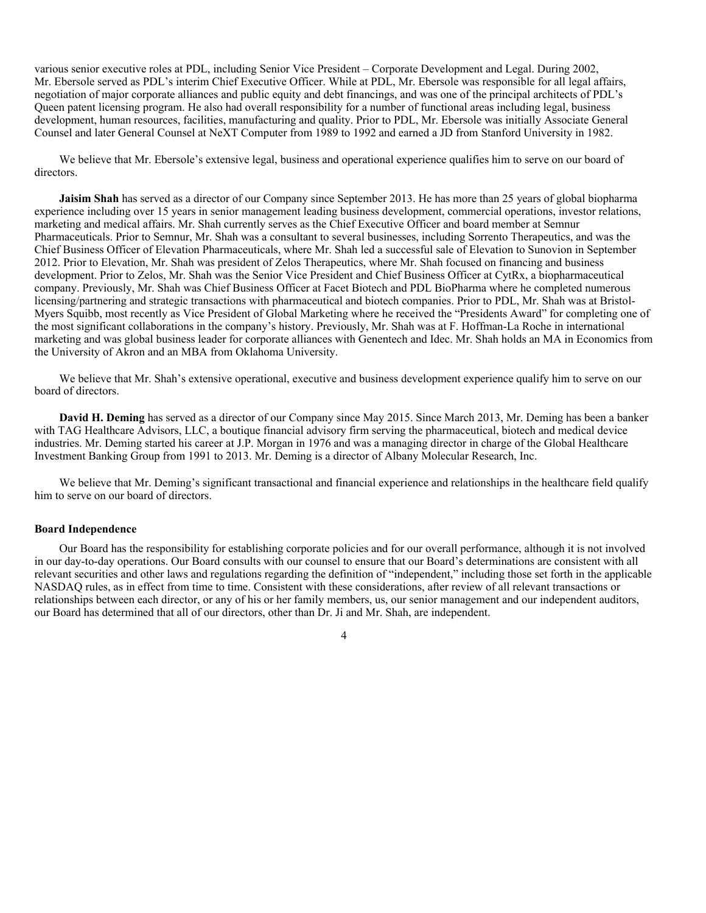various senior executive roles at PDL, including Senior Vice President – Corporate Development and Legal. During 2002, Mr. Ebersole served as PDL's interim Chief Executive Officer. While at PDL, Mr. Ebersole was responsible for all legal affairs, negotiation of major corporate alliances and public equity and debt financings, and was one of the principal architects of PDL's Queen patent licensing program. He also had overall responsibility for a number of functional areas including legal, business development, human resources, facilities, manufacturing and quality. Prior to PDL, Mr. Ebersole was initially Associate General Counsel and later General Counsel at NeXT Computer from 1989 to 1992 and earned a JD from Stanford University in 1982.

We believe that Mr. Ebersole's extensive legal, business and operational experience qualifies him to serve on our board of directors.

**Jaisim Shah** has served as a director of our Company since September 2013. He has more than 25 years of global biopharma experience including over 15 years in senior management leading business development, commercial operations, investor relations, marketing and medical affairs. Mr. Shah currently serves as the Chief Executive Officer and board member at Semnur Pharmaceuticals. Prior to Semnur, Mr. Shah was a consultant to several businesses, including Sorrento Therapeutics, and was the Chief Business Officer of Elevation Pharmaceuticals, where Mr. Shah led a successful sale of Elevation to Sunovion in September 2012. Prior to Elevation, Mr. Shah was president of Zelos Therapeutics, where Mr. Shah focused on financing and business development. Prior to Zelos, Mr. Shah was the Senior Vice President and Chief Business Officer at CytRx, a biopharmaceutical company. Previously, Mr. Shah was Chief Business Officer at Facet Biotech and PDL BioPharma where he completed numerous licensing/partnering and strategic transactions with pharmaceutical and biotech companies. Prior to PDL, Mr. Shah was at Bristol-Myers Squibb, most recently as Vice President of Global Marketing where he received the "Presidents Award" for completing one of the most significant collaborations in the company's history. Previously, Mr. Shah was at F. Hoffman-La Roche in international marketing and was global business leader for corporate alliances with Genentech and Idec. Mr. Shah holds an MA in Economics from the University of Akron and an MBA from Oklahoma University.

We believe that Mr. Shah's extensive operational, executive and business development experience qualify him to serve on our board of directors.

**David H. Deming** has served as a director of our Company since May 2015. Since March 2013, Mr. Deming has been a banker with TAG Healthcare Advisors, LLC, a boutique financial advisory firm serving the pharmaceutical, biotech and medical device industries. Mr. Deming started his career at J.P. Morgan in 1976 and was a managing director in charge of the Global Healthcare Investment Banking Group from 1991 to 2013. Mr. Deming is a director of Albany Molecular Research, Inc.

We believe that Mr. Deming's significant transactional and financial experience and relationships in the healthcare field qualify him to serve on our board of directors.

#### **Board Independence**

Our Board has the responsibility for establishing corporate policies and for our overall performance, although it is not involved in our day-to-day operations. Our Board consults with our counsel to ensure that our Board's determinations are consistent with all relevant securities and other laws and regulations regarding the definition of "independent," including those set forth in the applicable NASDAQ rules, as in effect from time to time. Consistent with these considerations, after review of all relevant transactions or relationships between each director, or any of his or her family members, us, our senior management and our independent auditors, our Board has determined that all of our directors, other than Dr. Ji and Mr. Shah, are independent.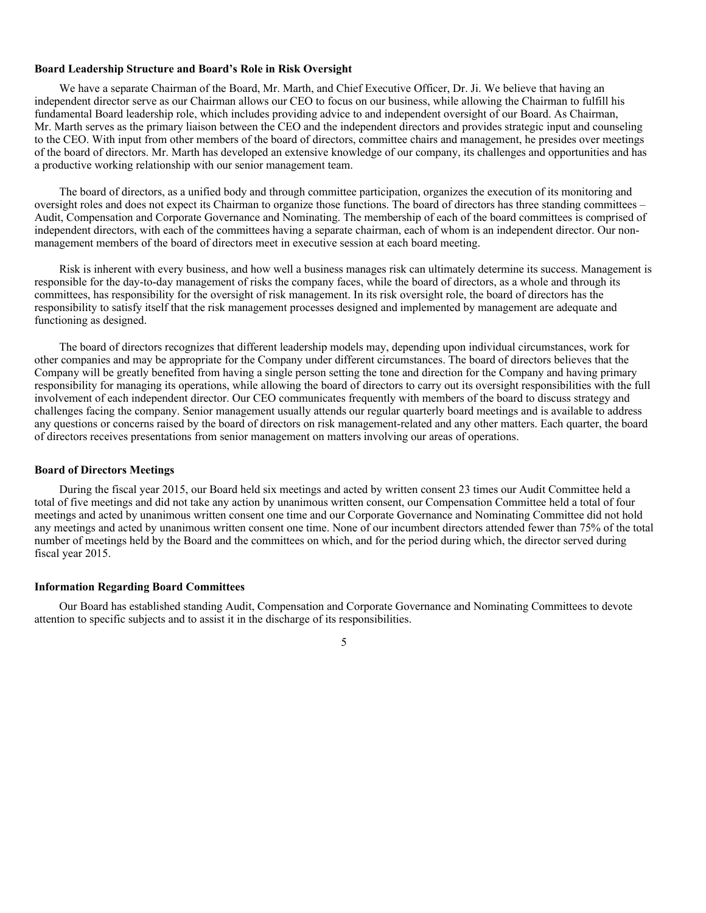# **Board Leadership Structure and Board's Role in Risk Oversight**

We have a separate Chairman of the Board, Mr. Marth, and Chief Executive Officer, Dr. Ji. We believe that having an independent director serve as our Chairman allows our CEO to focus on our business, while allowing the Chairman to fulfill his fundamental Board leadership role, which includes providing advice to and independent oversight of our Board. As Chairman, Mr. Marth serves as the primary liaison between the CEO and the independent directors and provides strategic input and counseling to the CEO. With input from other members of the board of directors, committee chairs and management, he presides over meetings of the board of directors. Mr. Marth has developed an extensive knowledge of our company, its challenges and opportunities and has a productive working relationship with our senior management team.

The board of directors, as a unified body and through committee participation, organizes the execution of its monitoring and oversight roles and does not expect its Chairman to organize those functions. The board of directors has three standing committees – Audit, Compensation and Corporate Governance and Nominating. The membership of each of the board committees is comprised of independent directors, with each of the committees having a separate chairman, each of whom is an independent director. Our nonmanagement members of the board of directors meet in executive session at each board meeting.

Risk is inherent with every business, and how well a business manages risk can ultimately determine its success. Management is responsible for the day-to-day management of risks the company faces, while the board of directors, as a whole and through its committees, has responsibility for the oversight of risk management. In its risk oversight role, the board of directors has the responsibility to satisfy itself that the risk management processes designed and implemented by management are adequate and functioning as designed.

The board of directors recognizes that different leadership models may, depending upon individual circumstances, work for other companies and may be appropriate for the Company under different circumstances. The board of directors believes that the Company will be greatly benefited from having a single person setting the tone and direction for the Company and having primary responsibility for managing its operations, while allowing the board of directors to carry out its oversight responsibilities with the full involvement of each independent director. Our CEO communicates frequently with members of the board to discuss strategy and challenges facing the company. Senior management usually attends our regular quarterly board meetings and is available to address any questions or concerns raised by the board of directors on risk management-related and any other matters. Each quarter, the board of directors receives presentations from senior management on matters involving our areas of operations.

# **Board of Directors Meetings**

During the fiscal year 2015, our Board held six meetings and acted by written consent 23 times our Audit Committee held a total of five meetings and did not take any action by unanimous written consent, our Compensation Committee held a total of four meetings and acted by unanimous written consent one time and our Corporate Governance and Nominating Committee did not hold any meetings and acted by unanimous written consent one time. None of our incumbent directors attended fewer than 75% of the total number of meetings held by the Board and the committees on which, and for the period during which, the director served during fiscal year 2015.

#### **Information Regarding Board Committees**

Our Board has established standing Audit, Compensation and Corporate Governance and Nominating Committees to devote attention to specific subjects and to assist it in the discharge of its responsibilities.

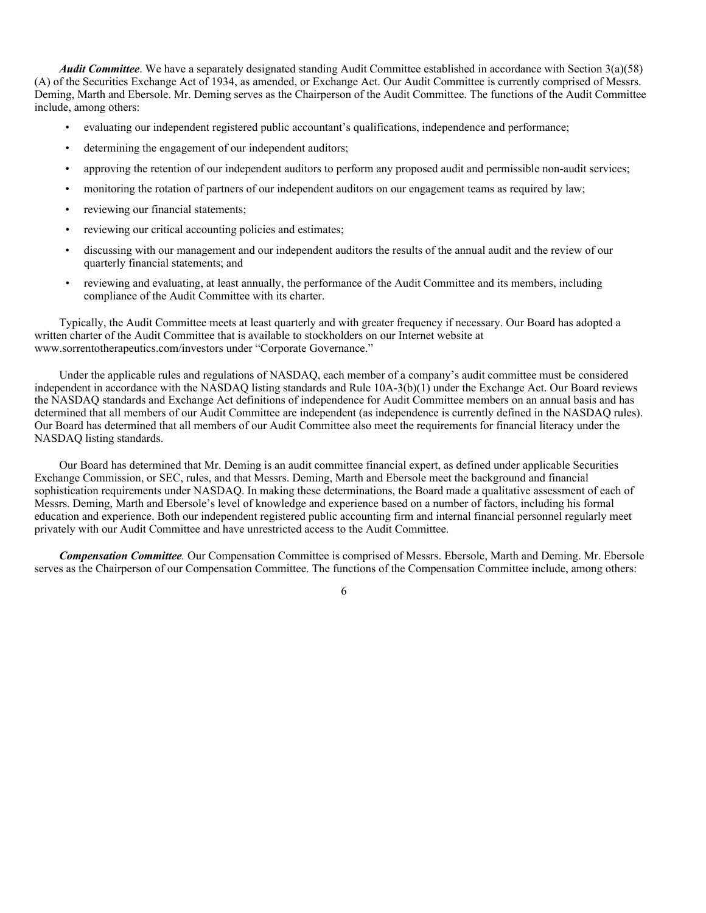*Audit Committee*. We have a separately designated standing Audit Committee established in accordance with Section 3(a)(58) (A) of the Securities Exchange Act of 1934, as amended, or Exchange Act. Our Audit Committee is currently comprised of Messrs. Deming, Marth and Ebersole. Mr. Deming serves as the Chairperson of the Audit Committee. The functions of the Audit Committee include, among others:

- evaluating our independent registered public accountant's qualifications, independence and performance;
- determining the engagement of our independent auditors;
- approving the retention of our independent auditors to perform any proposed audit and permissible non-audit services;
- monitoring the rotation of partners of our independent auditors on our engagement teams as required by law;
- reviewing our financial statements;
- reviewing our critical accounting policies and estimates;
- discussing with our management and our independent auditors the results of the annual audit and the review of our quarterly financial statements; and
- reviewing and evaluating, at least annually, the performance of the Audit Committee and its members, including compliance of the Audit Committee with its charter.

Typically, the Audit Committee meets at least quarterly and with greater frequency if necessary. Our Board has adopted a written charter of the Audit Committee that is available to stockholders on our Internet website at www.sorrentotherapeutics.com/investors under "Corporate Governance."

Under the applicable rules and regulations of NASDAQ, each member of a company's audit committee must be considered independent in accordance with the NASDAQ listing standards and Rule 10A-3(b)(1) under the Exchange Act. Our Board reviews the NASDAQ standards and Exchange Act definitions of independence for Audit Committee members on an annual basis and has determined that all members of our Audit Committee are independent (as independence is currently defined in the NASDAQ rules). Our Board has determined that all members of our Audit Committee also meet the requirements for financial literacy under the NASDAQ listing standards.

Our Board has determined that Mr. Deming is an audit committee financial expert, as defined under applicable Securities Exchange Commission, or SEC, rules, and that Messrs. Deming, Marth and Ebersole meet the background and financial sophistication requirements under NASDAQ. In making these determinations, the Board made a qualitative assessment of each of Messrs. Deming, Marth and Ebersole's level of knowledge and experience based on a number of factors, including his formal education and experience. Both our independent registered public accounting firm and internal financial personnel regularly meet privately with our Audit Committee and have unrestricted access to the Audit Committee.

*Compensation Committee.* Our Compensation Committee is comprised of Messrs. Ebersole, Marth and Deming. Mr. Ebersole serves as the Chairperson of our Compensation Committee. The functions of the Compensation Committee include, among others: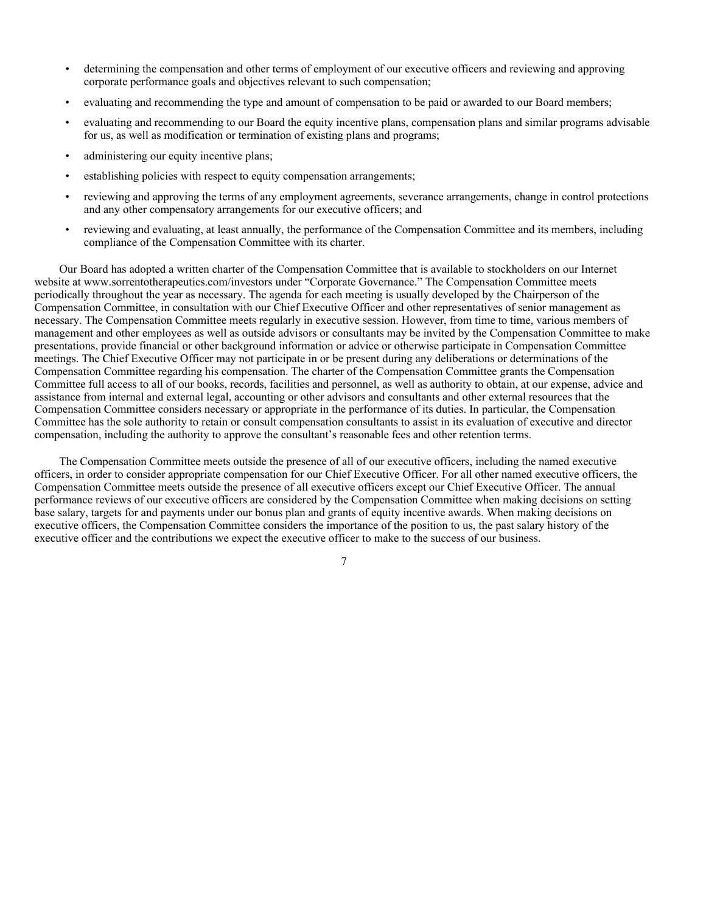- determining the compensation and other terms of employment of our executive officers and reviewing and approving corporate performance goals and objectives relevant to such compensation;
- evaluating and recommending the type and amount of compensation to be paid or awarded to our Board members;
- evaluating and recommending to our Board the equity incentive plans, compensation plans and similar programs advisable for us, as well as modification or termination of existing plans and programs;
- administering our equity incentive plans;
- establishing policies with respect to equity compensation arrangements;
- reviewing and approving the terms of any employment agreements, severance arrangements, change in control protections and any other compensatory arrangements for our executive officers; and
- reviewing and evaluating, at least annually, the performance of the Compensation Committee and its members, including compliance of the Compensation Committee with its charter.

Our Board has adopted a written charter of the Compensation Committee that is available to stockholders on our Internet website at www.sorrentotherapeutics.com/investors under "Corporate Governance." The Compensation Committee meets periodically throughout the year as necessary. The agenda for each meeting is usually developed by the Chairperson of the Compensation Committee, in consultation with our Chief Executive Officer and other representatives of senior management as necessary. The Compensation Committee meets regularly in executive session. However, from time to time, various members of management and other employees as well as outside advisors or consultants may be invited by the Compensation Committee to make presentations, provide financial or other background information or advice or otherwise participate in Compensation Committee meetings. The Chief Executive Officer may not participate in or be present during any deliberations or determinations of the Compensation Committee regarding his compensation. The charter of the Compensation Committee grants the Compensation Committee full access to all of our books, records, facilities and personnel, as well as authority to obtain, at our expense, advice and assistance from internal and external legal, accounting or other advisors and consultants and other external resources that the Compensation Committee considers necessary or appropriate in the performance of its duties. In particular, the Compensation Committee has the sole authority to retain or consult compensation consultants to assist in its evaluation of executive and director compensation, including the authority to approve the consultant's reasonable fees and other retention terms.

The Compensation Committee meets outside the presence of all of our executive officers, including the named executive officers, in order to consider appropriate compensation for our Chief Executive Officer. For all other named executive officers, the Compensation Committee meets outside the presence of all executive officers except our Chief Executive Officer. The annual performance reviews of our executive officers are considered by the Compensation Committee when making decisions on setting base salary, targets for and payments under our bonus plan and grants of equity incentive awards. When making decisions on executive officers, the Compensation Committee considers the importance of the position to us, the past salary history of the executive officer and the contributions we expect the executive officer to make to the success of our business.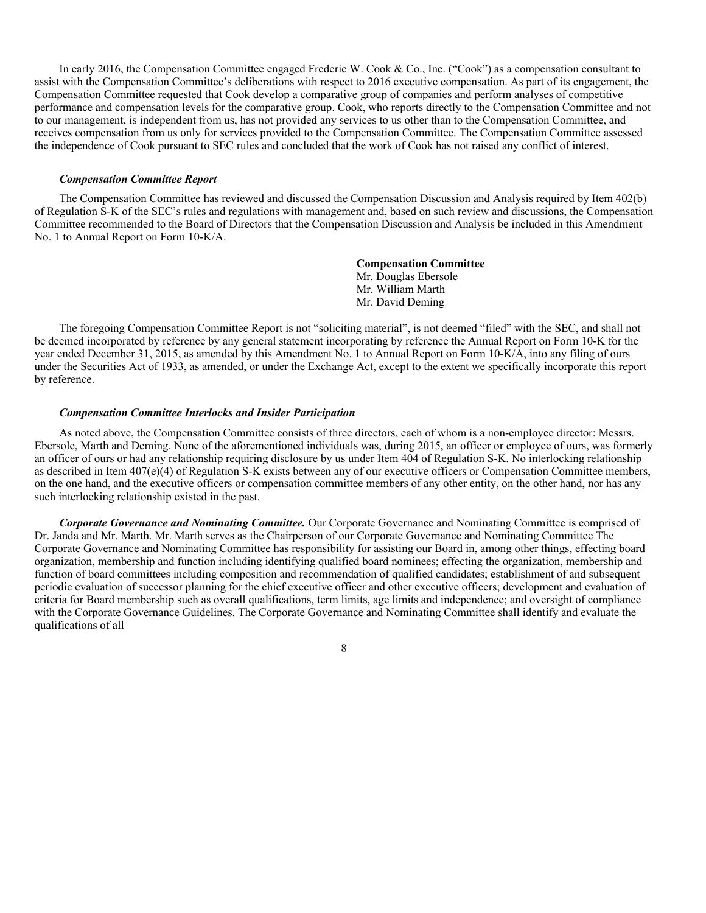In early 2016, the Compensation Committee engaged Frederic W. Cook & Co., Inc. ("Cook") as a compensation consultant to assist with the Compensation Committee's deliberations with respect to 2016 executive compensation. As part of its engagement, the Compensation Committee requested that Cook develop a comparative group of companies and perform analyses of competitive performance and compensation levels for the comparative group. Cook, who reports directly to the Compensation Committee and not to our management, is independent from us, has not provided any services to us other than to the Compensation Committee, and receives compensation from us only for services provided to the Compensation Committee. The Compensation Committee assessed the independence of Cook pursuant to SEC rules and concluded that the work of Cook has not raised any conflict of interest.

#### *Compensation Committee Report*

The Compensation Committee has reviewed and discussed the Compensation Discussion and Analysis required by Item 402(b) of Regulation S-K of the SEC's rules and regulations with management and, based on such review and discussions, the Compensation Committee recommended to the Board of Directors that the Compensation Discussion and Analysis be included in this Amendment No. 1 to Annual Report on Form 10-K/A.

> **Compensation Committee**  Mr. Douglas Ebersole Mr. William Marth

Mr. David Deming

The foregoing Compensation Committee Report is not "soliciting material", is not deemed "filed" with the SEC, and shall not be deemed incorporated by reference by any general statement incorporating by reference the Annual Report on Form 10-K for the year ended December 31, 2015, as amended by this Amendment No. 1 to Annual Report on Form 10-K/A, into any filing of ours under the Securities Act of 1933, as amended, or under the Exchange Act, except to the extent we specifically incorporate this report by reference.

# *Compensation Committee Interlocks and Insider Participation*

As noted above, the Compensation Committee consists of three directors, each of whom is a non-employee director: Messrs. Ebersole, Marth and Deming. None of the aforementioned individuals was, during 2015, an officer or employee of ours, was formerly an officer of ours or had any relationship requiring disclosure by us under Item 404 of Regulation S-K. No interlocking relationship as described in Item 407(e)(4) of Regulation S-K exists between any of our executive officers or Compensation Committee members, on the one hand, and the executive officers or compensation committee members of any other entity, on the other hand, nor has any such interlocking relationship existed in the past.

*Corporate Governance and Nominating Committee.* Our Corporate Governance and Nominating Committee is comprised of Dr. Janda and Mr. Marth. Mr. Marth serves as the Chairperson of our Corporate Governance and Nominating Committee The Corporate Governance and Nominating Committee has responsibility for assisting our Board in, among other things, effecting board organization, membership and function including identifying qualified board nominees; effecting the organization, membership and function of board committees including composition and recommendation of qualified candidates; establishment of and subsequent periodic evaluation of successor planning for the chief executive officer and other executive officers; development and evaluation of criteria for Board membership such as overall qualifications, term limits, age limits and independence; and oversight of compliance with the Corporate Governance Guidelines. The Corporate Governance and Nominating Committee shall identify and evaluate the qualifications of all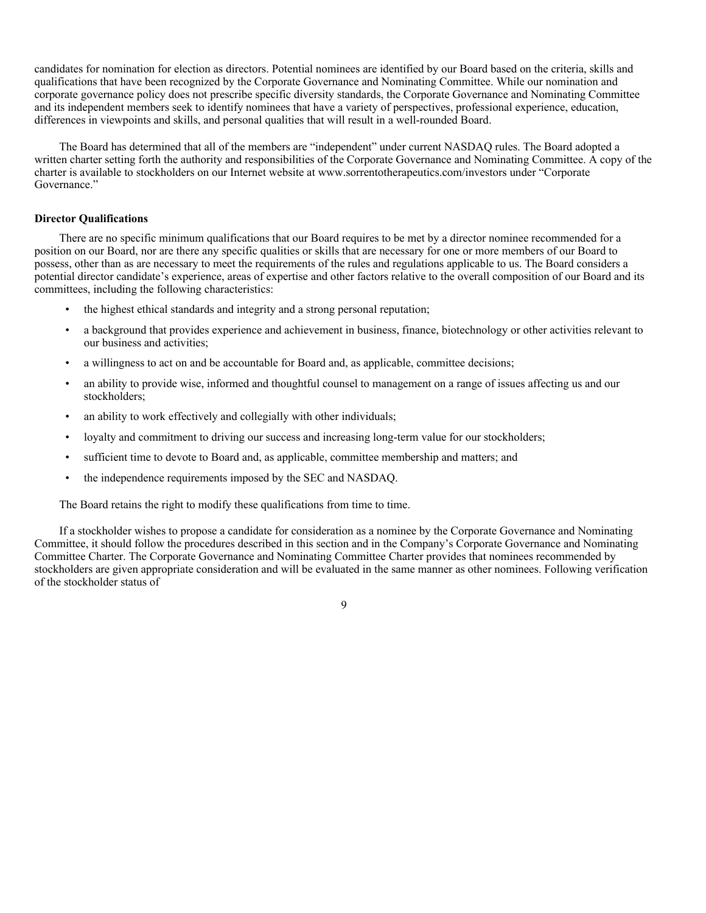candidates for nomination for election as directors. Potential nominees are identified by our Board based on the criteria, skills and qualifications that have been recognized by the Corporate Governance and Nominating Committee. While our nomination and corporate governance policy does not prescribe specific diversity standards, the Corporate Governance and Nominating Committee and its independent members seek to identify nominees that have a variety of perspectives, professional experience, education, differences in viewpoints and skills, and personal qualities that will result in a well-rounded Board.

The Board has determined that all of the members are "independent" under current NASDAQ rules. The Board adopted a written charter setting forth the authority and responsibilities of the Corporate Governance and Nominating Committee. A copy of the charter is available to stockholders on our Internet website at www.sorrentotherapeutics.com/investors under "Corporate Governance."

# **Director Qualifications**

There are no specific minimum qualifications that our Board requires to be met by a director nominee recommended for a position on our Board, nor are there any specific qualities or skills that are necessary for one or more members of our Board to possess, other than as are necessary to meet the requirements of the rules and regulations applicable to us. The Board considers a potential director candidate's experience, areas of expertise and other factors relative to the overall composition of our Board and its committees, including the following characteristics:

- the highest ethical standards and integrity and a strong personal reputation;
- a background that provides experience and achievement in business, finance, biotechnology or other activities relevant to our business and activities;
- a willingness to act on and be accountable for Board and, as applicable, committee decisions;
- an ability to provide wise, informed and thoughtful counsel to management on a range of issues affecting us and our stockholders;
- an ability to work effectively and collegially with other individuals;
- loyalty and commitment to driving our success and increasing long-term value for our stockholders;
- sufficient time to devote to Board and, as applicable, committee membership and matters; and
- the independence requirements imposed by the SEC and NASDAQ.

The Board retains the right to modify these qualifications from time to time.

If a stockholder wishes to propose a candidate for consideration as a nominee by the Corporate Governance and Nominating Committee, it should follow the procedures described in this section and in the Company's Corporate Governance and Nominating Committee Charter. The Corporate Governance and Nominating Committee Charter provides that nominees recommended by stockholders are given appropriate consideration and will be evaluated in the same manner as other nominees. Following verification of the stockholder status of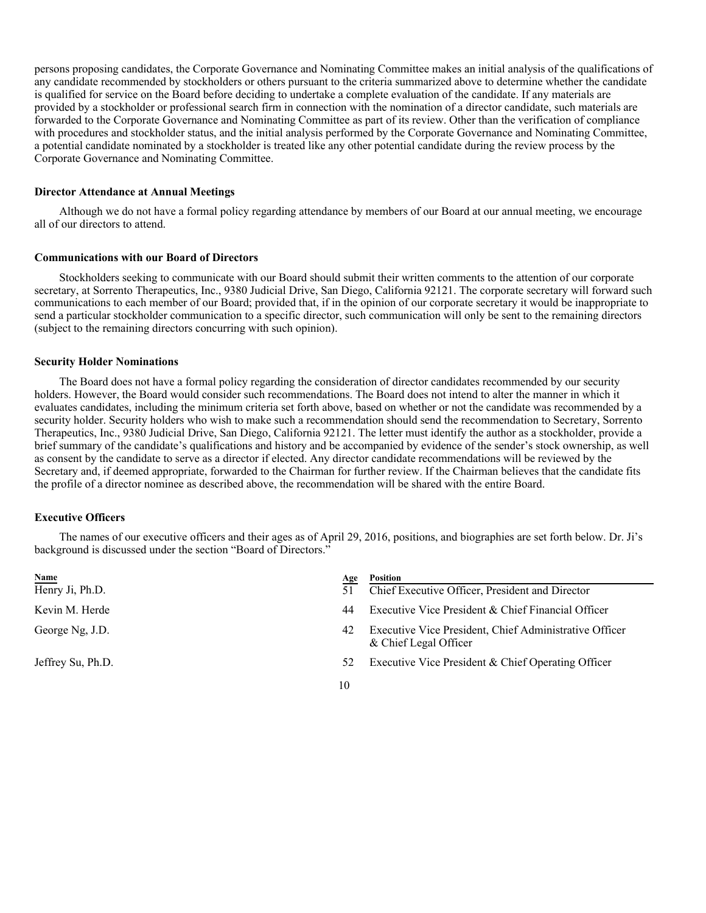persons proposing candidates, the Corporate Governance and Nominating Committee makes an initial analysis of the qualifications of any candidate recommended by stockholders or others pursuant to the criteria summarized above to determine whether the candidate is qualified for service on the Board before deciding to undertake a complete evaluation of the candidate. If any materials are provided by a stockholder or professional search firm in connection with the nomination of a director candidate, such materials are forwarded to the Corporate Governance and Nominating Committee as part of its review. Other than the verification of compliance with procedures and stockholder status, and the initial analysis performed by the Corporate Governance and Nominating Committee, a potential candidate nominated by a stockholder is treated like any other potential candidate during the review process by the Corporate Governance and Nominating Committee.

#### **Director Attendance at Annual Meetings**

Although we do not have a formal policy regarding attendance by members of our Board at our annual meeting, we encourage all of our directors to attend.

#### **Communications with our Board of Directors**

Stockholders seeking to communicate with our Board should submit their written comments to the attention of our corporate secretary, at Sorrento Therapeutics, Inc., 9380 Judicial Drive, San Diego, California 92121. The corporate secretary will forward such communications to each member of our Board; provided that, if in the opinion of our corporate secretary it would be inappropriate to send a particular stockholder communication to a specific director, such communication will only be sent to the remaining directors (subject to the remaining directors concurring with such opinion).

#### **Security Holder Nominations**

The Board does not have a formal policy regarding the consideration of director candidates recommended by our security holders. However, the Board would consider such recommendations. The Board does not intend to alter the manner in which it evaluates candidates, including the minimum criteria set forth above, based on whether or not the candidate was recommended by a security holder. Security holders who wish to make such a recommendation should send the recommendation to Secretary, Sorrento Therapeutics, Inc., 9380 Judicial Drive, San Diego, California 92121. The letter must identify the author as a stockholder, provide a brief summary of the candidate's qualifications and history and be accompanied by evidence of the sender's stock ownership, as well as consent by the candidate to serve as a director if elected. Any director candidate recommendations will be reviewed by the Secretary and, if deemed appropriate, forwarded to the Chairman for further review. If the Chairman believes that the candidate fits the profile of a director nominee as described above, the recommendation will be shared with the entire Board.

#### **Executive Officers**

 $\sim$ 

The names of our executive officers and their ages as of April 29, 2016, positions, and biographies are set forth below. Dr. Ji's background is discussed under the section "Board of Directors."

| <b>Name</b>       | <u>Age</u> | <b>Position</b>                                                                 |
|-------------------|------------|---------------------------------------------------------------------------------|
| Henry Ji, Ph.D.   | 51         | Chief Executive Officer, President and Director                                 |
| Kevin M. Herde    | 44         | Executive Vice President & Chief Financial Officer                              |
| George Ng, J.D.   | 42         | Executive Vice President, Chief Administrative Officer<br>& Chief Legal Officer |
| Jeffrey Su, Ph.D. | 52         | Executive Vice President & Chief Operating Officer                              |
|                   | 10         |                                                                                 |
|                   |            |                                                                                 |
|                   |            |                                                                                 |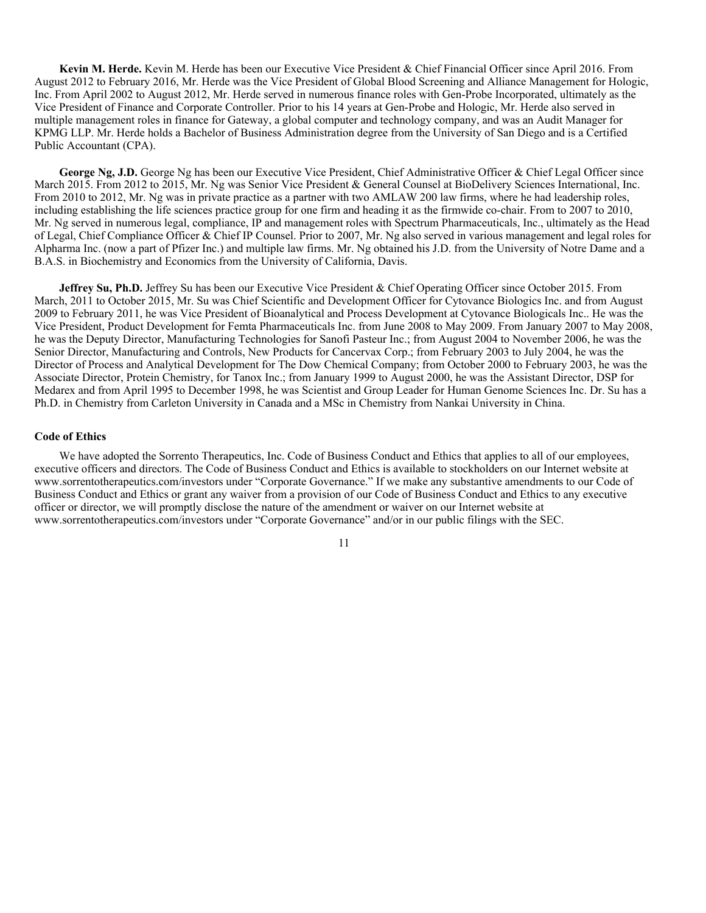**Kevin M. Herde.** Kevin M. Herde has been our Executive Vice President & Chief Financial Officer since April 2016. From August 2012 to February 2016, Mr. Herde was the Vice President of Global Blood Screening and Alliance Management for Hologic, Inc. From April 2002 to August 2012, Mr. Herde served in numerous finance roles with Gen-Probe Incorporated, ultimately as the Vice President of Finance and Corporate Controller. Prior to his 14 years at Gen-Probe and Hologic, Mr. Herde also served in multiple management roles in finance for Gateway, a global computer and technology company, and was an Audit Manager for KPMG LLP. Mr. Herde holds a Bachelor of Business Administration degree from the University of San Diego and is a Certified Public Accountant (CPA).

**George Ng, J.D.** George Ng has been our Executive Vice President, Chief Administrative Officer & Chief Legal Officer since March 2015. From 2012 to 2015, Mr. Ng was Senior Vice President & General Counsel at BioDelivery Sciences International, Inc. From 2010 to 2012, Mr. Ng was in private practice as a partner with two AMLAW 200 law firms, where he had leadership roles, including establishing the life sciences practice group for one firm and heading it as the firmwide co-chair. From to 2007 to 2010, Mr. Ng served in numerous legal, compliance, IP and management roles with Spectrum Pharmaceuticals, Inc., ultimately as the Head of Legal, Chief Compliance Officer & Chief IP Counsel. Prior to 2007, Mr. Ng also served in various management and legal roles for Alpharma Inc. (now a part of Pfizer Inc.) and multiple law firms. Mr. Ng obtained his J.D. from the University of Notre Dame and a B.A.S. in Biochemistry and Economics from the University of California, Davis.

**Jeffrey Su, Ph.D.** Jeffrey Su has been our Executive Vice President & Chief Operating Officer since October 2015. From March, 2011 to October 2015, Mr. Su was Chief Scientific and Development Officer for Cytovance Biologics Inc. and from August 2009 to February 2011, he was Vice President of Bioanalytical and Process Development at Cytovance Biologicals Inc.. He was the Vice President, Product Development for Femta Pharmaceuticals Inc. from June 2008 to May 2009. From January 2007 to May 2008, he was the Deputy Director, Manufacturing Technologies for Sanofi Pasteur Inc.; from August 2004 to November 2006, he was the Senior Director, Manufacturing and Controls, New Products for Cancervax Corp.; from February 2003 to July 2004, he was the Director of Process and Analytical Development for The Dow Chemical Company; from October 2000 to February 2003, he was the Associate Director, Protein Chemistry, for Tanox Inc.; from January 1999 to August 2000, he was the Assistant Director, DSP for Medarex and from April 1995 to December 1998, he was Scientist and Group Leader for Human Genome Sciences Inc. Dr. Su has a Ph.D. in Chemistry from Carleton University in Canada and a MSc in Chemistry from Nankai University in China.

# **Code of Ethics**

We have adopted the Sorrento Therapeutics, Inc. Code of Business Conduct and Ethics that applies to all of our employees, executive officers and directors. The Code of Business Conduct and Ethics is available to stockholders on our Internet website at www.sorrentotherapeutics.com/investors under "Corporate Governance." If we make any substantive amendments to our Code of Business Conduct and Ethics or grant any waiver from a provision of our Code of Business Conduct and Ethics to any executive officer or director, we will promptly disclose the nature of the amendment or waiver on our Internet website at www.sorrentotherapeutics.com/investors under "Corporate Governance" and/or in our public filings with the SEC.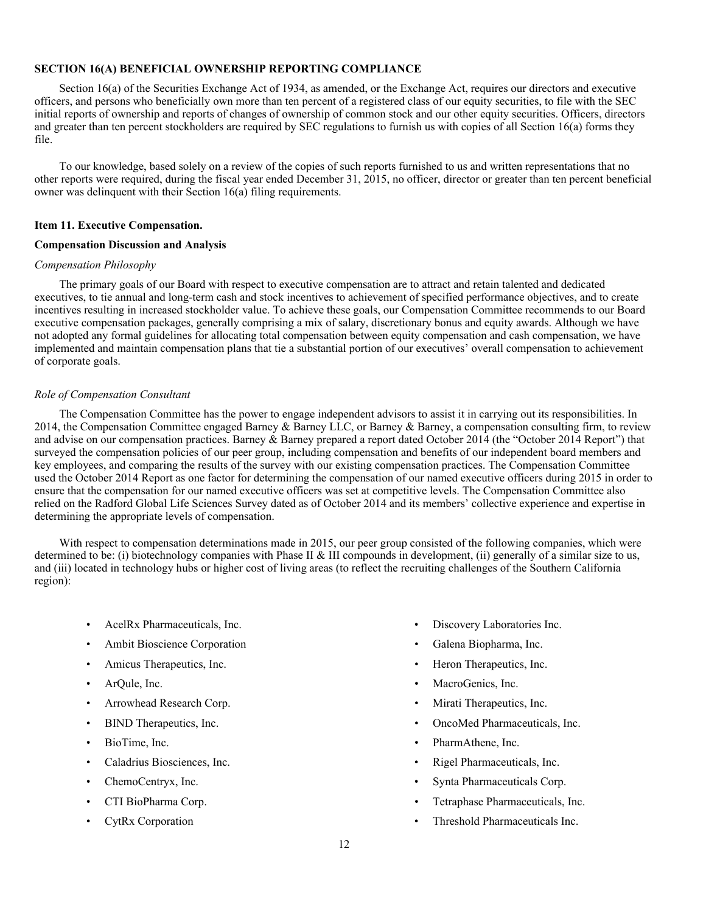# **SECTION 16(A) BENEFICIAL OWNERSHIP REPORTING COMPLIANCE**

Section 16(a) of the Securities Exchange Act of 1934, as amended, or the Exchange Act, requires our directors and executive officers, and persons who beneficially own more than ten percent of a registered class of our equity securities, to file with the SEC initial reports of ownership and reports of changes of ownership of common stock and our other equity securities. Officers, directors and greater than ten percent stockholders are required by SEC regulations to furnish us with copies of all Section 16(a) forms they file.

To our knowledge, based solely on a review of the copies of such reports furnished to us and written representations that no other reports were required, during the fiscal year ended December 31, 2015, no officer, director or greater than ten percent beneficial owner was delinquent with their Section 16(a) filing requirements.

# **Item 11. Executive Compensation.**

# **Compensation Discussion and Analysis**

# *Compensation Philosophy*

The primary goals of our Board with respect to executive compensation are to attract and retain talented and dedicated executives, to tie annual and long-term cash and stock incentives to achievement of specified performance objectives, and to create incentives resulting in increased stockholder value. To achieve these goals, our Compensation Committee recommends to our Board executive compensation packages, generally comprising a mix of salary, discretionary bonus and equity awards. Although we have not adopted any formal guidelines for allocating total compensation between equity compensation and cash compensation, we have implemented and maintain compensation plans that tie a substantial portion of our executives' overall compensation to achievement of corporate goals.

# *Role of Compensation Consultant*

The Compensation Committee has the power to engage independent advisors to assist it in carrying out its responsibilities. In 2014, the Compensation Committee engaged Barney & Barney LLC, or Barney & Barney, a compensation consulting firm, to review and advise on our compensation practices. Barney & Barney prepared a report dated October 2014 (the "October 2014 Report") that surveyed the compensation policies of our peer group, including compensation and benefits of our independent board members and key employees, and comparing the results of the survey with our existing compensation practices. The Compensation Committee used the October 2014 Report as one factor for determining the compensation of our named executive officers during 2015 in order to ensure that the compensation for our named executive officers was set at competitive levels. The Compensation Committee also relied on the Radford Global Life Sciences Survey dated as of October 2014 and its members' collective experience and expertise in determining the appropriate levels of compensation.

With respect to compensation determinations made in 2015, our peer group consisted of the following companies, which were determined to be: (i) biotechnology companies with Phase II & III compounds in development, (ii) generally of a similar size to us, and (iii) located in technology hubs or higher cost of living areas (to reflect the recruiting challenges of the Southern California region):

- AcelRx Pharmaceuticals, Inc. Discovery Laboratories Inc.
- Ambit Bioscience Corporation Galena Biopharma, Inc.
- 
- 
- Arrowhead Research Corp. Mirati Therapeutics, Inc.
- 
- 
- 
- 
- 
- 
- 
- 
- Amicus Therapeutics, Inc.  $\bullet$  Heron Therapeutics, Inc.
- ArQule, Inc. MacroGenics, Inc.
	-
- BIND Therapeutics, Inc. OncoMed Pharmaceuticals, Inc.
	- BioTime, Inc. PharmAthene, Inc.
- Caladrius Biosciences, Inc. Rigel Pharmaceuticals, Inc.
	- ChemoCentryx, Inc. Synta Pharmaceuticals Corp.
	- CTI BioPharma Corp. Tetraphase Pharmaceuticals, Inc.
	- CytRx Corporation Threshold Pharmaceuticals Inc.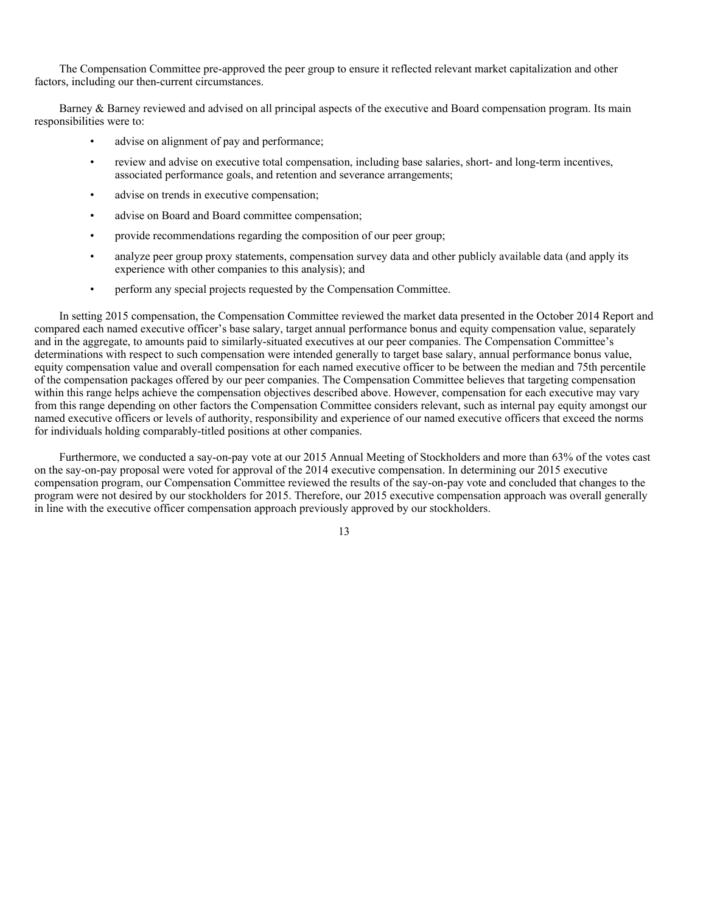The Compensation Committee pre-approved the peer group to ensure it reflected relevant market capitalization and other factors, including our then-current circumstances.

Barney & Barney reviewed and advised on all principal aspects of the executive and Board compensation program. Its main responsibilities were to:

- advise on alignment of pay and performance;
- review and advise on executive total compensation, including base salaries, short- and long-term incentives, associated performance goals, and retention and severance arrangements;
- advise on trends in executive compensation;
- advise on Board and Board committee compensation;
- provide recommendations regarding the composition of our peer group;
- analyze peer group proxy statements, compensation survey data and other publicly available data (and apply its experience with other companies to this analysis); and
- perform any special projects requested by the Compensation Committee.

In setting 2015 compensation, the Compensation Committee reviewed the market data presented in the October 2014 Report and compared each named executive officer's base salary, target annual performance bonus and equity compensation value, separately and in the aggregate, to amounts paid to similarly-situated executives at our peer companies. The Compensation Committee's determinations with respect to such compensation were intended generally to target base salary, annual performance bonus value, equity compensation value and overall compensation for each named executive officer to be between the median and 75th percentile of the compensation packages offered by our peer companies. The Compensation Committee believes that targeting compensation within this range helps achieve the compensation objectives described above. However, compensation for each executive may vary from this range depending on other factors the Compensation Committee considers relevant, such as internal pay equity amongst our named executive officers or levels of authority, responsibility and experience of our named executive officers that exceed the norms for individuals holding comparably-titled positions at other companies.

Furthermore, we conducted a say-on-pay vote at our 2015 Annual Meeting of Stockholders and more than 63% of the votes cast on the say-on-pay proposal were voted for approval of the 2014 executive compensation. In determining our 2015 executive compensation program, our Compensation Committee reviewed the results of the say-on-pay vote and concluded that changes to the program were not desired by our stockholders for 2015. Therefore, our 2015 executive compensation approach was overall generally in line with the executive officer compensation approach previously approved by our stockholders.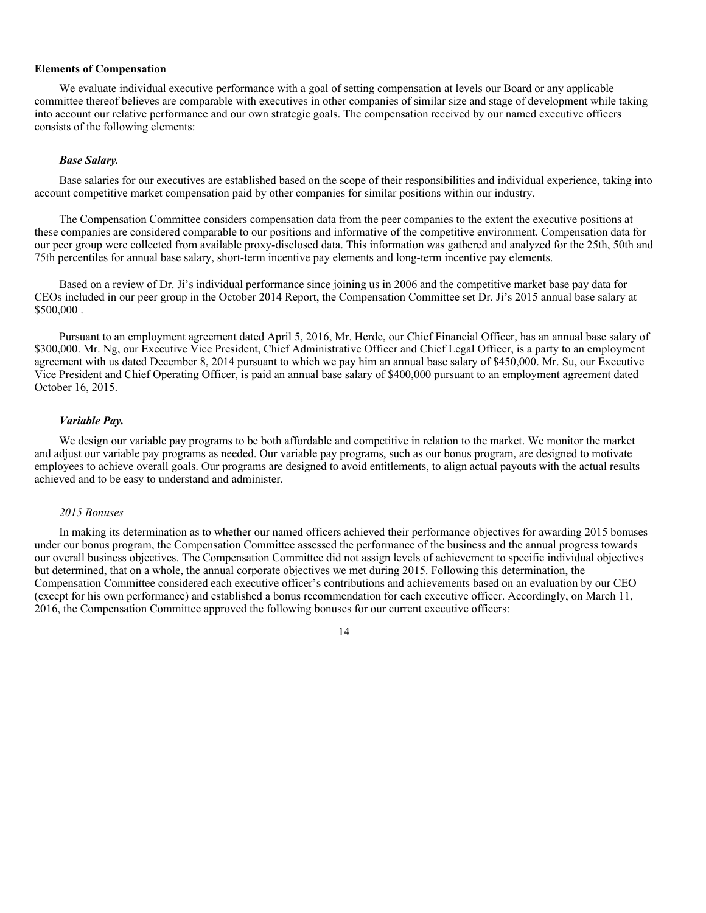#### **Elements of Compensation**

We evaluate individual executive performance with a goal of setting compensation at levels our Board or any applicable committee thereof believes are comparable with executives in other companies of similar size and stage of development while taking into account our relative performance and our own strategic goals. The compensation received by our named executive officers consists of the following elements:

#### *Base Salary.*

Base salaries for our executives are established based on the scope of their responsibilities and individual experience, taking into account competitive market compensation paid by other companies for similar positions within our industry.

The Compensation Committee considers compensation data from the peer companies to the extent the executive positions at these companies are considered comparable to our positions and informative of the competitive environment. Compensation data for our peer group were collected from available proxy-disclosed data. This information was gathered and analyzed for the 25th, 50th and 75th percentiles for annual base salary, short-term incentive pay elements and long-term incentive pay elements.

Based on a review of Dr. Ji's individual performance since joining us in 2006 and the competitive market base pay data for CEOs included in our peer group in the October 2014 Report, the Compensation Committee set Dr. Ji's 2015 annual base salary at \$500,000 .

Pursuant to an employment agreement dated April 5, 2016, Mr. Herde, our Chief Financial Officer, has an annual base salary of \$300,000. Mr. Ng, our Executive Vice President, Chief Administrative Officer and Chief Legal Officer, is a party to an employment agreement with us dated December 8, 2014 pursuant to which we pay him an annual base salary of \$450,000. Mr. Su, our Executive Vice President and Chief Operating Officer, is paid an annual base salary of \$400,000 pursuant to an employment agreement dated October 16, 2015.

#### *Variable Pay.*

We design our variable pay programs to be both affordable and competitive in relation to the market. We monitor the market and adjust our variable pay programs as needed. Our variable pay programs, such as our bonus program, are designed to motivate employees to achieve overall goals. Our programs are designed to avoid entitlements, to align actual payouts with the actual results achieved and to be easy to understand and administer.

# *2015 Bonuses*

In making its determination as to whether our named officers achieved their performance objectives for awarding 2015 bonuses under our bonus program, the Compensation Committee assessed the performance of the business and the annual progress towards our overall business objectives. The Compensation Committee did not assign levels of achievement to specific individual objectives but determined, that on a whole, the annual corporate objectives we met during 2015. Following this determination, the Compensation Committee considered each executive officer's contributions and achievements based on an evaluation by our CEO (except for his own performance) and established a bonus recommendation for each executive officer. Accordingly, on March 11, 2016, the Compensation Committee approved the following bonuses for our current executive officers: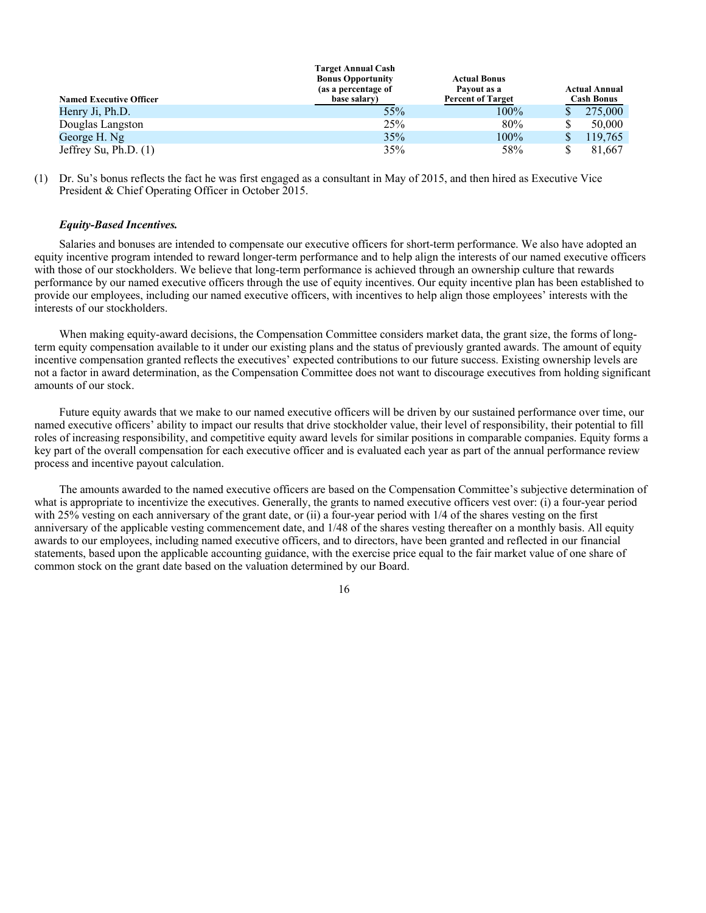| <b>Named Executive Officer</b> | <b>Target Annual Cash</b><br><b>Bonus Opportunity</b><br>(as a percentage of<br>base salary) | <b>Actual Bonus</b><br>Payout as a<br><b>Percent of Target</b> | <b>Actual Annual</b><br><b>Cash Bonus</b> |
|--------------------------------|----------------------------------------------------------------------------------------------|----------------------------------------------------------------|-------------------------------------------|
| Henry Ji, Ph.D.                | 55%                                                                                          | $100\%$                                                        | 275,000                                   |
| Douglas Langston               | 25 <sup>%</sup>                                                                              | 80%                                                            | 50,000                                    |
| George H. Ng                   | 35%                                                                                          | $100\%$                                                        | 119,765                                   |
| Jeffrey Su, Ph.D. $(1)$        | 35%                                                                                          | 58%                                                            | 81.667                                    |

(1) Dr. Su's bonus reflects the fact he was first engaged as a consultant in May of 2015, and then hired as Executive Vice President & Chief Operating Officer in October 2015.

#### *Equity-Based Incentives.*

Salaries and bonuses are intended to compensate our executive officers for short-term performance. We also have adopted an equity incentive program intended to reward longer-term performance and to help align the interests of our named executive officers with those of our stockholders. We believe that long-term performance is achieved through an ownership culture that rewards performance by our named executive officers through the use of equity incentives. Our equity incentive plan has been established to provide our employees, including our named executive officers, with incentives to help align those employees' interests with the interests of our stockholders.

When making equity-award decisions, the Compensation Committee considers market data, the grant size, the forms of longterm equity compensation available to it under our existing plans and the status of previously granted awards. The amount of equity incentive compensation granted reflects the executives' expected contributions to our future success. Existing ownership levels are not a factor in award determination, as the Compensation Committee does not want to discourage executives from holding significant amounts of our stock.

Future equity awards that we make to our named executive officers will be driven by our sustained performance over time, our named executive officers' ability to impact our results that drive stockholder value, their level of responsibility, their potential to fill roles of increasing responsibility, and competitive equity award levels for similar positions in comparable companies. Equity forms a key part of the overall compensation for each executive officer and is evaluated each year as part of the annual performance review process and incentive payout calculation.

The amounts awarded to the named executive officers are based on the Compensation Committee's subjective determination of what is appropriate to incentivize the executives. Generally, the grants to named executive officers vest over: (i) a four-year period with 25% vesting on each anniversary of the grant date, or (ii) a four-year period with 1/4 of the shares vesting on the first anniversary of the applicable vesting commencement date, and 1/48 of the shares vesting thereafter on a monthly basis. All equity awards to our employees, including named executive officers, and to directors, have been granted and reflected in our financial statements, based upon the applicable accounting guidance, with the exercise price equal to the fair market value of one share of common stock on the grant date based on the valuation determined by our Board.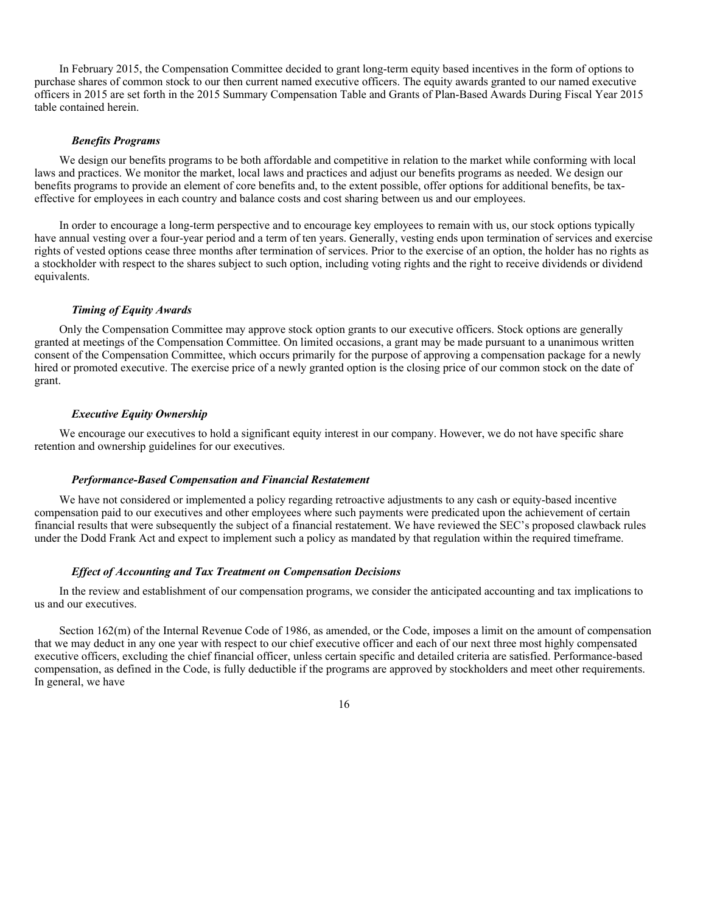In February 2015, the Compensation Committee decided to grant long-term equity based incentives in the form of options to purchase shares of common stock to our then current named executive officers. The equity awards granted to our named executive officers in 2015 are set forth in the 2015 Summary Compensation Table and Grants of Plan-Based Awards During Fiscal Year 2015 table contained herein.

# *Benefits Programs*

We design our benefits programs to be both affordable and competitive in relation to the market while conforming with local laws and practices. We monitor the market, local laws and practices and adjust our benefits programs as needed. We design our benefits programs to provide an element of core benefits and, to the extent possible, offer options for additional benefits, be taxeffective for employees in each country and balance costs and cost sharing between us and our employees.

In order to encourage a long-term perspective and to encourage key employees to remain with us, our stock options typically have annual vesting over a four-year period and a term of ten years. Generally, vesting ends upon termination of services and exercise rights of vested options cease three months after termination of services. Prior to the exercise of an option, the holder has no rights as a stockholder with respect to the shares subject to such option, including voting rights and the right to receive dividends or dividend equivalents.

# *Timing of Equity Awards*

Only the Compensation Committee may approve stock option grants to our executive officers. Stock options are generally granted at meetings of the Compensation Committee. On limited occasions, a grant may be made pursuant to a unanimous written consent of the Compensation Committee, which occurs primarily for the purpose of approving a compensation package for a newly hired or promoted executive. The exercise price of a newly granted option is the closing price of our common stock on the date of grant.

#### *Executive Equity Ownership*

We encourage our executives to hold a significant equity interest in our company. However, we do not have specific share retention and ownership guidelines for our executives.

#### *Performance-Based Compensation and Financial Restatement*

We have not considered or implemented a policy regarding retroactive adjustments to any cash or equity-based incentive compensation paid to our executives and other employees where such payments were predicated upon the achievement of certain financial results that were subsequently the subject of a financial restatement. We have reviewed the SEC's proposed clawback rules under the Dodd Frank Act and expect to implement such a policy as mandated by that regulation within the required timeframe.

# *Effect of Accounting and Tax Treatment on Compensation Decisions*

In the review and establishment of our compensation programs, we consider the anticipated accounting and tax implications to us and our executives.

Section 162(m) of the Internal Revenue Code of 1986, as amended, or the Code, imposes a limit on the amount of compensation that we may deduct in any one year with respect to our chief executive officer and each of our next three most highly compensated executive officers, excluding the chief financial officer, unless certain specific and detailed criteria are satisfied. Performance-based compensation, as defined in the Code, is fully deductible if the programs are approved by stockholders and meet other requirements. In general, we have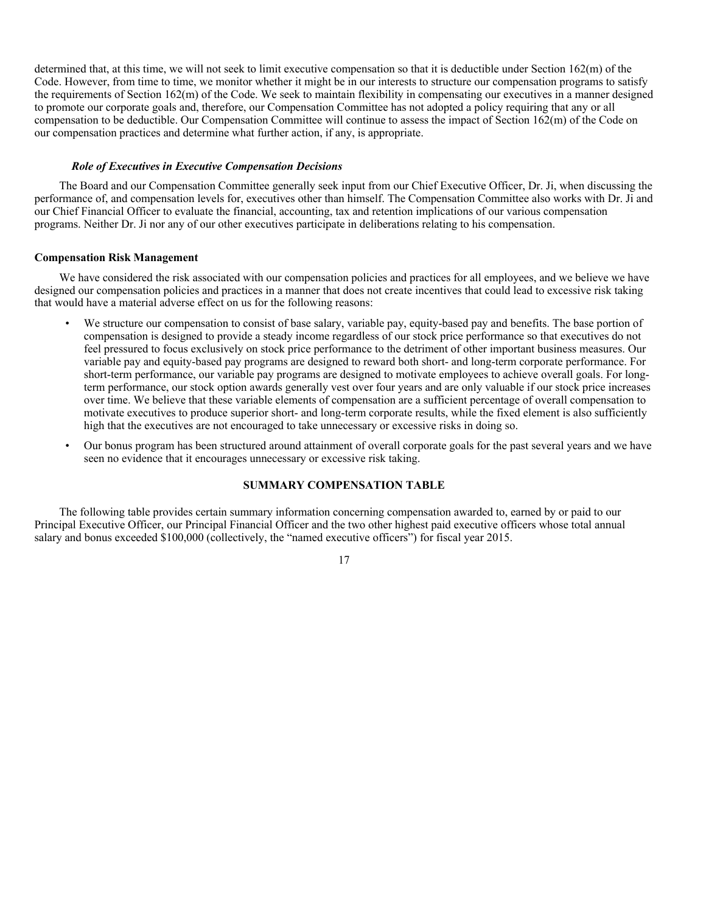determined that, at this time, we will not seek to limit executive compensation so that it is deductible under Section 162(m) of the Code. However, from time to time, we monitor whether it might be in our interests to structure our compensation programs to satisfy the requirements of Section 162(m) of the Code. We seek to maintain flexibility in compensating our executives in a manner designed to promote our corporate goals and, therefore, our Compensation Committee has not adopted a policy requiring that any or all compensation to be deductible. Our Compensation Committee will continue to assess the impact of Section 162(m) of the Code on our compensation practices and determine what further action, if any, is appropriate.

## *Role of Executives in Executive Compensation Decisions*

The Board and our Compensation Committee generally seek input from our Chief Executive Officer, Dr. Ji, when discussing the performance of, and compensation levels for, executives other than himself. The Compensation Committee also works with Dr. Ji and our Chief Financial Officer to evaluate the financial, accounting, tax and retention implications of our various compensation programs. Neither Dr. Ji nor any of our other executives participate in deliberations relating to his compensation.

#### **Compensation Risk Management**

We have considered the risk associated with our compensation policies and practices for all employees, and we believe we have designed our compensation policies and practices in a manner that does not create incentives that could lead to excessive risk taking that would have a material adverse effect on us for the following reasons:

- We structure our compensation to consist of base salary, variable pay, equity-based pay and benefits. The base portion of compensation is designed to provide a steady income regardless of our stock price performance so that executives do not feel pressured to focus exclusively on stock price performance to the detriment of other important business measures. Our variable pay and equity-based pay programs are designed to reward both short- and long-term corporate performance. For short-term performance, our variable pay programs are designed to motivate employees to achieve overall goals. For longterm performance, our stock option awards generally vest over four years and are only valuable if our stock price increases over time. We believe that these variable elements of compensation are a sufficient percentage of overall compensation to motivate executives to produce superior short- and long-term corporate results, while the fixed element is also sufficiently high that the executives are not encouraged to take unnecessary or excessive risks in doing so.
- Our bonus program has been structured around attainment of overall corporate goals for the past several years and we have seen no evidence that it encourages unnecessary or excessive risk taking.

# **SUMMARY COMPENSATION TABLE**

The following table provides certain summary information concerning compensation awarded to, earned by or paid to our Principal Executive Officer, our Principal Financial Officer and the two other highest paid executive officers whose total annual salary and bonus exceeded \$100,000 (collectively, the "named executive officers") for fiscal year 2015.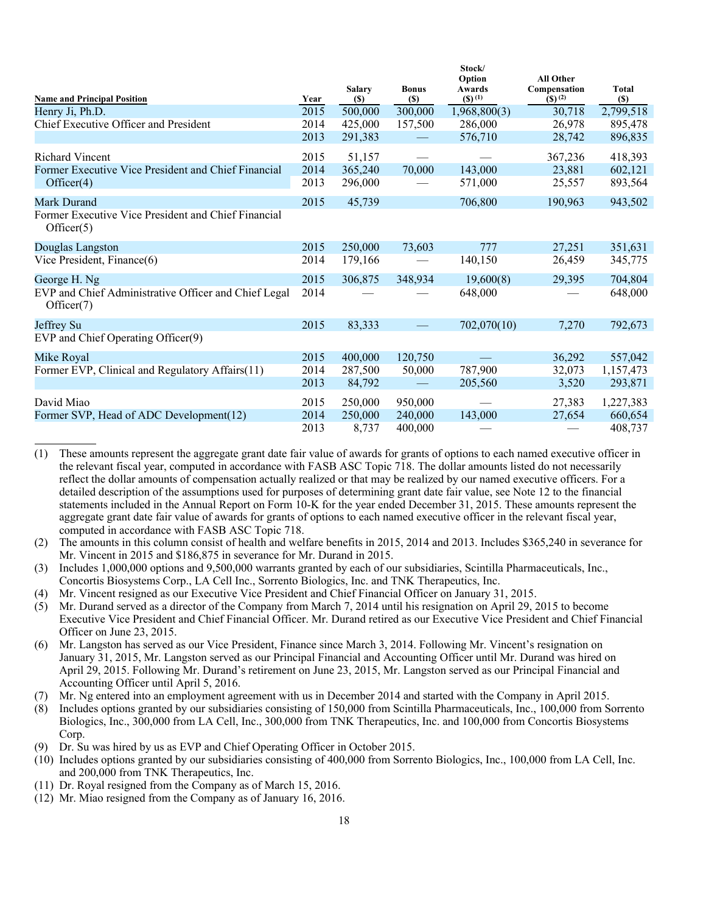| <b>Name and Principal Position</b>                                 | Year | <b>Salary</b><br>$($)$ | <b>Bonus</b><br>(S) | Stock/<br>Option<br>Awards<br>$($ S) $($ <sup>1</sup> $)$ | <b>All Other</b><br>Compensation<br>$(S)$ <sup>(2)</sup> | Total<br>$(s)$ |
|--------------------------------------------------------------------|------|------------------------|---------------------|-----------------------------------------------------------|----------------------------------------------------------|----------------|
| Henry Ji, Ph.D.                                                    | 2015 | 500,000                | 300,000             | 1,968,800(3)                                              | 30,718                                                   | 2,799,518      |
| Chief Executive Officer and President                              | 2014 | 425,000                | 157,500             | 286,000                                                   | 26,978                                                   | 895,478        |
|                                                                    | 2013 | 291,383                |                     | 576,710                                                   | 28,742                                                   | 896,835        |
| <b>Richard Vincent</b>                                             | 2015 | 51,157                 |                     |                                                           | 367,236                                                  | 418,393        |
| Former Executive Vice President and Chief Financial                | 2014 | 365,240                | 70,000              | 143,000                                                   | 23,881                                                   | 602,121        |
| Officer(4)                                                         | 2013 | 296,000                |                     | 571,000                                                   | 25,557                                                   | 893,564        |
| Mark Durand                                                        | 2015 | 45,739                 |                     | 706,800                                                   | 190,963                                                  | 943,502        |
| Former Executive Vice President and Chief Financial<br>Officer(5)  |      |                        |                     |                                                           |                                                          |                |
| Douglas Langston                                                   | 2015 | 250,000                | 73,603              | 777                                                       | 27,251                                                   | 351,631        |
| Vice President, Finance(6)                                         | 2014 | 179,166                |                     | 140,150                                                   | 26,459                                                   | 345,775        |
| George H. Ng                                                       | 2015 | 306,875                | 348,934             | 19,600(8)                                                 | 29,395                                                   | 704,804        |
| EVP and Chief Administrative Officer and Chief Legal<br>Officer(7) | 2014 |                        |                     | 648,000                                                   |                                                          | 648,000        |
| Jeffrey Su                                                         | 2015 | 83,333                 |                     | 702,070(10)                                               | 7,270                                                    | 792,673        |
| EVP and Chief Operating Officer(9)                                 |      |                        |                     |                                                           |                                                          |                |
| Mike Royal                                                         | 2015 | 400,000                | 120,750             |                                                           | 36,292                                                   | 557,042        |
| Former EVP, Clinical and Regulatory Affairs(11)                    | 2014 | 287,500                | 50,000              | 787,900                                                   | 32,073                                                   | 1,157,473      |
|                                                                    | 2013 | 84,792                 |                     | 205,560                                                   | 3,520                                                    | 293,871        |
| David Miao                                                         | 2015 | 250,000                | 950,000             |                                                           | 27,383                                                   | 1,227,383      |
| Former SVP, Head of ADC Development(12)                            | 2014 | 250,000                | 240,000             | 143,000                                                   | 27,654                                                   | 660,654        |
|                                                                    | 2013 | 8,737                  | 400,000             |                                                           |                                                          | 408,737        |

(1) These amounts represent the aggregate grant date fair value of awards for grants of options to each named executive officer in the relevant fiscal year, computed in accordance with FASB ASC Topic 718. The dollar amounts listed do not necessarily reflect the dollar amounts of compensation actually realized or that may be realized by our named executive officers. For a detailed description of the assumptions used for purposes of determining grant date fair value, see Note 12 to the financial statements included in the Annual Report on Form 10-K for the year ended December 31, 2015. These amounts represent the aggregate grant date fair value of awards for grants of options to each named executive officer in the relevant fiscal year, computed in accordance with FASB ASC Topic 718.

(2) The amounts in this column consist of health and welfare benefits in 2015, 2014 and 2013. Includes \$365,240 in severance for Mr. Vincent in 2015 and \$186,875 in severance for Mr. Durand in 2015.

(3) Includes 1,000,000 options and 9,500,000 warrants granted by each of our subsidiaries, Scintilla Pharmaceuticals, Inc., Concortis Biosystems Corp., LA Cell Inc., Sorrento Biologics, Inc. and TNK Therapeutics, Inc.

(4) Mr. Vincent resigned as our Executive Vice President and Chief Financial Officer on January 31, 2015.

(5) Mr. Durand served as a director of the Company from March 7, 2014 until his resignation on April 29, 2015 to become Executive Vice President and Chief Financial Officer. Mr. Durand retired as our Executive Vice President and Chief Financial Officer on June 23, 2015.

- (6) Mr. Langston has served as our Vice President, Finance since March 3, 2014. Following Mr. Vincent's resignation on January 31, 2015, Mr. Langston served as our Principal Financial and Accounting Officer until Mr. Durand was hired on April 29, 2015. Following Mr. Durand's retirement on June 23, 2015, Mr. Langston served as our Principal Financial and Accounting Officer until April 5, 2016.
- (7) Mr. Ng entered into an employment agreement with us in December 2014 and started with the Company in April 2015.
- (8) Includes options granted by our subsidiaries consisting of 150,000 from Scintilla Pharmaceuticals, Inc., 100,000 from Sorrento Biologics, Inc., 300,000 from LA Cell, Inc., 300,000 from TNK Therapeutics, Inc. and 100,000 from Concortis Biosystems Corp.
- (9) Dr. Su was hired by us as EVP and Chief Operating Officer in October 2015.
- (10) Includes options granted by our subsidiaries consisting of 400,000 from Sorrento Biologics, Inc., 100,000 from LA Cell, Inc. and 200,000 from TNK Therapeutics, Inc.
- (11) Dr. Royal resigned from the Company as of March 15, 2016.
- (12) Mr. Miao resigned from the Company as of January 16, 2016.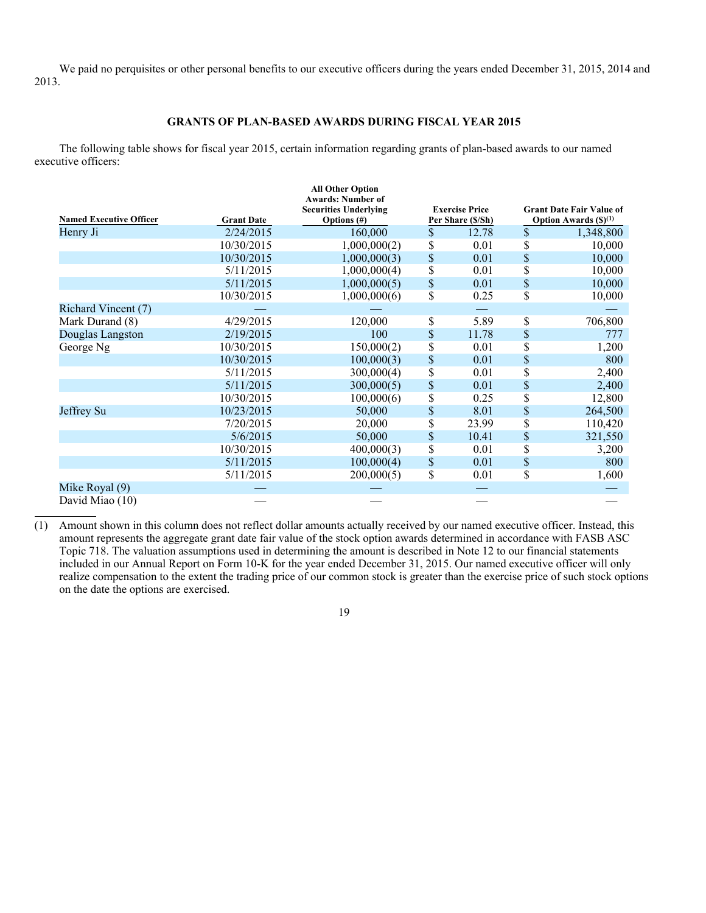We paid no perquisites or other personal benefits to our executive officers during the years ended December 31, 2015, 2014 and 2013.

# **GRANTS OF PLAN-BASED AWARDS DURING FISCAL YEAR 2015**

The following table shows for fiscal year 2015, certain information regarding grants of plan-based awards to our named executive officers:

| <b>Named Executive Officer</b> | <b>Grant Date</b> | <b>All Other Option</b><br><b>Awards: Number of</b><br><b>Securities Underlying</b><br>Options $(\#)$ | <b>Exercise Price</b><br>Per Share (\$/Sh) | <b>Grant Date Fair Value of</b><br>Option Awards $(\textbf{\$})^{(1)}$ |
|--------------------------------|-------------------|-------------------------------------------------------------------------------------------------------|--------------------------------------------|------------------------------------------------------------------------|
| Henry Ji                       | 2/24/2015         | 160,000                                                                                               | \$<br>12.78                                | \$<br>1,348,800                                                        |
|                                | 10/30/2015        | 1,000,000(2)                                                                                          | \$<br>0.01                                 | \$<br>10,000                                                           |
|                                | 10/30/2015        | 1,000,000(3)                                                                                          | \$<br>0.01                                 | \$<br>10,000                                                           |
|                                | 5/11/2015         | 1,000,000(4)                                                                                          | \$<br>0.01                                 | \$<br>10,000                                                           |
|                                | 5/11/2015         | 1,000,000(5)                                                                                          | \$<br>0.01                                 | \$<br>10,000                                                           |
|                                | 10/30/2015        | 1,000,000(6)                                                                                          | \$<br>0.25                                 | \$<br>10,000                                                           |
| Richard Vincent (7)            |                   |                                                                                                       |                                            |                                                                        |
| Mark Durand (8)                | 4/29/2015         | 120,000                                                                                               | \$<br>5.89                                 | \$<br>706,800                                                          |
| Douglas Langston               | 2/19/2015         | 100                                                                                                   | \$<br>11.78                                | \$<br>777                                                              |
| George Ng                      | 10/30/2015        | 150,000(2)                                                                                            | \$<br>0.01                                 | \$<br>1,200                                                            |
|                                | 10/30/2015        | 100,000(3)                                                                                            | \$<br>0.01                                 | \$<br>800                                                              |
|                                | 5/11/2015         | 300,000(4)                                                                                            | \$<br>0.01                                 | \$<br>2,400                                                            |
|                                | 5/11/2015         | 300,000(5)                                                                                            | \$<br>0.01                                 | \$<br>2,400                                                            |
|                                | 10/30/2015        | 100,000(6)                                                                                            | \$<br>0.25                                 | \$<br>12,800                                                           |
| Jeffrey Su                     | 10/23/2015        | 50,000                                                                                                | \$<br>8.01                                 | \$<br>264,500                                                          |
|                                | 7/20/2015         | 20,000                                                                                                | \$<br>23.99                                | \$<br>110,420                                                          |
|                                | 5/6/2015          | 50,000                                                                                                | \$<br>10.41                                | \$<br>321,550                                                          |
|                                | 10/30/2015        | 400,000(3)                                                                                            | \$<br>0.01                                 | \$<br>3,200                                                            |
|                                | 5/11/2015         | 100,000(4)                                                                                            | \$<br>0.01                                 | \$<br>800                                                              |
|                                | 5/11/2015         | 200,000(5)                                                                                            | \$<br>0.01                                 | \$<br>1,600                                                            |
| Mike Royal (9)                 |                   |                                                                                                       |                                            |                                                                        |
| David Miao (10)                |                   |                                                                                                       |                                            |                                                                        |

<sup>(1)</sup> Amount shown in this column does not reflect dollar amounts actually received by our named executive officer. Instead, this amount represents the aggregate grant date fair value of the stock option awards determined in accordance with FASB ASC Topic 718. The valuation assumptions used in determining the amount is described in Note 12 to our financial statements included in our Annual Report on Form 10-K for the year ended December 31, 2015. Our named executive officer will only realize compensation to the extent the trading price of our common stock is greater than the exercise price of such stock options on the date the options are exercised.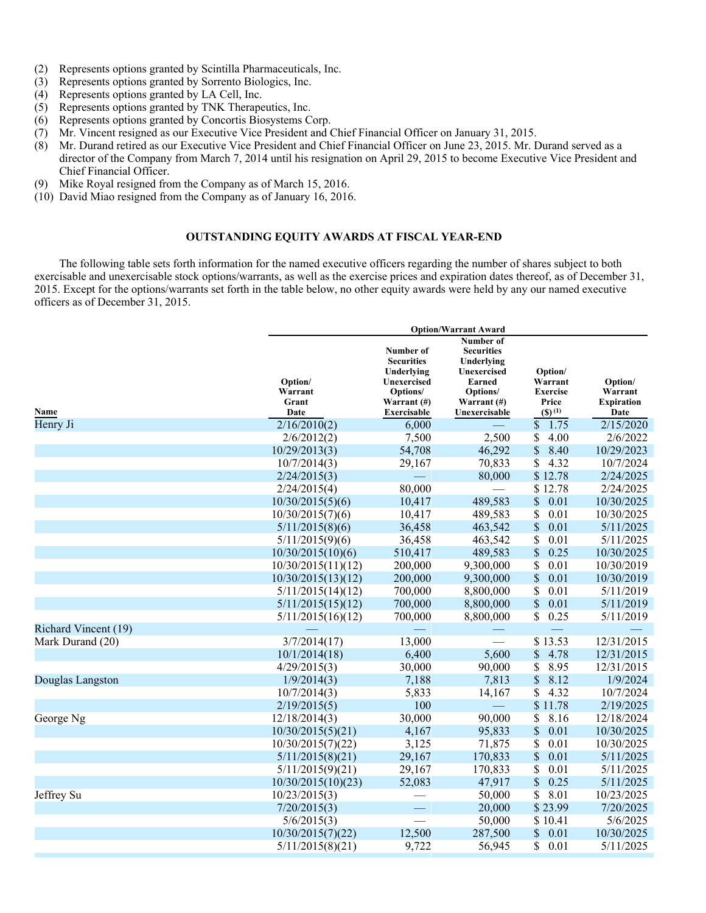- (2) Represents options granted by Scintilla Pharmaceuticals, Inc.
- (3) Represents options granted by Sorrento Biologics, Inc.
- (4) Represents options granted by LA Cell, Inc.
- (5) Represents options granted by TNK Therapeutics, Inc.
- (6) Represents options granted by Concortis Biosystems Corp.
- (7) Mr. Vincent resigned as our Executive Vice President and Chief Financial Officer on January 31, 2015.
- (8) Mr. Durand retired as our Executive Vice President and Chief Financial Officer on June 23, 2015. Mr. Durand served as a director of the Company from March 7, 2014 until his resignation on April 29, 2015 to become Executive Vice President and Chief Financial Officer.
- (9) Mike Royal resigned from the Company as of March 15, 2016.
- (10) David Miao resigned from the Company as of January 16, 2016.

# **OUTSTANDING EQUITY AWARDS AT FISCAL YEAR-END**

The following table sets forth information for the named executive officers regarding the number of shares subject to both exercisable and unexercisable stock options/warrants, as well as the exercise prices and expiration dates thereof, as of December 31, 2015. Except for the options/warrants set forth in the table below, no other equity awards were held by any our named executive officers as of December 31, 2015.

|                      |                                     | <b>Option/Warrant Award</b>                                                                                  |                                                                                                                          |                                                                                  |                                                 |
|----------------------|-------------------------------------|--------------------------------------------------------------------------------------------------------------|--------------------------------------------------------------------------------------------------------------------------|----------------------------------------------------------------------------------|-------------------------------------------------|
| Name                 | Option/<br>Warrant<br>Grant<br>Date | Number of<br><b>Securities</b><br>Underlying<br>Unexercised<br>Options/<br>Warrant (#)<br><b>Exercisable</b> | Number of<br><b>Securities</b><br>Underlying<br>Unexercised<br><b>Earned</b><br>Options/<br>Warrant (#)<br>Unexercisable | Option/<br>Warrant<br><b>Exercise</b><br>Price<br>$($ f(\$) $($ <sup>1</sup> $)$ | Option/<br>Warrant<br><b>Expiration</b><br>Date |
| Henry Ji             | 2/16/2010(2)                        | 6,000                                                                                                        |                                                                                                                          | 1.75<br>\$                                                                       | 2/15/2020                                       |
|                      | 2/6/2012(2)                         | 7,500                                                                                                        | 2,500                                                                                                                    | \$<br>4.00                                                                       | 2/6/2022                                        |
|                      | 10/29/2013(3)                       | 54,708                                                                                                       | 46,292                                                                                                                   | \$<br>8.40                                                                       | 10/29/2023                                      |
|                      | 10/7/2014(3)                        | 29,167                                                                                                       | 70,833                                                                                                                   | \$<br>4.32                                                                       | 10/7/2024                                       |
|                      | 2/24/2015(3)                        |                                                                                                              | 80,000                                                                                                                   | \$12.78                                                                          | 2/24/2025                                       |
|                      | 2/24/2015(4)                        | 80,000                                                                                                       |                                                                                                                          | \$12.78                                                                          | 2/24/2025                                       |
|                      | 10/30/2015(5)(6)                    | 10,417                                                                                                       | 489,583                                                                                                                  | $\$$<br>0.01                                                                     | 10/30/2025                                      |
|                      | 10/30/2015(7)(6)                    | 10,417                                                                                                       | 489,583                                                                                                                  | \$<br>0.01                                                                       | 10/30/2025                                      |
|                      | 5/11/2015(8)(6)                     | 36,458                                                                                                       | 463,542                                                                                                                  | \$<br>0.01                                                                       | 5/11/2025                                       |
|                      | 5/11/2015(9)(6)                     | 36,458                                                                                                       | 463,542                                                                                                                  | \$<br>0.01                                                                       | 5/11/2025                                       |
|                      | 10/30/2015(10)(6)                   | 510,417                                                                                                      | 489,583                                                                                                                  | \$<br>0.25                                                                       | 10/30/2025                                      |
|                      | 10/30/2015(11)(12)                  | 200,000                                                                                                      | 9,300,000                                                                                                                | \$<br>0.01                                                                       | 10/30/2019                                      |
|                      | 10/30/2015(13)(12)                  | 200,000                                                                                                      | 9,300,000                                                                                                                | \$<br>0.01                                                                       | 10/30/2019                                      |
|                      | 5/11/2015(14)(12)                   | 700,000                                                                                                      | 8,800,000                                                                                                                | \$<br>0.01                                                                       | 5/11/2019                                       |
|                      | 5/11/2015(15)(12)                   | 700,000                                                                                                      | 8,800,000                                                                                                                | \$<br>0.01                                                                       | 5/11/2019                                       |
|                      | 5/11/2015(16)(12)                   | 700,000                                                                                                      | 8,800,000                                                                                                                | \$<br>0.25                                                                       | 5/11/2019                                       |
| Richard Vincent (19) |                                     |                                                                                                              |                                                                                                                          |                                                                                  |                                                 |
| Mark Durand (20)     | 3/7/2014(17)                        | 13,000                                                                                                       |                                                                                                                          | \$13.53                                                                          | 12/31/2015                                      |
|                      | 10/1/2014(18)                       | 6,400                                                                                                        | 5,600                                                                                                                    | \$<br>4.78                                                                       | 12/31/2015                                      |
|                      | 4/29/2015(3)                        | 30,000                                                                                                       | 90,000                                                                                                                   | 8.95<br>\$                                                                       | 12/31/2015                                      |
| Douglas Langston     | 1/9/2014(3)                         | 7,188                                                                                                        | 7,813                                                                                                                    | \$<br>8.12                                                                       | 1/9/2024                                        |
|                      | 10/7/2014(3)                        | 5,833                                                                                                        | 14,167                                                                                                                   | \$<br>4.32                                                                       | 10/7/2024                                       |
|                      | 2/19/2015(5)                        | 100                                                                                                          |                                                                                                                          | \$11.78                                                                          | 2/19/2025                                       |
| George Ng            | 12/18/2014(3)                       | 30,000                                                                                                       | 90,000                                                                                                                   | \$<br>8.16                                                                       | 12/18/2024                                      |
|                      | 10/30/2015(5)(21)                   | 4,167                                                                                                        | 95,833                                                                                                                   | \$<br>0.01                                                                       | 10/30/2025                                      |
|                      | 10/30/2015(7)(22)                   | 3,125                                                                                                        | 71,875                                                                                                                   | \$<br>0.01                                                                       | 10/30/2025                                      |
|                      | 5/11/2015(8)(21)                    | 29,167                                                                                                       | 170,833                                                                                                                  | \$<br>0.01                                                                       | 5/11/2025                                       |
|                      | 5/11/2015(9)(21)                    | 29,167                                                                                                       | 170,833                                                                                                                  | \$<br>0.01                                                                       | 5/11/2025                                       |
|                      | 10/30/2015(10)(23)                  | 52,083                                                                                                       | 47,917                                                                                                                   | \$<br>0.25                                                                       | 5/11/2025                                       |
| Jeffrey Su           | 10/23/2015(3)                       |                                                                                                              | 50,000                                                                                                                   | \$<br>8.01                                                                       | 10/23/2025                                      |
|                      | 7/20/2015(3)                        |                                                                                                              | 20,000                                                                                                                   | \$23.99                                                                          | 7/20/2025                                       |
|                      | 5/6/2015(3)                         |                                                                                                              | 50,000                                                                                                                   | \$10.41                                                                          | 5/6/2025                                        |
|                      | 10/30/2015(7)(22)                   | 12,500                                                                                                       | 287,500                                                                                                                  | $\mathsf{\$}$<br>0.01                                                            | 10/30/2025                                      |
|                      | 5/11/2015(8)(21)                    | 9,722                                                                                                        | 56,945                                                                                                                   | \$<br>0.01                                                                       | 5/11/2025                                       |
|                      |                                     |                                                                                                              |                                                                                                                          |                                                                                  |                                                 |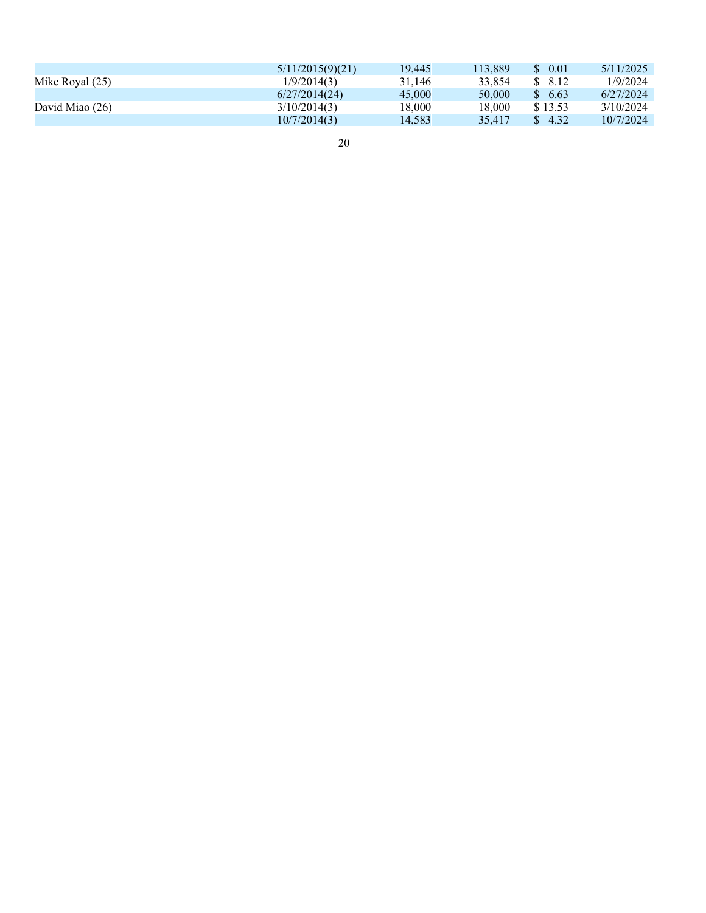|                 | 5/11/2015(9)(21) | 19.445 | 113.889 | \$ 0.01            | 5/11/2025 |
|-----------------|------------------|--------|---------|--------------------|-----------|
| Mike Royal (25) | 1/9/2014(3)      | 31.146 | 33.854  | \$ 8.12            | 1/9/2024  |
|                 | 6/27/2014(24)    | 45,000 | 50,000  | \$6.63             | 6/27/2024 |
| David Miao (26) | 3/10/2014(3)     | 18.000 | 18.000  | \$13.53            | 3/10/2024 |
|                 | 10/7/2014(3)     | 14.583 | 35.417  | $\frac{1}{2}$ 4.32 | 10/7/2024 |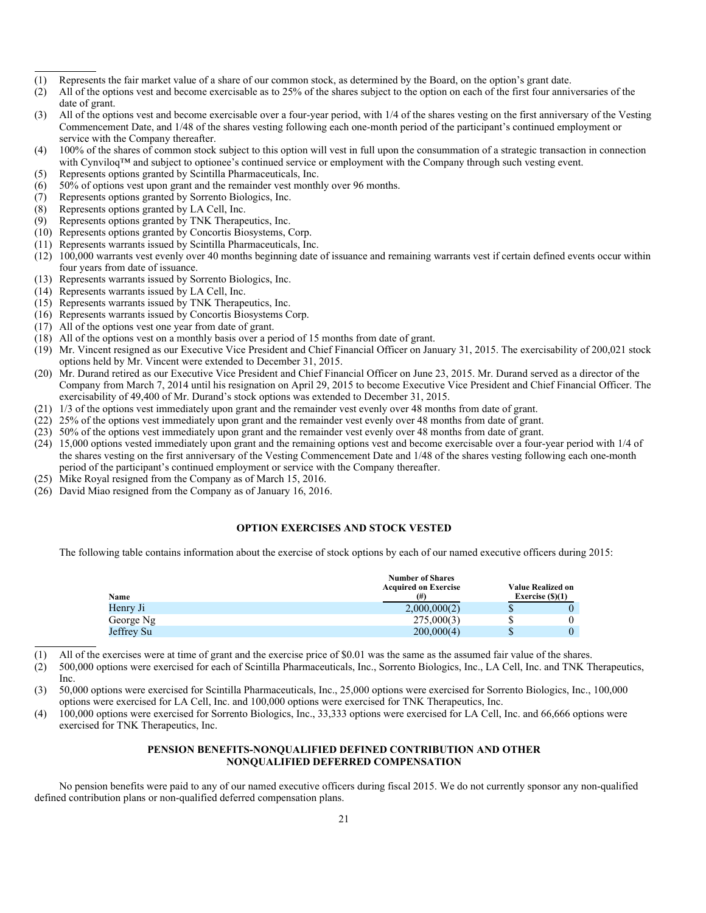- (1) Represents the fair market value of a share of our common stock, as determined by the Board, on the option's grant date.
- (2) All of the options vest and become exercisable as to 25% of the shares subject to the option on each of the first four anniversaries of the date of grant.
- (3) All of the options vest and become exercisable over a four-year period, with 1/4 of the shares vesting on the first anniversary of the Vesting Commencement Date, and 1/48 of the shares vesting following each one-month period of the participant's continued employment or service with the Company thereafter.
- (4) 100% of the shares of common stock subject to this option will vest in full upon the consummation of a strategic transaction in connection with Cynviloq™ and subject to optionee's continued service or employment with the Company through such vesting event.
- (5) Represents options granted by Scintilla Pharmaceuticals, Inc.
- (6) 50% of options vest upon grant and the remainder vest monthly over 96 months.
- (7) Represents options granted by Sorrento Biologics, Inc.
- (8) Represents options granted by LA Cell, Inc.
- (9) Represents options granted by TNK Therapeutics, Inc.
- (10) Represents options granted by Concortis Biosystems, Corp.
- (11) Represents warrants issued by Scintilla Pharmaceuticals, Inc.
- (12) 100,000 warrants vest evenly over 40 months beginning date of issuance and remaining warrants vest if certain defined events occur within four years from date of issuance.
- (13) Represents warrants issued by Sorrento Biologics, Inc.
- (14) Represents warrants issued by LA Cell, Inc.
- (15) Represents warrants issued by TNK Therapeutics, Inc.
- (16) Represents warrants issued by Concortis Biosystems Corp.
- (17) All of the options vest one year from date of grant.
- (18) All of the options vest on a monthly basis over a period of 15 months from date of grant.
- (19) Mr. Vincent resigned as our Executive Vice President and Chief Financial Officer on January 31, 2015. The exercisability of 200,021 stock options held by Mr. Vincent were extended to December 31, 2015.
- (20) Mr. Durand retired as our Executive Vice President and Chief Financial Officer on June 23, 2015. Mr. Durand served as a director of the Company from March 7, 2014 until his resignation on April 29, 2015 to become Executive Vice President and Chief Financial Officer. The exercisability of 49,400 of Mr. Durand's stock options was extended to December 31, 2015.
- (21) 1/3 of the options vest immediately upon grant and the remainder vest evenly over 48 months from date of grant.
- (22) 25% of the options vest immediately upon grant and the remainder vest evenly over 48 months from date of grant.
- (23) 50% of the options vest immediately upon grant and the remainder vest evenly over 48 months from date of grant.
- (24) 15,000 options vested immediately upon grant and the remaining options vest and become exercisable over a four-year period with 1/4 of the shares vesting on the first anniversary of the Vesting Commencement Date and 1/48 of the shares vesting following each one-month period of the participant's continued employment or service with the Company thereafter.
- (25) Mike Royal resigned from the Company as of March 15, 2016.
- (26) David Miao resigned from the Company as of January 16, 2016.

# **OPTION EXERCISES AND STOCK VESTED**

The following table contains information about the exercise of stock options by each of our named executive officers during 2015:

|            | <b>Number of Shares</b><br><b>Acquired on Exercise</b> |                    | Value Realized on |
|------------|--------------------------------------------------------|--------------------|-------------------|
| Name       | (# )                                                   | Exercise $(\$)(1)$ |                   |
| Henry Ji   | 2,000,000(2)                                           |                    |                   |
| George Ng  | 275,000(3)                                             |                    |                   |
| Jeffrey Su | 200,000(4)                                             |                    |                   |

(1) All of the exercises were at time of grant and the exercise price of \$0.01 was the same as the assumed fair value of the shares.

(2) 500,000 options were exercised for each of Scintilla Pharmaceuticals, Inc., Sorrento Biologics, Inc., LA Cell, Inc. and TNK Therapeutics, Inc.

(3) 50,000 options were exercised for Scintilla Pharmaceuticals, Inc., 25,000 options were exercised for Sorrento Biologics, Inc., 100,000 options were exercised for LA Cell, Inc. and 100,000 options were exercised for TNK Therapeutics, Inc.

(4) 100,000 options were exercised for Sorrento Biologics, Inc., 33,333 options were exercised for LA Cell, Inc. and 66,666 options were exercised for TNK Therapeutics, Inc.

#### **PENSION BENEFITS-NONQUALIFIED DEFINED CONTRIBUTION AND OTHER NONQUALIFIED DEFERRED COMPENSATION**

No pension benefits were paid to any of our named executive officers during fiscal 2015. We do not currently sponsor any non-qualified defined contribution plans or non-qualified deferred compensation plans.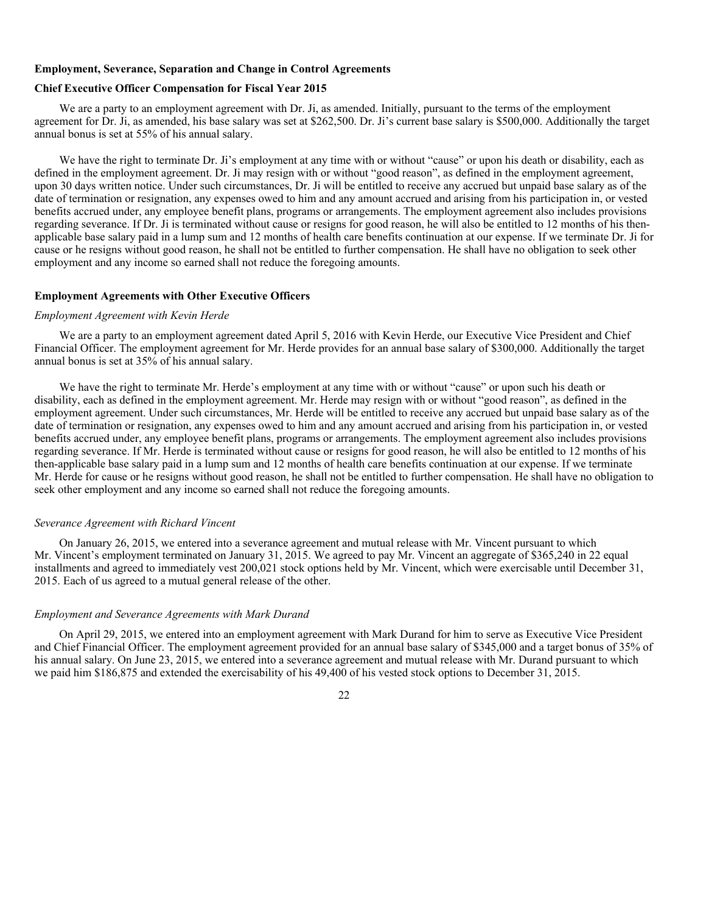# **Employment, Severance, Separation and Change in Control Agreements**

# **Chief Executive Officer Compensation for Fiscal Year 2015**

We are a party to an employment agreement with Dr. Ji, as amended. Initially, pursuant to the terms of the employment agreement for Dr. Ji, as amended, his base salary was set at \$262,500. Dr. Ji's current base salary is \$500,000. Additionally the target annual bonus is set at 55% of his annual salary.

We have the right to terminate Dr. Ji's employment at any time with or without "cause" or upon his death or disability, each as defined in the employment agreement. Dr. Ji may resign with or without "good reason", as defined in the employment agreement, upon 30 days written notice. Under such circumstances, Dr. Ji will be entitled to receive any accrued but unpaid base salary as of the date of termination or resignation, any expenses owed to him and any amount accrued and arising from his participation in, or vested benefits accrued under, any employee benefit plans, programs or arrangements. The employment agreement also includes provisions regarding severance. If Dr. Ji is terminated without cause or resigns for good reason, he will also be entitled to 12 months of his thenapplicable base salary paid in a lump sum and 12 months of health care benefits continuation at our expense. If we terminate Dr. Ji for cause or he resigns without good reason, he shall not be entitled to further compensation. He shall have no obligation to seek other employment and any income so earned shall not reduce the foregoing amounts.

#### **Employment Agreements with Other Executive Officers**

#### *Employment Agreement with Kevin Herde*

We are a party to an employment agreement dated April 5, 2016 with Kevin Herde, our Executive Vice President and Chief Financial Officer. The employment agreement for Mr. Herde provides for an annual base salary of \$300,000. Additionally the target annual bonus is set at 35% of his annual salary.

We have the right to terminate Mr. Herde's employment at any time with or without "cause" or upon such his death or disability, each as defined in the employment agreement. Mr. Herde may resign with or without "good reason", as defined in the employment agreement. Under such circumstances, Mr. Herde will be entitled to receive any accrued but unpaid base salary as of the date of termination or resignation, any expenses owed to him and any amount accrued and arising from his participation in, or vested benefits accrued under, any employee benefit plans, programs or arrangements. The employment agreement also includes provisions regarding severance. If Mr. Herde is terminated without cause or resigns for good reason, he will also be entitled to 12 months of his then-applicable base salary paid in a lump sum and 12 months of health care benefits continuation at our expense. If we terminate Mr. Herde for cause or he resigns without good reason, he shall not be entitled to further compensation. He shall have no obligation to seek other employment and any income so earned shall not reduce the foregoing amounts.

#### *Severance Agreement with Richard Vincent*

On January 26, 2015, we entered into a severance agreement and mutual release with Mr. Vincent pursuant to which Mr. Vincent's employment terminated on January 31, 2015. We agreed to pay Mr. Vincent an aggregate of \$365,240 in 22 equal installments and agreed to immediately vest 200,021 stock options held by Mr. Vincent, which were exercisable until December 31, 2015. Each of us agreed to a mutual general release of the other.

# *Employment and Severance Agreements with Mark Durand*

On April 29, 2015, we entered into an employment agreement with Mark Durand for him to serve as Executive Vice President and Chief Financial Officer. The employment agreement provided for an annual base salary of \$345,000 and a target bonus of 35% of his annual salary. On June 23, 2015, we entered into a severance agreement and mutual release with Mr. Durand pursuant to which we paid him \$186,875 and extended the exercisability of his 49,400 of his vested stock options to December 31, 2015.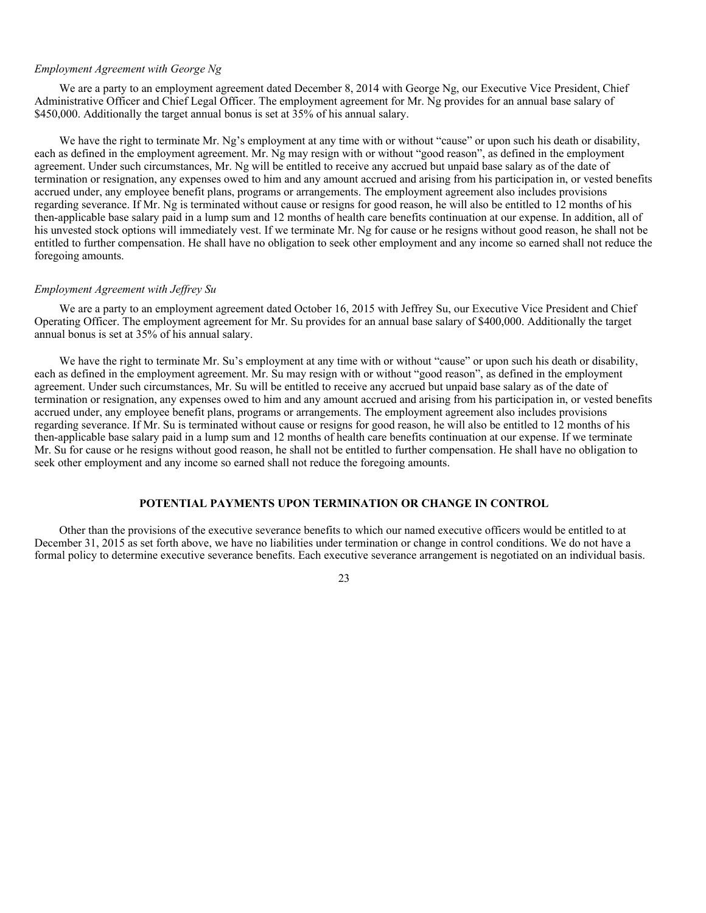# *Employment Agreement with George Ng*

We are a party to an employment agreement dated December 8, 2014 with George Ng, our Executive Vice President, Chief Administrative Officer and Chief Legal Officer. The employment agreement for Mr. Ng provides for an annual base salary of \$450,000. Additionally the target annual bonus is set at  $35\%$  of his annual salary.

We have the right to terminate Mr. Ng's employment at any time with or without "cause" or upon such his death or disability, each as defined in the employment agreement. Mr. Ng may resign with or without "good reason", as defined in the employment agreement. Under such circumstances, Mr. Ng will be entitled to receive any accrued but unpaid base salary as of the date of termination or resignation, any expenses owed to him and any amount accrued and arising from his participation in, or vested benefits accrued under, any employee benefit plans, programs or arrangements. The employment agreement also includes provisions regarding severance. If Mr. Ng is terminated without cause or resigns for good reason, he will also be entitled to 12 months of his then-applicable base salary paid in a lump sum and 12 months of health care benefits continuation at our expense. In addition, all of his unvested stock options will immediately vest. If we terminate Mr. Ng for cause or he resigns without good reason, he shall not be entitled to further compensation. He shall have no obligation to seek other employment and any income so earned shall not reduce the foregoing amounts.

#### *Employment Agreement with Jeffrey Su*

We are a party to an employment agreement dated October 16, 2015 with Jeffrey Su, our Executive Vice President and Chief Operating Officer. The employment agreement for Mr. Su provides for an annual base salary of \$400,000. Additionally the target annual bonus is set at 35% of his annual salary.

We have the right to terminate Mr. Su's employment at any time with or without "cause" or upon such his death or disability, each as defined in the employment agreement. Mr. Su may resign with or without "good reason", as defined in the employment agreement. Under such circumstances, Mr. Su will be entitled to receive any accrued but unpaid base salary as of the date of termination or resignation, any expenses owed to him and any amount accrued and arising from his participation in, or vested benefits accrued under, any employee benefit plans, programs or arrangements. The employment agreement also includes provisions regarding severance. If Mr. Su is terminated without cause or resigns for good reason, he will also be entitled to 12 months of his then-applicable base salary paid in a lump sum and 12 months of health care benefits continuation at our expense. If we terminate Mr. Su for cause or he resigns without good reason, he shall not be entitled to further compensation. He shall have no obligation to seek other employment and any income so earned shall not reduce the foregoing amounts.

# **POTENTIAL PAYMENTS UPON TERMINATION OR CHANGE IN CONTROL**

Other than the provisions of the executive severance benefits to which our named executive officers would be entitled to at December 31, 2015 as set forth above, we have no liabilities under termination or change in control conditions. We do not have a formal policy to determine executive severance benefits. Each executive severance arrangement is negotiated on an individual basis.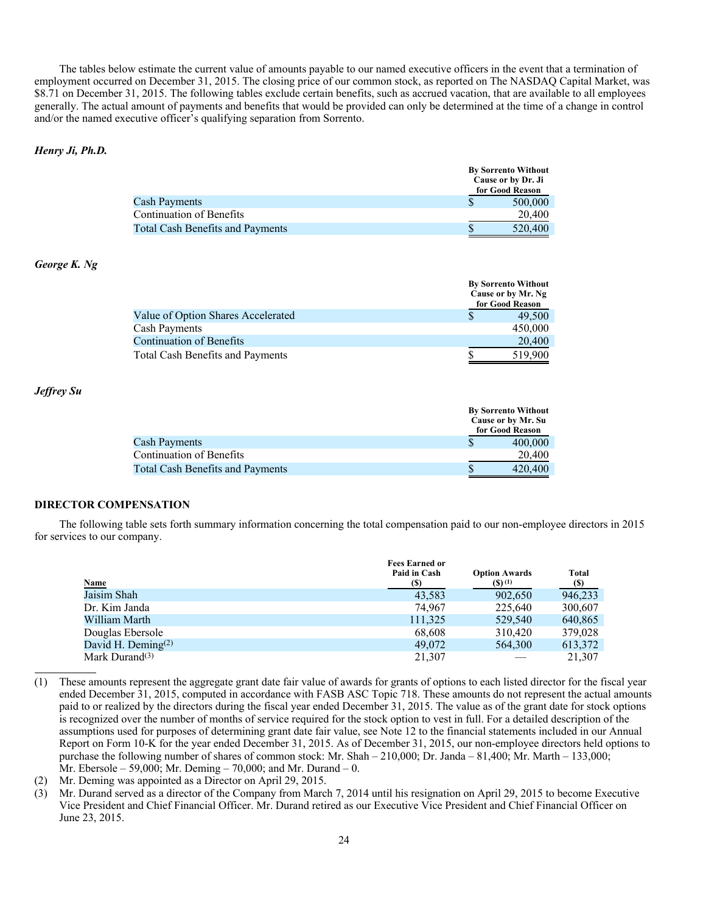The tables below estimate the current value of amounts payable to our named executive officers in the event that a termination of employment occurred on December 31, 2015. The closing price of our common stock, as reported on The NASDAQ Capital Market, was \$8.71 on December 31, 2015. The following tables exclude certain benefits, such as accrued vacation, that are available to all employees generally. The actual amount of payments and benefits that would be provided can only be determined at the time of a change in control and/or the named executive officer's qualifying separation from Sorrento.

#### *Henry Ji, Ph.D.*

|                                         | <b>By Sorrento Without</b><br>Cause or by Dr. Ji |         |
|-----------------------------------------|--------------------------------------------------|---------|
|                                         | for Good Reason                                  |         |
| Cash Payments                           |                                                  | 500,000 |
| Continuation of Benefits                |                                                  | 20,400  |
| <b>Total Cash Benefits and Payments</b> |                                                  | 520,400 |

# *George K. Ng*

|                                         | <b>By Sorrento Without</b><br>Cause or by Mr. Ng<br>for Good Reason |
|-----------------------------------------|---------------------------------------------------------------------|
| Value of Option Shares Accelerated      | 49,500                                                              |
| Cash Payments                           | 450,000                                                             |
| <b>Continuation of Benefits</b>         | 20,400                                                              |
| <b>Total Cash Benefits and Payments</b> | 519.900                                                             |

# *Jeffrey Su*

|                                         | <b>By Sorrento Without</b><br>Cause or by Mr. Su<br>for Good Reason |
|-----------------------------------------|---------------------------------------------------------------------|
| Cash Payments                           | 400,000                                                             |
| Continuation of Benefits                | 20,400                                                              |
| <b>Total Cash Benefits and Payments</b> | 420,400                                                             |

# **DIRECTOR COMPENSATION**

The following table sets forth summary information concerning the total compensation paid to our non-employee directors in 2015 for services to our company.

|                                | <b>Fees Earned or</b> |                      |              |
|--------------------------------|-----------------------|----------------------|--------------|
|                                | Paid in Cash          | <b>Option Awards</b> | <b>Total</b> |
|                                |                       | $(5)^{(1)}$          | <b>(S)</b>   |
| Name<br>Jaisim Shah            | 43,583                | 902,650              | 946,233      |
| Dr. Kim Janda                  | 74.967                | 225,640              | 300,607      |
| William Marth                  | 111,325               | 529,540              | 640,865      |
| Douglas Ebersole               | 68,608                | 310,420              | 379,028      |
| David H. Deming <sup>(2)</sup> | 49,072                | 564,300              | 613,372      |
| Mark Durand $(3)$              | 21,307                |                      | 21.307       |

(1) These amounts represent the aggregate grant date fair value of awards for grants of options to each listed director for the fiscal year ended December 31, 2015, computed in accordance with FASB ASC Topic 718. These amounts do not represent the actual amounts paid to or realized by the directors during the fiscal year ended December 31, 2015. The value as of the grant date for stock options is recognized over the number of months of service required for the stock option to vest in full. For a detailed description of the assumptions used for purposes of determining grant date fair value, see Note 12 to the financial statements included in our Annual Report on Form 10-K for the year ended December 31, 2015. As of December 31, 2015, our non-employee directors held options to purchase the following number of shares of common stock: Mr. Shah – 210,000; Dr. Janda – 81,400; Mr. Marth – 133,000; Mr. Ebersole – 59,000; Mr. Deming – 70,000; and Mr. Durand – 0.

(2) Mr. Deming was appointed as a Director on April 29, 2015.

(3) Mr. Durand served as a director of the Company from March 7, 2014 until his resignation on April 29, 2015 to become Executive Vice President and Chief Financial Officer. Mr. Durand retired as our Executive Vice President and Chief Financial Officer on June 23, 2015.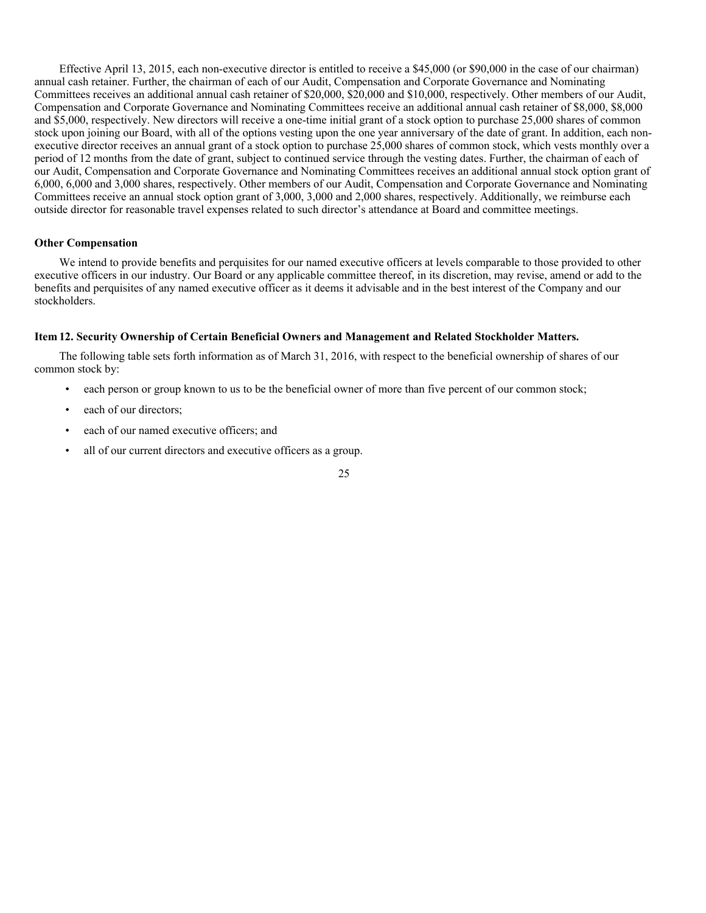Effective April 13, 2015, each non-executive director is entitled to receive a \$45,000 (or \$90,000 in the case of our chairman) annual cash retainer. Further, the chairman of each of our Audit, Compensation and Corporate Governance and Nominating Committees receives an additional annual cash retainer of \$20,000, \$20,000 and \$10,000, respectively. Other members of our Audit, Compensation and Corporate Governance and Nominating Committees receive an additional annual cash retainer of \$8,000, \$8,000 and \$5,000, respectively. New directors will receive a one-time initial grant of a stock option to purchase 25,000 shares of common stock upon joining our Board, with all of the options vesting upon the one year anniversary of the date of grant. In addition, each nonexecutive director receives an annual grant of a stock option to purchase 25,000 shares of common stock, which vests monthly over a period of 12 months from the date of grant, subject to continued service through the vesting dates. Further, the chairman of each of our Audit, Compensation and Corporate Governance and Nominating Committees receives an additional annual stock option grant of 6,000, 6,000 and 3,000 shares, respectively. Other members of our Audit, Compensation and Corporate Governance and Nominating Committees receive an annual stock option grant of 3,000, 3,000 and 2,000 shares, respectively. Additionally, we reimburse each outside director for reasonable travel expenses related to such director's attendance at Board and committee meetings.

# **Other Compensation**

We intend to provide benefits and perquisites for our named executive officers at levels comparable to those provided to other executive officers in our industry. Our Board or any applicable committee thereof, in its discretion, may revise, amend or add to the benefits and perquisites of any named executive officer as it deems it advisable and in the best interest of the Company and our stockholders.

#### **Item 12. Security Ownership of Certain Beneficial Owners and Management and Related Stockholder Matters.**

The following table sets forth information as of March 31, 2016, with respect to the beneficial ownership of shares of our common stock by:

- each person or group known to us to be the beneficial owner of more than five percent of our common stock;
- each of our directors;
- each of our named executive officers; and
- all of our current directors and executive officers as a group.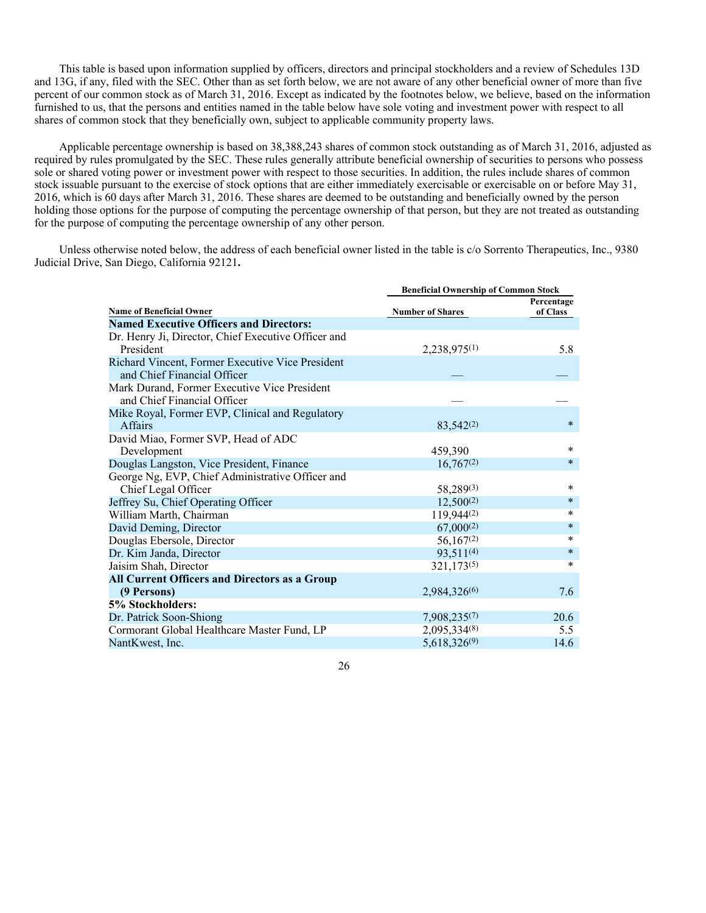This table is based upon information supplied by officers, directors and principal stockholders and a review of Schedules 13D and 13G, if any, filed with the SEC. Other than as set forth below, we are not aware of any other beneficial owner of more than five percent of our common stock as of March 31, 2016. Except as indicated by the footnotes below, we believe, based on the information furnished to us, that the persons and entities named in the table below have sole voting and investment power with respect to all shares of common stock that they beneficially own, subject to applicable community property laws.

Applicable percentage ownership is based on 38,388,243 shares of common stock outstanding as of March 31, 2016, adjusted as required by rules promulgated by the SEC. These rules generally attribute beneficial ownership of securities to persons who possess sole or shared voting power or investment power with respect to those securities. In addition, the rules include shares of common stock issuable pursuant to the exercise of stock options that are either immediately exercisable or exercisable on or before May 31, 2016, which is 60 days after March 31, 2016. These shares are deemed to be outstanding and beneficially owned by the person holding those options for the purpose of computing the percentage ownership of that person, but they are not treated as outstanding for the purpose of computing the percentage ownership of any other person.

Unless otherwise noted below, the address of each beneficial owner listed in the table is c/o Sorrento Therapeutics, Inc., 9380 Judicial Drive, San Diego, California 92121**.** 

|                                                                                 | <b>Beneficial Ownership of Common Stock</b> |                        |
|---------------------------------------------------------------------------------|---------------------------------------------|------------------------|
| <b>Name of Beneficial Owner</b>                                                 | <b>Number of Shares</b>                     | Percentage<br>of Class |
| <b>Named Executive Officers and Directors:</b>                                  |                                             |                        |
| Dr. Henry Ji, Director, Chief Executive Officer and                             |                                             |                        |
| President                                                                       | 2,238,975(1)                                | 5.8                    |
| Richard Vincent, Former Executive Vice President<br>and Chief Financial Officer |                                             |                        |
| Mark Durand, Former Executive Vice President<br>and Chief Financial Officer     |                                             |                        |
| Mike Royal, Former EVP, Clinical and Regulatory                                 |                                             |                        |
| <b>Affairs</b>                                                                  | 83,542 <sup>(2)</sup>                       | $\ast$                 |
| David Miao, Former SVP, Head of ADC                                             |                                             |                        |
| Development                                                                     | 459,390                                     | *                      |
| Douglas Langston, Vice President, Finance                                       | $16,767^{(2)}$                              | $\ast$                 |
| George Ng, EVP, Chief Administrative Officer and                                |                                             |                        |
| Chief Legal Officer                                                             | 58,289(3)                                   | *                      |
| Jeffrey Su, Chief Operating Officer                                             | $12,500^{(2)}$                              | $\ast$                 |
| William Marth, Chairman                                                         | 119,944(2)                                  | *                      |
| David Deming, Director                                                          | $67,000^{(2)}$                              | $\ast$                 |
| Douglas Ebersole, Director                                                      | $56,167^{(2)}$                              | *                      |
| Dr. Kim Janda, Director                                                         | 93,511(4)                                   | $\ast$                 |
| Jaisim Shah, Director                                                           | $321,173^{(5)}$                             | $\ast$                 |
| <b>All Current Officers and Directors as a Group</b>                            |                                             |                        |
| (9 Persons)                                                                     | 2,984,326(6)                                | 7.6                    |
| 5% Stockholders:                                                                |                                             |                        |
| Dr. Patrick Soon-Shiong                                                         | 7,908,235(7)                                | 20.6                   |
| Cormorant Global Healthcare Master Fund, LP                                     | 2,095,334(8)                                | 5.5                    |
| NantKwest, Inc.                                                                 | $5,618,326^{(9)}$                           | 14.6                   |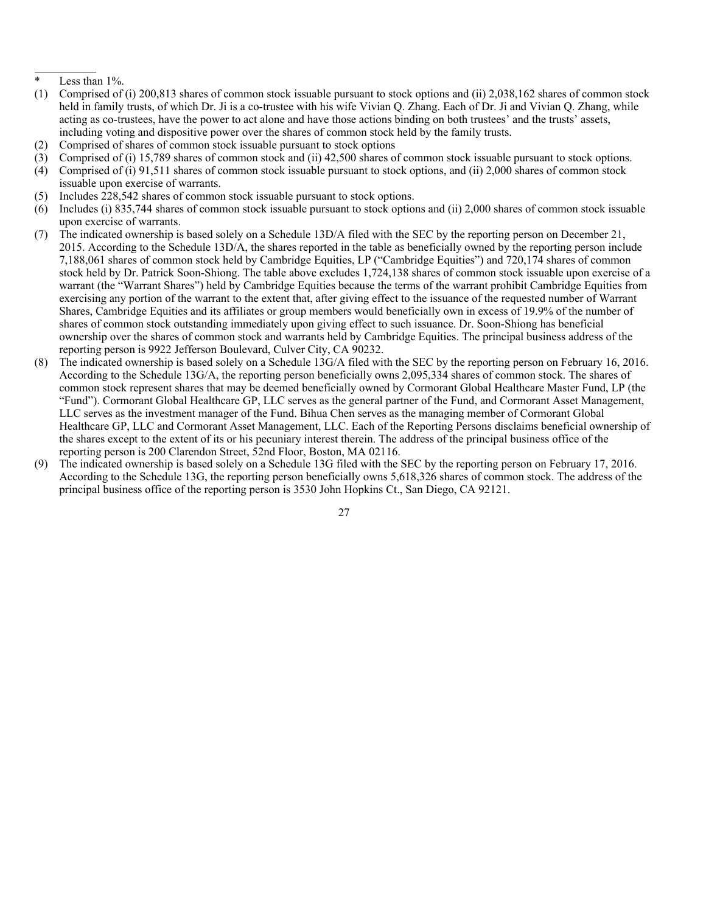# Less than  $1\%$ .

- (1) Comprised of (i) 200,813 shares of common stock issuable pursuant to stock options and (ii) 2,038,162 shares of common stock held in family trusts, of which Dr. Ji is a co-trustee with his wife Vivian Q. Zhang. Each of Dr. Ji and Vivian Q. Zhang, while acting as co-trustees, have the power to act alone and have those actions binding on both trustees' and the trusts' assets, including voting and dispositive power over the shares of common stock held by the family trusts.
- (2) Comprised of shares of common stock issuable pursuant to stock options
- (3) Comprised of (i) 15,789 shares of common stock and (ii) 42,500 shares of common stock issuable pursuant to stock options.
- (4) Comprised of (i) 91,511 shares of common stock issuable pursuant to stock options, and (ii) 2,000 shares of common stock issuable upon exercise of warrants.
- (5) Includes 228,542 shares of common stock issuable pursuant to stock options.
- (6) Includes (i) 835,744 shares of common stock issuable pursuant to stock options and (ii) 2,000 shares of common stock issuable upon exercise of warrants.
- (7) The indicated ownership is based solely on a Schedule 13D/A filed with the SEC by the reporting person on December 21, 2015. According to the Schedule 13D/A, the shares reported in the table as beneficially owned by the reporting person include 7,188,061 shares of common stock held by Cambridge Equities, LP ("Cambridge Equities") and 720,174 shares of common stock held by Dr. Patrick Soon-Shiong. The table above excludes 1,724,138 shares of common stock issuable upon exercise of a warrant (the "Warrant Shares") held by Cambridge Equities because the terms of the warrant prohibit Cambridge Equities from exercising any portion of the warrant to the extent that, after giving effect to the issuance of the requested number of Warrant Shares, Cambridge Equities and its affiliates or group members would beneficially own in excess of 19.9% of the number of shares of common stock outstanding immediately upon giving effect to such issuance. Dr. Soon-Shiong has beneficial ownership over the shares of common stock and warrants held by Cambridge Equities. The principal business address of the reporting person is 9922 Jefferson Boulevard, Culver City, CA 90232.
- (8) The indicated ownership is based solely on a Schedule 13G/A filed with the SEC by the reporting person on February 16, 2016. According to the Schedule 13G/A, the reporting person beneficially owns 2,095,334 shares of common stock. The shares of common stock represent shares that may be deemed beneficially owned by Cormorant Global Healthcare Master Fund, LP (the "Fund"). Cormorant Global Healthcare GP, LLC serves as the general partner of the Fund, and Cormorant Asset Management, LLC serves as the investment manager of the Fund. Bihua Chen serves as the managing member of Cormorant Global Healthcare GP, LLC and Cormorant Asset Management, LLC. Each of the Reporting Persons disclaims beneficial ownership of the shares except to the extent of its or his pecuniary interest therein. The address of the principal business office of the reporting person is 200 Clarendon Street, 52nd Floor, Boston, MA 02116.
- (9) The indicated ownership is based solely on a Schedule 13G filed with the SEC by the reporting person on February 17, 2016. According to the Schedule 13G, the reporting person beneficially owns 5,618,326 shares of common stock. The address of the principal business office of the reporting person is 3530 John Hopkins Ct., San Diego, CA 92121.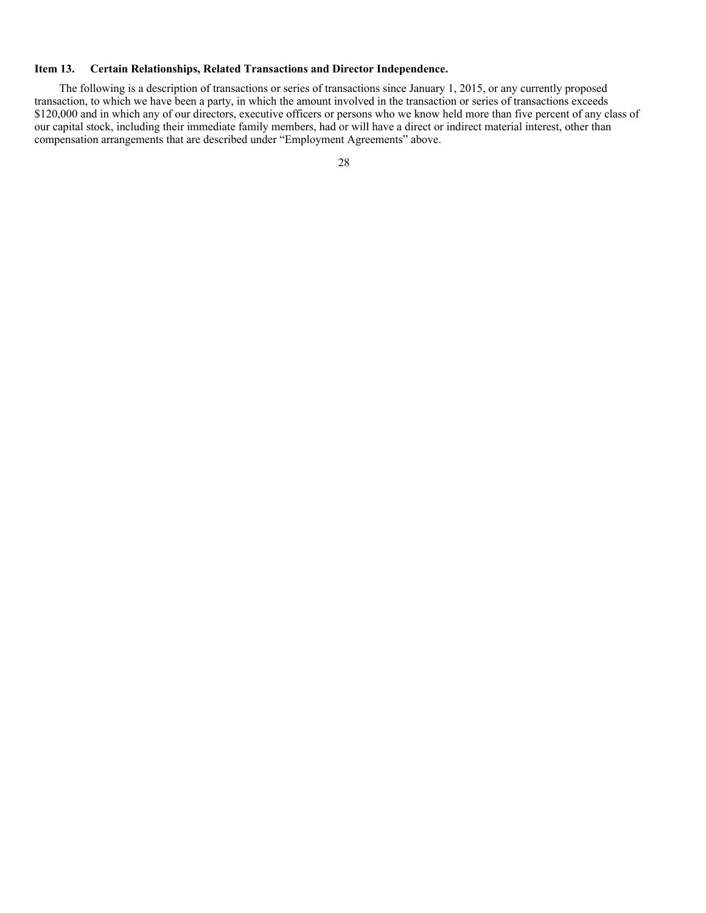# **Item 13. Certain Relationships, Related Transactions and Director Independence.**

The following is a description of transactions or series of transactions since January 1, 2015, or any currently proposed transaction, to which we have been a party, in which the amount involved in the transaction or series of transactions exceeds \$120,000 and in which any of our directors, executive officers or persons who we know held more than five percent of any class of our capital stock, including their immediate family members, had or will have a direct or indirect material interest, other than compensation arrangements that are described under "Employment Agreements" above.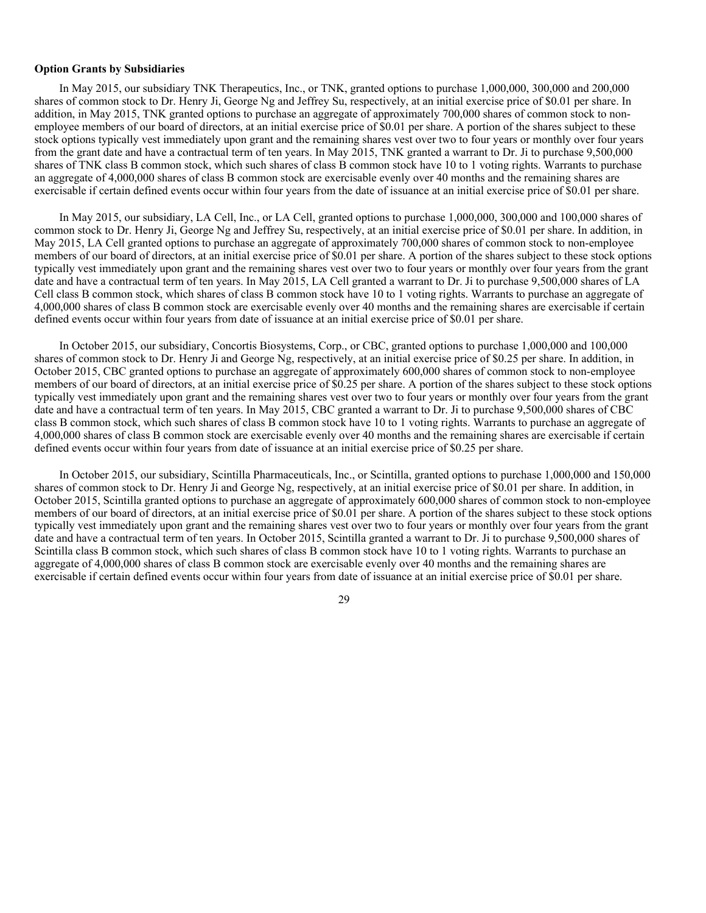# **Option Grants by Subsidiaries**

In May 2015, our subsidiary TNK Therapeutics, Inc., or TNK, granted options to purchase 1,000,000, 300,000 and 200,000 shares of common stock to Dr. Henry Ji, George Ng and Jeffrey Su, respectively, at an initial exercise price of \$0.01 per share. In addition, in May 2015, TNK granted options to purchase an aggregate of approximately 700,000 shares of common stock to nonemployee members of our board of directors, at an initial exercise price of \$0.01 per share. A portion of the shares subject to these stock options typically vest immediately upon grant and the remaining shares vest over two to four years or monthly over four years from the grant date and have a contractual term of ten years. In May 2015, TNK granted a warrant to Dr. Ji to purchase 9,500,000 shares of TNK class B common stock, which such shares of class B common stock have 10 to 1 voting rights. Warrants to purchase an aggregate of 4,000,000 shares of class B common stock are exercisable evenly over 40 months and the remaining shares are exercisable if certain defined events occur within four years from the date of issuance at an initial exercise price of \$0.01 per share.

In May 2015, our subsidiary, LA Cell, Inc., or LA Cell, granted options to purchase 1,000,000, 300,000 and 100,000 shares of common stock to Dr. Henry Ji, George Ng and Jeffrey Su, respectively, at an initial exercise price of \$0.01 per share. In addition, in May 2015, LA Cell granted options to purchase an aggregate of approximately 700,000 shares of common stock to non-employee members of our board of directors, at an initial exercise price of \$0.01 per share. A portion of the shares subject to these stock options typically vest immediately upon grant and the remaining shares vest over two to four years or monthly over four years from the grant date and have a contractual term of ten years. In May 2015, LA Cell granted a warrant to Dr. Ji to purchase 9,500,000 shares of LA Cell class B common stock, which shares of class B common stock have 10 to 1 voting rights. Warrants to purchase an aggregate of 4,000,000 shares of class B common stock are exercisable evenly over 40 months and the remaining shares are exercisable if certain defined events occur within four years from date of issuance at an initial exercise price of \$0.01 per share.

In October 2015, our subsidiary, Concortis Biosystems, Corp., or CBC, granted options to purchase 1,000,000 and 100,000 shares of common stock to Dr. Henry Ji and George Ng, respectively, at an initial exercise price of \$0.25 per share. In addition, in October 2015, CBC granted options to purchase an aggregate of approximately 600,000 shares of common stock to non-employee members of our board of directors, at an initial exercise price of \$0.25 per share. A portion of the shares subject to these stock options typically vest immediately upon grant and the remaining shares vest over two to four years or monthly over four years from the grant date and have a contractual term of ten years. In May 2015, CBC granted a warrant to Dr. Ji to purchase 9,500,000 shares of CBC class B common stock, which such shares of class B common stock have 10 to 1 voting rights. Warrants to purchase an aggregate of 4,000,000 shares of class B common stock are exercisable evenly over 40 months and the remaining shares are exercisable if certain defined events occur within four years from date of issuance at an initial exercise price of \$0.25 per share.

In October 2015, our subsidiary, Scintilla Pharmaceuticals, Inc., or Scintilla, granted options to purchase 1,000,000 and 150,000 shares of common stock to Dr. Henry Ji and George Ng, respectively, at an initial exercise price of \$0.01 per share. In addition, in October 2015, Scintilla granted options to purchase an aggregate of approximately 600,000 shares of common stock to non-employee members of our board of directors, at an initial exercise price of \$0.01 per share. A portion of the shares subject to these stock options typically vest immediately upon grant and the remaining shares vest over two to four years or monthly over four years from the grant date and have a contractual term of ten years. In October 2015, Scintilla granted a warrant to Dr. Ji to purchase 9,500,000 shares of Scintilla class B common stock, which such shares of class B common stock have 10 to 1 voting rights. Warrants to purchase an aggregate of 4,000,000 shares of class B common stock are exercisable evenly over 40 months and the remaining shares are exercisable if certain defined events occur within four years from date of issuance at an initial exercise price of \$0.01 per share.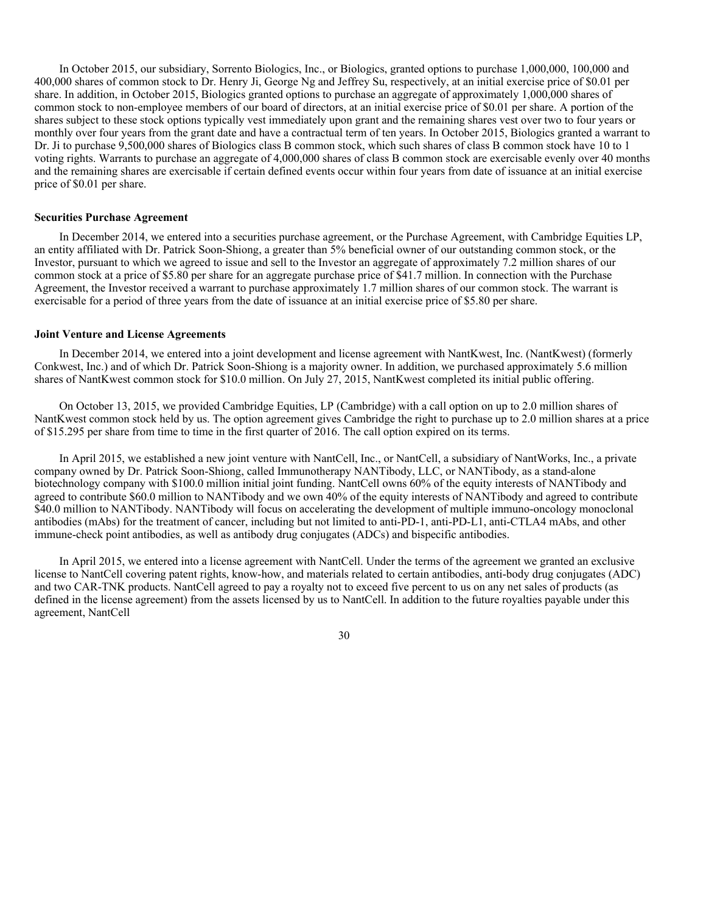In October 2015, our subsidiary, Sorrento Biologics, Inc., or Biologics, granted options to purchase 1,000,000, 100,000 and 400,000 shares of common stock to Dr. Henry Ji, George Ng and Jeffrey Su, respectively, at an initial exercise price of \$0.01 per share. In addition, in October 2015, Biologics granted options to purchase an aggregate of approximately 1,000,000 shares of common stock to non-employee members of our board of directors, at an initial exercise price of \$0.01 per share. A portion of the shares subject to these stock options typically vest immediately upon grant and the remaining shares vest over two to four years or monthly over four years from the grant date and have a contractual term of ten years. In October 2015, Biologics granted a warrant to Dr. Ji to purchase 9,500,000 shares of Biologics class B common stock, which such shares of class B common stock have 10 to 1 voting rights. Warrants to purchase an aggregate of 4,000,000 shares of class B common stock are exercisable evenly over 40 months and the remaining shares are exercisable if certain defined events occur within four years from date of issuance at an initial exercise price of \$0.01 per share.

#### **Securities Purchase Agreement**

In December 2014, we entered into a securities purchase agreement, or the Purchase Agreement, with Cambridge Equities LP, an entity affiliated with Dr. Patrick Soon-Shiong, a greater than 5% beneficial owner of our outstanding common stock, or the Investor, pursuant to which we agreed to issue and sell to the Investor an aggregate of approximately 7.2 million shares of our common stock at a price of \$5.80 per share for an aggregate purchase price of \$41.7 million. In connection with the Purchase Agreement, the Investor received a warrant to purchase approximately 1.7 million shares of our common stock. The warrant is exercisable for a period of three years from the date of issuance at an initial exercise price of \$5.80 per share.

#### **Joint Venture and License Agreements**

In December 2014, we entered into a joint development and license agreement with NantKwest, Inc. (NantKwest) (formerly Conkwest, Inc.) and of which Dr. Patrick Soon-Shiong is a majority owner. In addition, we purchased approximately 5.6 million shares of NantKwest common stock for \$10.0 million. On July 27, 2015, NantKwest completed its initial public offering.

On October 13, 2015, we provided Cambridge Equities, LP (Cambridge) with a call option on up to 2.0 million shares of NantKwest common stock held by us. The option agreement gives Cambridge the right to purchase up to 2.0 million shares at a price of \$15.295 per share from time to time in the first quarter of 2016. The call option expired on its terms.

In April 2015, we established a new joint venture with NantCell, Inc., or NantCell, a subsidiary of NantWorks, Inc., a private company owned by Dr. Patrick Soon-Shiong, called Immunotherapy NANTibody, LLC, or NANTibody, as a stand-alone biotechnology company with \$100.0 million initial joint funding. NantCell owns 60% of the equity interests of NANTibody and agreed to contribute \$60.0 million to NANTibody and we own 40% of the equity interests of NANTibody and agreed to contribute \$40.0 million to NANTibody. NANTibody will focus on accelerating the development of multiple immuno-oncology monoclonal antibodies (mAbs) for the treatment of cancer, including but not limited to anti-PD-1, anti-PD-L1, anti-CTLA4 mAbs, and other immune-check point antibodies, as well as antibody drug conjugates (ADCs) and bispecific antibodies.

In April 2015, we entered into a license agreement with NantCell. Under the terms of the agreement we granted an exclusive license to NantCell covering patent rights, know-how, and materials related to certain antibodies, anti-body drug conjugates (ADC) and two CAR-TNK products. NantCell agreed to pay a royalty not to exceed five percent to us on any net sales of products (as defined in the license agreement) from the assets licensed by us to NantCell. In addition to the future royalties payable under this agreement, NantCell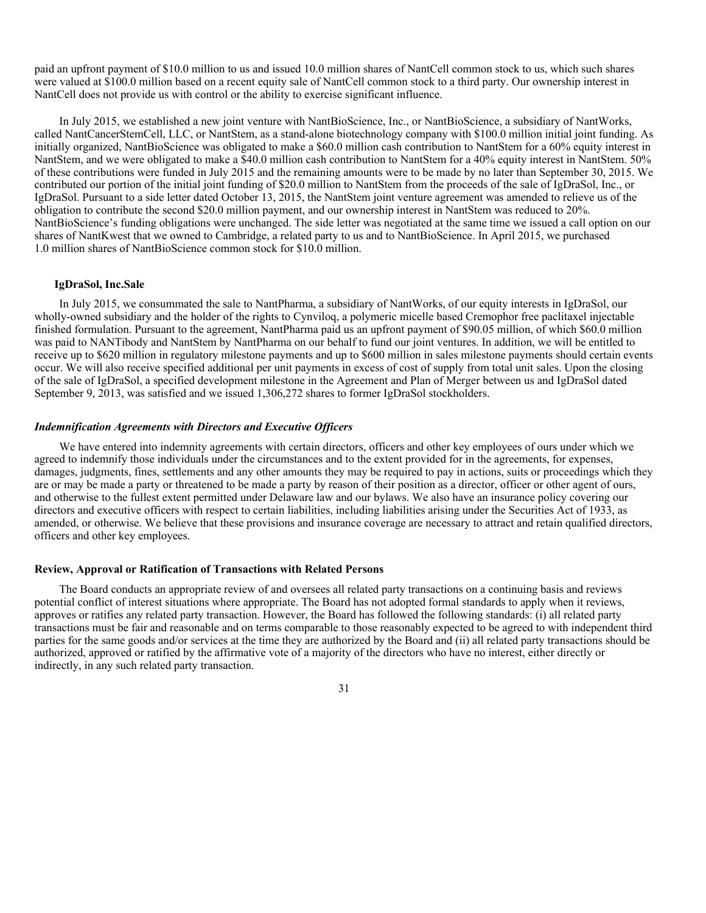paid an upfront payment of \$10.0 million to us and issued 10.0 million shares of NantCell common stock to us, which such shares were valued at \$100.0 million based on a recent equity sale of NantCell common stock to a third party. Our ownership interest in NantCell does not provide us with control or the ability to exercise significant influence.

In July 2015, we established a new joint venture with NantBioScience, Inc., or NantBioScience, a subsidiary of NantWorks, called NantCancerStemCell, LLC, or NantStem, as a stand-alone biotechnology company with \$100.0 million initial joint funding. As initially organized, NantBioScience was obligated to make a \$60.0 million cash contribution to NantStem for a 60% equity interest in NantStem, and we were obligated to make a \$40.0 million cash contribution to NantStem for a 40% equity interest in NantStem. 50% of these contributions were funded in July 2015 and the remaining amounts were to be made by no later than September 30, 2015. We contributed our portion of the initial joint funding of \$20.0 million to NantStem from the proceeds of the sale of IgDraSol, Inc., or IgDraSol. Pursuant to a side letter dated October 13, 2015, the NantStem joint venture agreement was amended to relieve us of the obligation to contribute the second \$20.0 million payment, and our ownership interest in NantStem was reduced to 20%. NantBioScience's funding obligations were unchanged. The side letter was negotiated at the same time we issued a call option on our shares of NantKwest that we owned to Cambridge, a related party to us and to NantBioScience. In April 2015, we purchased 1.0 million shares of NantBioScience common stock for \$10.0 million.

# **IgDraSol, Inc.Sale**

In July 2015, we consummated the sale to NantPharma, a subsidiary of NantWorks, of our equity interests in IgDraSol, our wholly-owned subsidiary and the holder of the rights to Cynviloq, a polymeric micelle based Cremophor free paclitaxel injectable finished formulation. Pursuant to the agreement, NantPharma paid us an upfront payment of \$90.05 million, of which \$60.0 million was paid to NANTibody and NantStem by NantPharma on our behalf to fund our joint ventures. In addition, we will be entitled to receive up to \$620 million in regulatory milestone payments and up to \$600 million in sales milestone payments should certain events occur. We will also receive specified additional per unit payments in excess of cost of supply from total unit sales. Upon the closing of the sale of IgDraSol, a specified development milestone in the Agreement and Plan of Merger between us and IgDraSol dated September 9, 2013, was satisfied and we issued 1,306,272 shares to former IgDraSol stockholders.

# *Indemnification Agreements with Directors and Executive Officers*

We have entered into indemnity agreements with certain directors, officers and other key employees of ours under which we agreed to indemnify those individuals under the circumstances and to the extent provided for in the agreements, for expenses, damages, judgments, fines, settlements and any other amounts they may be required to pay in actions, suits or proceedings which they are or may be made a party or threatened to be made a party by reason of their position as a director, officer or other agent of ours, and otherwise to the fullest extent permitted under Delaware law and our bylaws. We also have an insurance policy covering our directors and executive officers with respect to certain liabilities, including liabilities arising under the Securities Act of 1933, as amended, or otherwise. We believe that these provisions and insurance coverage are necessary to attract and retain qualified directors, officers and other key employees.

# **Review, Approval or Ratification of Transactions with Related Persons**

The Board conducts an appropriate review of and oversees all related party transactions on a continuing basis and reviews potential conflict of interest situations where appropriate. The Board has not adopted formal standards to apply when it reviews, approves or ratifies any related party transaction. However, the Board has followed the following standards: (i) all related party transactions must be fair and reasonable and on terms comparable to those reasonably expected to be agreed to with independent third parties for the same goods and/or services at the time they are authorized by the Board and (ii) all related party transactions should be authorized, approved or ratified by the affirmative vote of a majority of the directors who have no interest, either directly or indirectly, in any such related party transaction.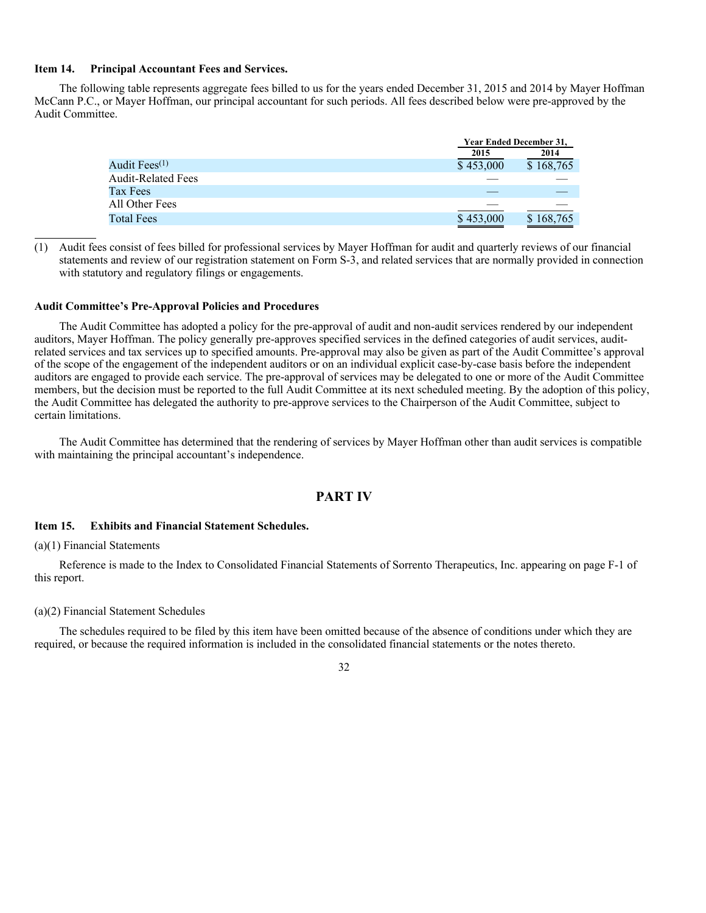#### **Item 14. Principal Accountant Fees and Services.**

The following table represents aggregate fees billed to us for the years ended December 31, 2015 and 2014 by Mayer Hoffman McCann P.C., or Mayer Hoffman, our principal accountant for such periods. All fees described below were pre-approved by the Audit Committee.

|                           |           | <b>Year Ended December 31,</b> |  |
|---------------------------|-----------|--------------------------------|--|
|                           | 2015      | 2014                           |  |
| Audit Fees $(1)$          | \$453,000 | \$168,765                      |  |
| <b>Audit-Related Fees</b> |           |                                |  |
| Tax Fees                  |           |                                |  |
| All Other Fees            |           |                                |  |
| <b>Total Fees</b>         | \$453,000 | \$168,765                      |  |

(1) Audit fees consist of fees billed for professional services by Mayer Hoffman for audit and quarterly reviews of our financial statements and review of our registration statement on Form S-3, and related services that are normally provided in connection with statutory and regulatory filings or engagements.

#### **Audit Committee's Pre-Approval Policies and Procedures**

The Audit Committee has adopted a policy for the pre-approval of audit and non-audit services rendered by our independent auditors, Mayer Hoffman. The policy generally pre-approves specified services in the defined categories of audit services, auditrelated services and tax services up to specified amounts. Pre-approval may also be given as part of the Audit Committee's approval of the scope of the engagement of the independent auditors or on an individual explicit case-by-case basis before the independent auditors are engaged to provide each service. The pre-approval of services may be delegated to one or more of the Audit Committee members, but the decision must be reported to the full Audit Committee at its next scheduled meeting. By the adoption of this policy, the Audit Committee has delegated the authority to pre-approve services to the Chairperson of the Audit Committee, subject to certain limitations.

The Audit Committee has determined that the rendering of services by Mayer Hoffman other than audit services is compatible with maintaining the principal accountant's independence.

# **PART IV**

#### **Item 15. Exhibits and Financial Statement Schedules.**

#### (a)(1) Financial Statements

Reference is made to the Index to Consolidated Financial Statements of Sorrento Therapeutics, Inc. appearing on page F-1 of this report.

# (a)(2) Financial Statement Schedules

The schedules required to be filed by this item have been omitted because of the absence of conditions under which they are required, or because the required information is included in the consolidated financial statements or the notes thereto.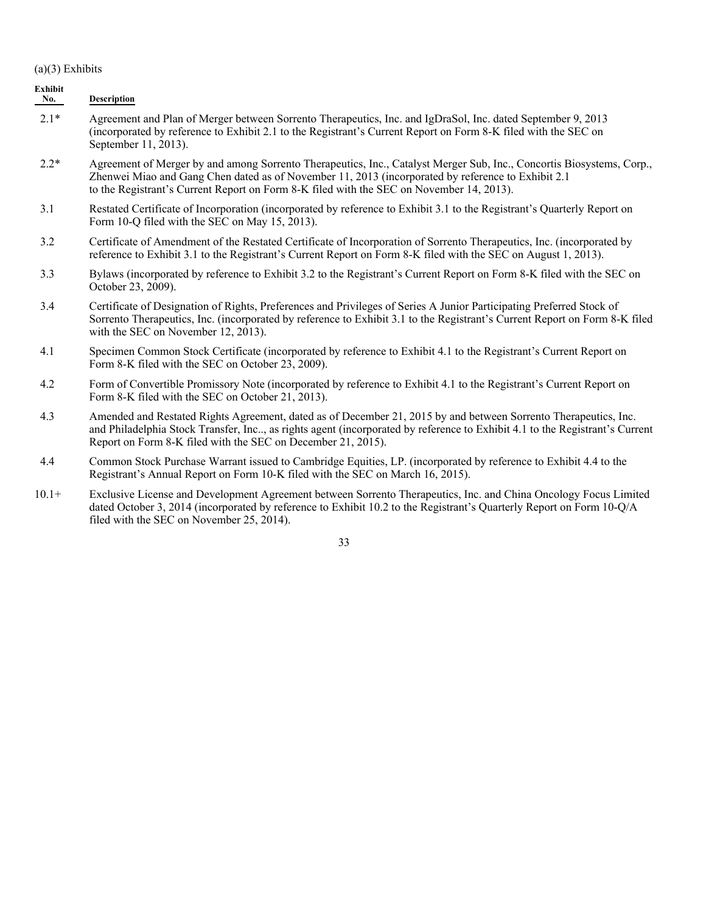# (a)(3) Exhibits

| <b>Exhibit</b><br>$\underline{\underline{\mathrm{No}}}.$ | Description                                                                                                                                                                                                                                                                                                             |
|----------------------------------------------------------|-------------------------------------------------------------------------------------------------------------------------------------------------------------------------------------------------------------------------------------------------------------------------------------------------------------------------|
| $2.1*$                                                   | Agreement and Plan of Merger between Sorrento Therapeutics, Inc. and IgDraSol, Inc. dated September 9, 2013<br>(incorporated by reference to Exhibit 2.1 to the Registrant's Current Report on Form 8-K filed with the SEC on<br>September 11, 2013).                                                                   |
| $2.2*$                                                   | Agreement of Merger by and among Sorrento Therapeutics, Inc., Catalyst Merger Sub, Inc., Concortis Biosystems, Corp.,<br>Zhenwei Miao and Gang Chen dated as of November 11, 2013 (incorporated by reference to Exhibit 2.1<br>to the Registrant's Current Report on Form 8-K filed with the SEC on November 14, 2013). |
| 3.1                                                      | Restated Certificate of Incorporation (incorporated by reference to Exhibit 3.1 to the Registrant's Quarterly Report on<br>Form 10-Q filed with the SEC on May 15, 2013).                                                                                                                                               |
| 3.2                                                      | Certificate of Amendment of the Restated Certificate of Incorporation of Sorrento Therapeutics, Inc. (incorporated by<br>reference to Exhibit 3.1 to the Registrant's Current Report on Form 8-K filed with the SEC on August 1, 2013).                                                                                 |
| 3.3                                                      | Bylaws (incorporated by reference to Exhibit 3.2 to the Registrant's Current Report on Form 8-K filed with the SEC on<br>October 23, 2009).                                                                                                                                                                             |
| 3.4                                                      | Certificate of Designation of Rights, Preferences and Privileges of Series A Junior Participating Preferred Stock of<br>Sorrento Therapeutics, Inc. (incorporated by reference to Exhibit 3.1 to the Registrant's Current Report on Form 8-K filed<br>with the SEC on November 12, 2013).                               |
| 4.1                                                      | Specimen Common Stock Certificate (incorporated by reference to Exhibit 4.1 to the Registrant's Current Report on<br>Form 8-K filed with the SEC on October 23, 2009).                                                                                                                                                  |
| 4.2                                                      | Form of Convertible Promissory Note (incorporated by reference to Exhibit 4.1 to the Registrant's Current Report on<br>Form 8-K filed with the SEC on October 21, 2013).                                                                                                                                                |
| 4.3                                                      | Amended and Restated Rights Agreement, dated as of December 21, 2015 by and between Sorrento Therapeutics, Inc.<br>and Philadelphia Stock Transfer, Inc, as rights agent (incorporated by reference to Exhibit 4.1 to the Registrant's Current<br>Report on Form 8-K filed with the SEC on December 21, 2015).          |
| 4.4                                                      | Common Stock Purchase Warrant issued to Cambridge Equities, LP. (incorporated by reference to Exhibit 4.4 to the<br>Registrant's Annual Report on Form 10-K filed with the SEC on March 16, 2015).                                                                                                                      |
|                                                          |                                                                                                                                                                                                                                                                                                                         |

10.1+ Exclusive License and Development Agreement between Sorrento Therapeutics, Inc. and China Oncology Focus Limited dated October 3, 2014 (incorporated by reference to Exhibit 10.2 to the Registrant's Quarterly Report on Form 10-Q/A filed with the SEC on November 25, 2014).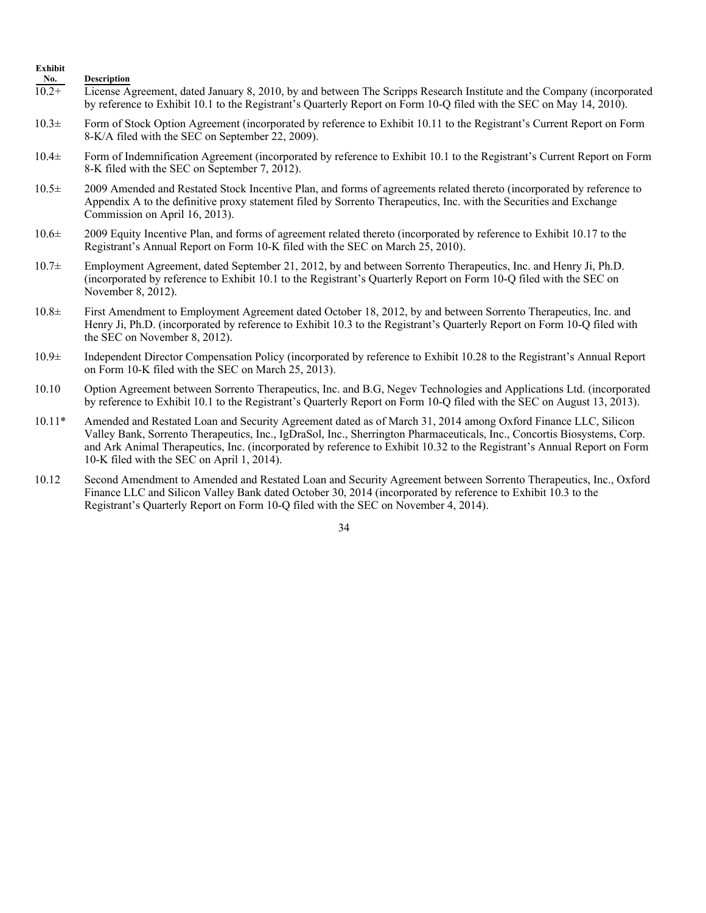# **Exhibit**

- **No. Description**<br>10.2+ **License A** License Agreement, dated January 8, 2010, by and between The Scripps Research Institute and the Company (incorporated by reference to Exhibit 10.1 to the Registrant's Quarterly Report on Form 10-Q filed with the SEC on May 14, 2010).
- 10.3± Form of Stock Option Agreement (incorporated by reference to Exhibit 10.11 to the Registrant's Current Report on Form 8-K/A filed with the SEC on September 22, 2009).
- 10.4± Form of Indemnification Agreement (incorporated by reference to Exhibit 10.1 to the Registrant's Current Report on Form 8-K filed with the SEC on September 7, 2012).
- 10.5± 2009 Amended and Restated Stock Incentive Plan, and forms of agreements related thereto (incorporated by reference to Appendix A to the definitive proxy statement filed by Sorrento Therapeutics, Inc. with the Securities and Exchange Commission on April 16, 2013).
- 10.6± 2009 Equity Incentive Plan, and forms of agreement related thereto (incorporated by reference to Exhibit 10.17 to the Registrant's Annual Report on Form 10-K filed with the SEC on March 25, 2010).
- 10.7± Employment Agreement, dated September 21, 2012, by and between Sorrento Therapeutics, Inc. and Henry Ji, Ph.D. (incorporated by reference to Exhibit 10.1 to the Registrant's Quarterly Report on Form 10-Q filed with the SEC on November 8, 2012).
- 10.8± First Amendment to Employment Agreement dated October 18, 2012, by and between Sorrento Therapeutics, Inc. and Henry Ji, Ph.D. (incorporated by reference to Exhibit 10.3 to the Registrant's Quarterly Report on Form 10-Q filed with the SEC on November 8, 2012).
- 10.9± Independent Director Compensation Policy (incorporated by reference to Exhibit 10.28 to the Registrant's Annual Report on Form 10-K filed with the SEC on March 25, 2013).
- 10.10 Option Agreement between Sorrento Therapeutics, Inc. and B.G, Negev Technologies and Applications Ltd. (incorporated by reference to Exhibit 10.1 to the Registrant's Quarterly Report on Form 10-Q filed with the SEC on August 13, 2013).
- 10.11\* Amended and Restated Loan and Security Agreement dated as of March 31, 2014 among Oxford Finance LLC, Silicon Valley Bank, Sorrento Therapeutics, Inc., IgDraSol, Inc., Sherrington Pharmaceuticals, Inc., Concortis Biosystems, Corp. and Ark Animal Therapeutics, Inc. (incorporated by reference to Exhibit 10.32 to the Registrant's Annual Report on Form 10-K filed with the SEC on April 1, 2014).
- 10.12 Second Amendment to Amended and Restated Loan and Security Agreement between Sorrento Therapeutics, Inc., Oxford Finance LLC and Silicon Valley Bank dated October 30, 2014 (incorporated by reference to Exhibit 10.3 to the Registrant's Quarterly Report on Form 10-Q filed with the SEC on November 4, 2014).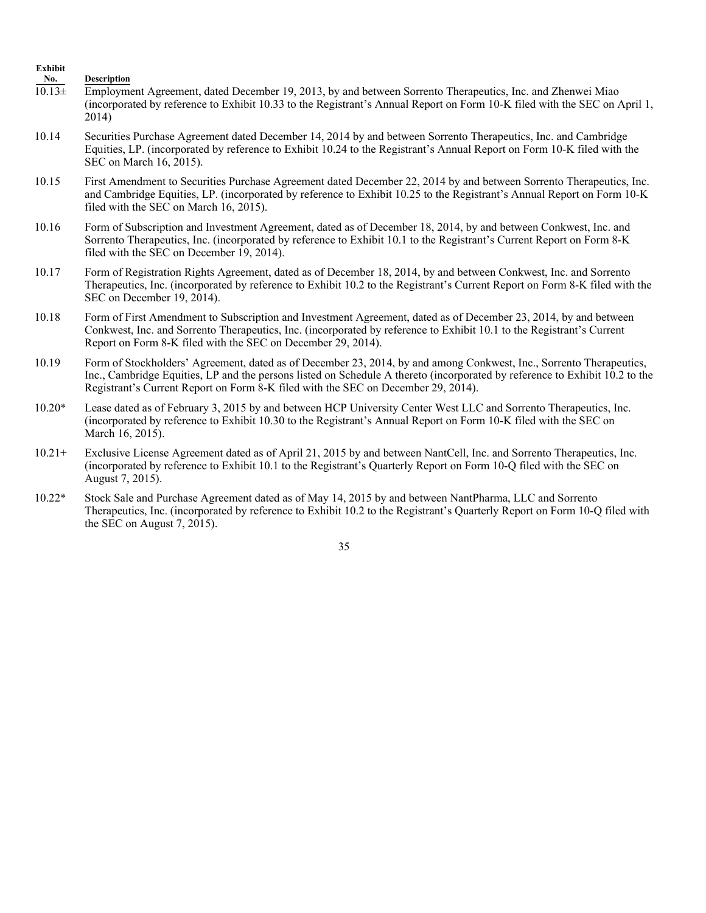**Exhibit**

#### **No. Description**

- $\overline{10.13\pm}$  Employment Agreement, dated December 19, 2013, by and between Sorrento Therapeutics, Inc. and Zhenwei Miao (incorporated by reference to Exhibit 10.33 to the Registrant's Annual Report on Form 10-K filed with the SEC on April 1, 2014)
- 10.14 Securities Purchase Agreement dated December 14, 2014 by and between Sorrento Therapeutics, Inc. and Cambridge Equities, LP. (incorporated by reference to Exhibit 10.24 to the Registrant's Annual Report on Form 10-K filed with the SEC on March 16, 2015).
- 10.15 First Amendment to Securities Purchase Agreement dated December 22, 2014 by and between Sorrento Therapeutics, Inc. and Cambridge Equities, LP. (incorporated by reference to Exhibit 10.25 to the Registrant's Annual Report on Form 10-K filed with the SEC on March 16, 2015).
- 10.16 Form of Subscription and Investment Agreement, dated as of December 18, 2014, by and between Conkwest, Inc. and Sorrento Therapeutics, Inc. (incorporated by reference to Exhibit 10.1 to the Registrant's Current Report on Form 8-K filed with the SEC on December 19, 2014).
- 10.17 Form of Registration Rights Agreement, dated as of December 18, 2014, by and between Conkwest, Inc. and Sorrento Therapeutics, Inc. (incorporated by reference to Exhibit 10.2 to the Registrant's Current Report on Form 8-K filed with the SEC on December 19, 2014).
- 10.18 Form of First Amendment to Subscription and Investment Agreement, dated as of December 23, 2014, by and between Conkwest, Inc. and Sorrento Therapeutics, Inc. (incorporated by reference to Exhibit 10.1 to the Registrant's Current Report on Form 8-K filed with the SEC on December 29, 2014).
- 10.19 Form of Stockholders' Agreement, dated as of December 23, 2014, by and among Conkwest, Inc., Sorrento Therapeutics, Inc., Cambridge Equities, LP and the persons listed on Schedule A thereto (incorporated by reference to Exhibit 10.2 to the Registrant's Current Report on Form 8-K filed with the SEC on December 29, 2014).
- 10.20\* Lease dated as of February 3, 2015 by and between HCP University Center West LLC and Sorrento Therapeutics, Inc. (incorporated by reference to Exhibit 10.30 to the Registrant's Annual Report on Form 10-K filed with the SEC on March 16, 2015).
- 10.21+ Exclusive License Agreement dated as of April 21, 2015 by and between NantCell, Inc. and Sorrento Therapeutics, Inc. (incorporated by reference to Exhibit 10.1 to the Registrant's Quarterly Report on Form 10-Q filed with the SEC on August 7, 2015).
- 10.22\* Stock Sale and Purchase Agreement dated as of May 14, 2015 by and between NantPharma, LLC and Sorrento Therapeutics, Inc. (incorporated by reference to Exhibit 10.2 to the Registrant's Quarterly Report on Form 10-Q filed with the SEC on August 7, 2015).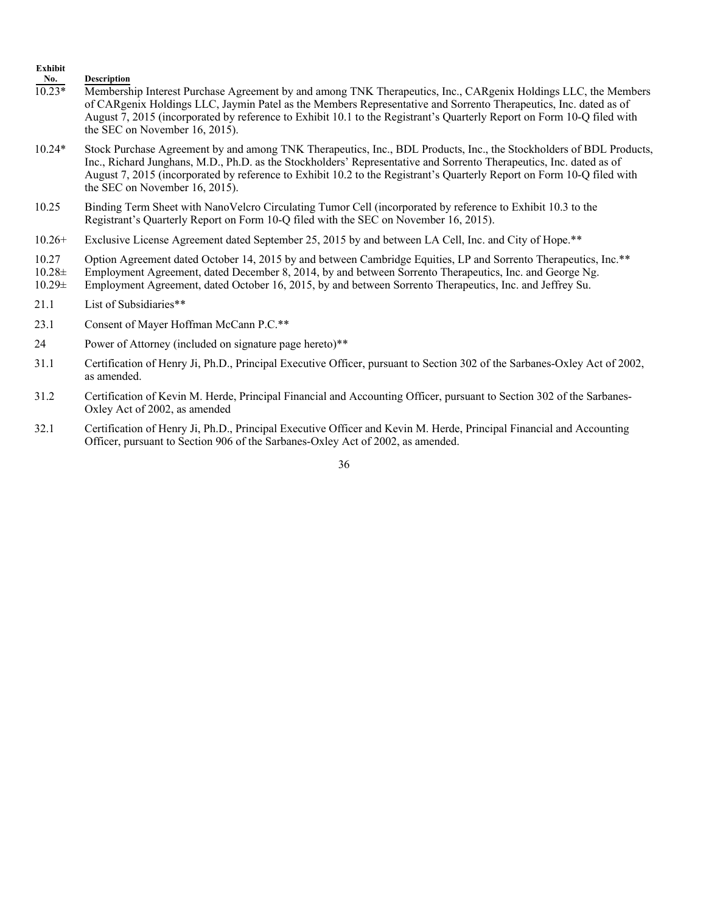#### **Exhibit**

# **No. Description**<br>10.23<sup>\*</sup> **Membersh**

- Membership Interest Purchase Agreement by and among TNK Therapeutics, Inc., CARgenix Holdings LLC, the Members of CARgenix Holdings LLC, Jaymin Patel as the Members Representative and Sorrento Therapeutics, Inc. dated as of August 7, 2015 (incorporated by reference to Exhibit 10.1 to the Registrant's Quarterly Report on Form 10-Q filed with the SEC on November 16, 2015).
- 10.24\* Stock Purchase Agreement by and among TNK Therapeutics, Inc., BDL Products, Inc., the Stockholders of BDL Products, Inc., Richard Junghans, M.D., Ph.D. as the Stockholders' Representative and Sorrento Therapeutics, Inc. dated as of August 7, 2015 (incorporated by reference to Exhibit 10.2 to the Registrant's Quarterly Report on Form 10-Q filed with the SEC on November 16, 2015).
- 10.25 Binding Term Sheet with NanoVelcro Circulating Tumor Cell (incorporated by reference to Exhibit 10.3 to the Registrant's Quarterly Report on Form 10-Q filed with the SEC on November 16, 2015).
- 10.26+ Exclusive License Agreement dated September 25, 2015 by and between LA Cell, Inc. and City of Hope.\*\*
- 10.27 Option Agreement dated October 14, 2015 by and between Cambridge Equities, LP and Sorrento Therapeutics, Inc.\*\*
- 10.28± Employment Agreement, dated December 8, 2014, by and between Sorrento Therapeutics, Inc. and George Ng.
- 10.29± Employment Agreement, dated October 16, 2015, by and between Sorrento Therapeutics, Inc. and Jeffrey Su.
- 21.1 List of Subsidiaries\*\*
- 23.1 Consent of Mayer Hoffman McCann P.C.\*\*
- 24 Power of Attorney (included on signature page hereto)<sup>\*\*</sup>
- 31.1 Certification of Henry Ji, Ph.D., Principal Executive Officer, pursuant to Section 302 of the Sarbanes-Oxley Act of 2002, as amended.
- 31.2 Certification of Kevin M. Herde, Principal Financial and Accounting Officer, pursuant to Section 302 of the Sarbanes-Oxley Act of 2002, as amended
- 32.1 Certification of Henry Ji, Ph.D., Principal Executive Officer and Kevin M. Herde, Principal Financial and Accounting Officer, pursuant to Section 906 of the Sarbanes-Oxley Act of 2002, as amended.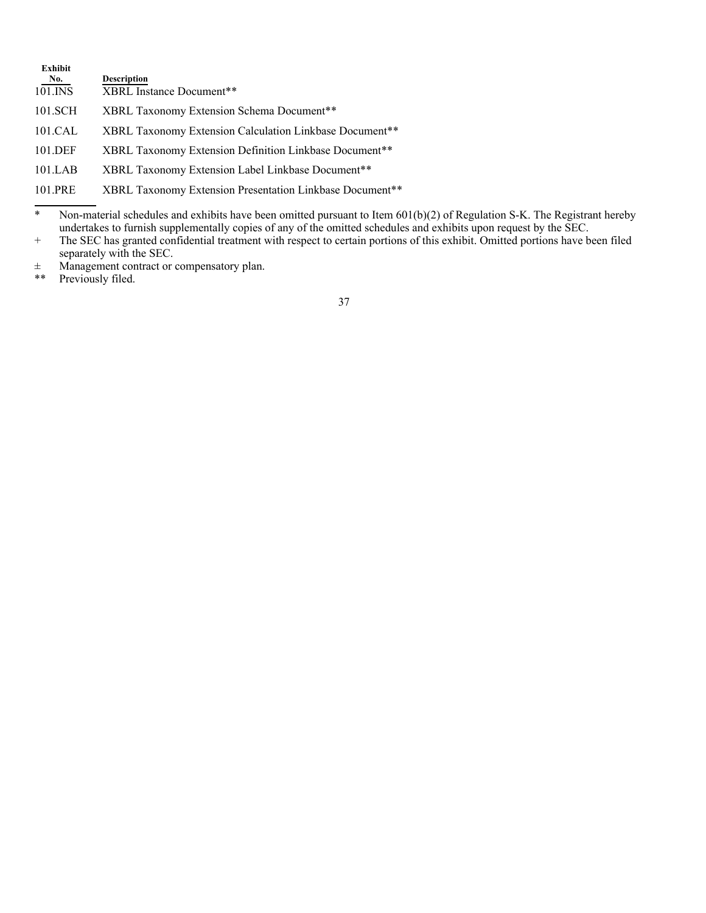| <b>Exhibit</b><br>No.<br>101.INS | <b>Description</b><br>XBRL Instance Document**           |
|----------------------------------|----------------------------------------------------------|
| 101.SCH                          | XBRL Taxonomy Extension Schema Document**                |
| 101.CAL                          | XBRL Taxonomy Extension Calculation Linkbase Document**  |
| 101.DEF                          | XBRL Taxonomy Extension Definition Linkbase Document**   |
| 101.LAB                          | XBRL Taxonomy Extension Label Linkbase Document**        |
| 101.PRE                          | XBRL Taxonomy Extension Presentation Linkbase Document** |

<sup>\*</sup> Non-material schedules and exhibits have been omitted pursuant to Item 601(b)(2) of Regulation S-K. The Registrant hereby undertakes to furnish supplementally copies of any of the omitted schedules and exhibits upon request by the SEC.

 $\pm$  Management contract or compensatory plan.<br>\*\* Previously filed

Previously filed.

<sup>+</sup> The SEC has granted confidential treatment with respect to certain portions of this exhibit. Omitted portions have been filed separately with the SEC.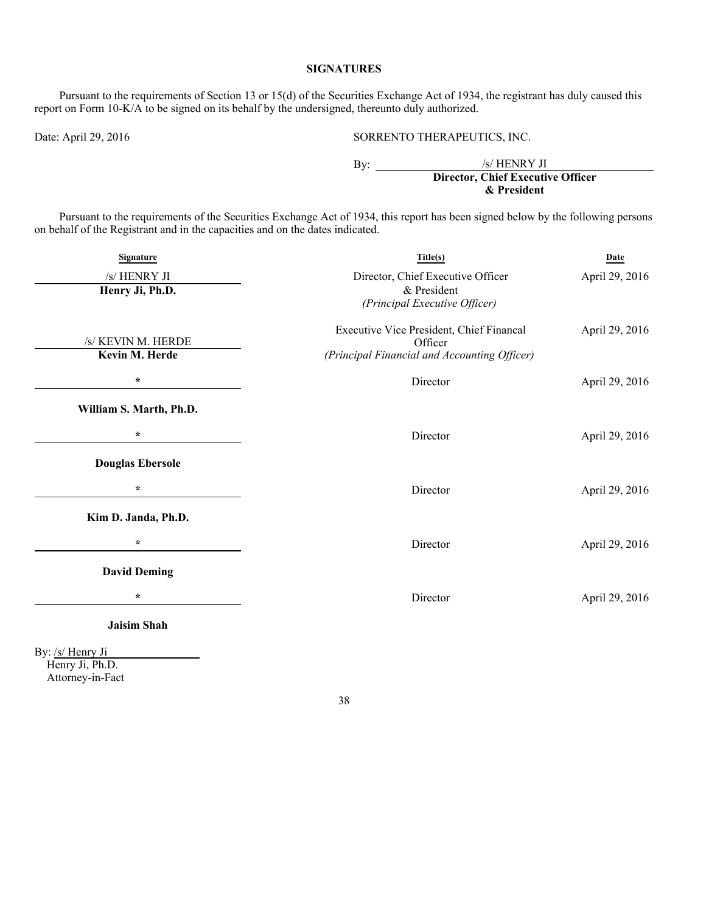#### **SIGNATURES**

Pursuant to the requirements of Section 13 or 15(d) of the Securities Exchange Act of 1934, the registrant has duly caused this report on Form 10-K/A to be signed on its behalf by the undersigned, thereunto duly authorized.

#### Date: April 29, 2016 SORRENTO THERAPEUTICS, INC.

By:  $\sqrt{s/HENRYJI}$ **Director, Chief Executive Officer & President**

Pursuant to the requirements of the Securities Exchange Act of 1934, this report has been signed below by the following persons on behalf of the Registrant and in the capacities and on the dates indicated.

| Signature                       | Title(s)                                            | Date           |
|---------------------------------|-----------------------------------------------------|----------------|
| /s/ HENRY JI<br>Henry Ji, Ph.D. | Director, Chief Executive Officer<br>& President    | April 29, 2016 |
|                                 | (Principal Executive Officer)                       |                |
| /s/ KEVIN M. HERDE              | Executive Vice President, Chief Financal<br>Officer | April 29, 2016 |
| Kevin M. Herde                  | (Principal Financial and Accounting Officer)        |                |
| $\star$                         | Director                                            | April 29, 2016 |
| William S. Marth, Ph.D.         |                                                     |                |
| $\star$                         | Director                                            | April 29, 2016 |
| <b>Douglas Ebersole</b>         |                                                     |                |
| $\star$                         | Director                                            | April 29, 2016 |
| Kim D. Janda, Ph.D.             |                                                     |                |
| $\star$                         | Director                                            | April 29, 2016 |
| <b>David Deming</b>             |                                                     |                |
| $\star$                         | Director                                            | April 29, 2016 |
| <b>Jaisim Shah</b>              |                                                     |                |
| By: /s/ Henry Ji                |                                                     |                |

Henry Ji, Ph.D. Attorney-in-Fact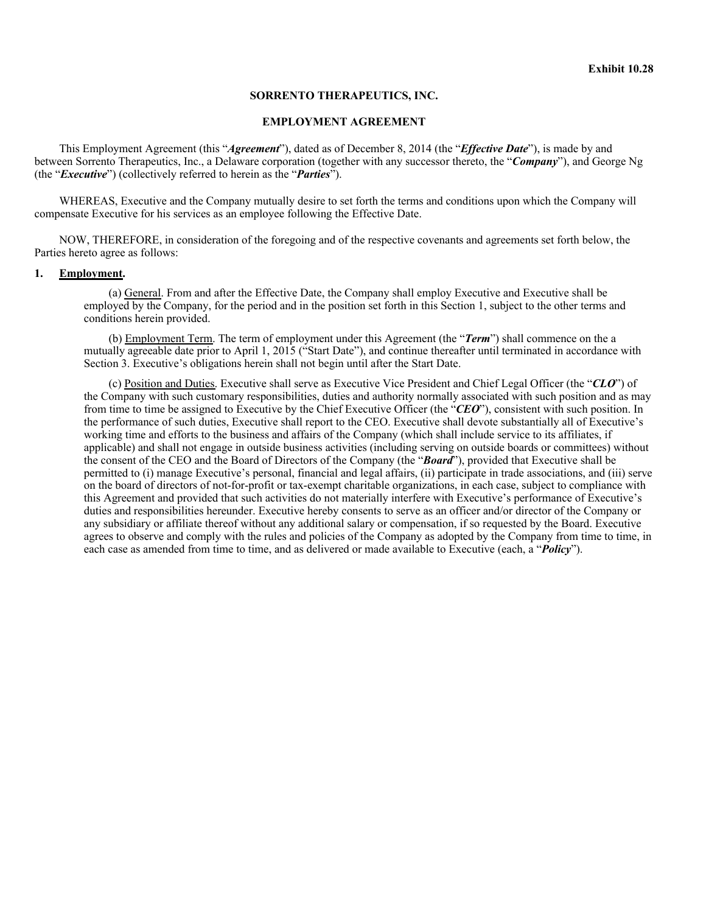#### **SORRENTO THERAPEUTICS, INC.**

#### **EMPLOYMENT AGREEMENT**

This Employment Agreement (this "*Agreement*"), dated as of December 8, 2014 (the "*Effective Date*"), is made by and between Sorrento Therapeutics, Inc., a Delaware corporation (together with any successor thereto, the "*Company*"), and George Ng (the "*Executive*") (collectively referred to herein as the "*Parties*").

WHEREAS, Executive and the Company mutually desire to set forth the terms and conditions upon which the Company will compensate Executive for his services as an employee following the Effective Date.

NOW, THEREFORE, in consideration of the foregoing and of the respective covenants and agreements set forth below, the Parties hereto agree as follows:

#### **1. Employment.**

(a) General. From and after the Effective Date, the Company shall employ Executive and Executive shall be employed by the Company, for the period and in the position set forth in this Section 1, subject to the other terms and conditions herein provided.

(b) Employment Term. The term of employment under this Agreement (the "*Term*") shall commence on the a mutually agreeable date prior to April 1, 2015 ("Start Date"), and continue thereafter until terminated in accordance with Section 3. Executive's obligations herein shall not begin until after the Start Date.

(c) Position and Duties. Executive shall serve as Executive Vice President and Chief Legal Officer (the "*CLO*") of the Company with such customary responsibilities, duties and authority normally associated with such position and as may from time to time be assigned to Executive by the Chief Executive Officer (the "*CEO*"), consistent with such position. In the performance of such duties, Executive shall report to the CEO. Executive shall devote substantially all of Executive's working time and efforts to the business and affairs of the Company (which shall include service to its affiliates, if applicable) and shall not engage in outside business activities (including serving on outside boards or committees) without the consent of the CEO and the Board of Directors of the Company (the "*Board*"), provided that Executive shall be permitted to (i) manage Executive's personal, financial and legal affairs, (ii) participate in trade associations, and (iii) serve on the board of directors of not-for-profit or tax-exempt charitable organizations, in each case, subject to compliance with this Agreement and provided that such activities do not materially interfere with Executive's performance of Executive's duties and responsibilities hereunder. Executive hereby consents to serve as an officer and/or director of the Company or any subsidiary or affiliate thereof without any additional salary or compensation, if so requested by the Board. Executive agrees to observe and comply with the rules and policies of the Company as adopted by the Company from time to time, in each case as amended from time to time, and as delivered or made available to Executive (each, a "*Policy*").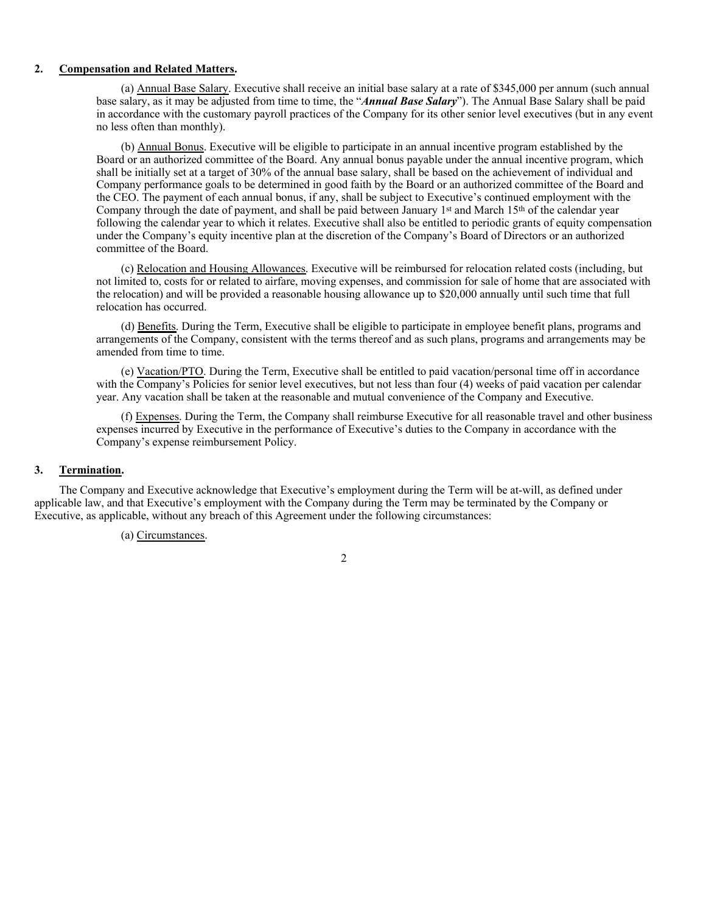#### **2. Compensation and Related Matters.**

(a) Annual Base Salary. Executive shall receive an initial base salary at a rate of \$345,000 per annum (such annual base salary, as it may be adjusted from time to time, the "*Annual Base Salary*"). The Annual Base Salary shall be paid in accordance with the customary payroll practices of the Company for its other senior level executives (but in any event no less often than monthly).

(b) Annual Bonus. Executive will be eligible to participate in an annual incentive program established by the Board or an authorized committee of the Board. Any annual bonus payable under the annual incentive program, which shall be initially set at a target of 30% of the annual base salary, shall be based on the achievement of individual and Company performance goals to be determined in good faith by the Board or an authorized committee of the Board and the CEO. The payment of each annual bonus, if any, shall be subject to Executive's continued employment with the Company through the date of payment, and shall be paid between January 1<sup>st</sup> and March 15<sup>th</sup> of the calendar year following the calendar year to which it relates. Executive shall also be entitled to periodic grants of equity compensation under the Company's equity incentive plan at the discretion of the Company's Board of Directors or an authorized committee of the Board.

(c) Relocation and Housing Allowances. Executive will be reimbursed for relocation related costs (including, but not limited to, costs for or related to airfare, moving expenses, and commission for sale of home that are associated with the relocation) and will be provided a reasonable housing allowance up to \$20,000 annually until such time that full relocation has occurred.

(d) Benefits. During the Term, Executive shall be eligible to participate in employee benefit plans, programs and arrangements of the Company, consistent with the terms thereof and as such plans, programs and arrangements may be amended from time to time.

(e) Vacation/PTO. During the Term, Executive shall be entitled to paid vacation/personal time off in accordance with the Company's Policies for senior level executives, but not less than four (4) weeks of paid vacation per calendar year. Any vacation shall be taken at the reasonable and mutual convenience of the Company and Executive.

(f) Expenses. During the Term, the Company shall reimburse Executive for all reasonable travel and other business expenses incurred by Executive in the performance of Executive's duties to the Company in accordance with the Company's expense reimbursement Policy.

#### **3. Termination.**

The Company and Executive acknowledge that Executive's employment during the Term will be at-will, as defined under applicable law, and that Executive's employment with the Company during the Term may be terminated by the Company or Executive, as applicable, without any breach of this Agreement under the following circumstances:

(a) Circumstances.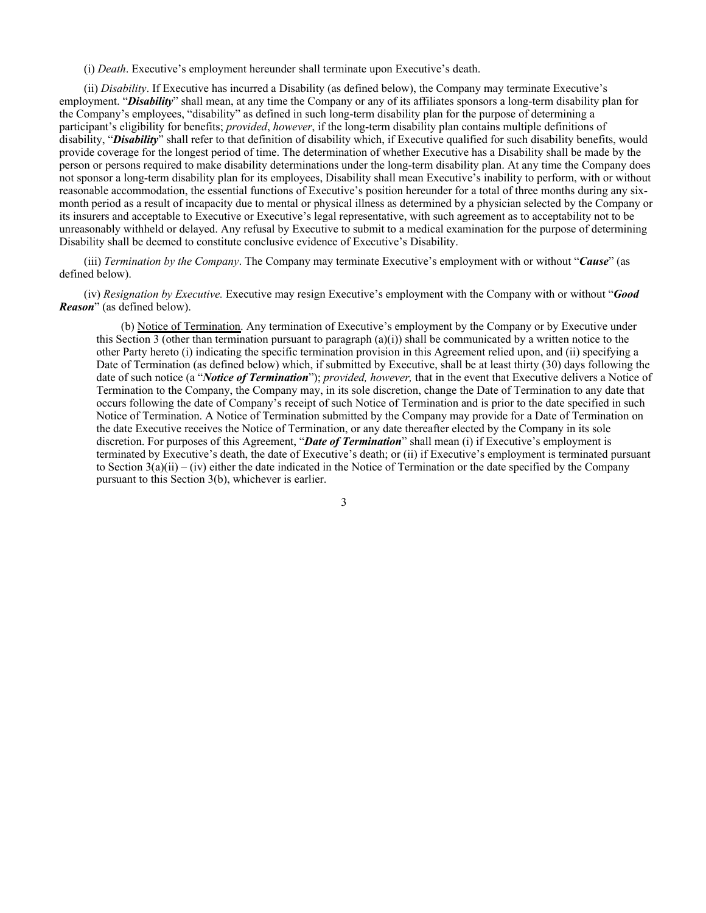(i) *Death*. Executive's employment hereunder shall terminate upon Executive's death.

(ii) *Disability*. If Executive has incurred a Disability (as defined below), the Company may terminate Executive's employment. "*Disability*" shall mean, at any time the Company or any of its affiliates sponsors a long-term disability plan for the Company's employees, "disability" as defined in such long-term disability plan for the purpose of determining a participant's eligibility for benefits; *provided*, *however*, if the long-term disability plan contains multiple definitions of disability, "*Disability*" shall refer to that definition of disability which, if Executive qualified for such disability benefits, would provide coverage for the longest period of time. The determination of whether Executive has a Disability shall be made by the person or persons required to make disability determinations under the long-term disability plan. At any time the Company does not sponsor a long-term disability plan for its employees, Disability shall mean Executive's inability to perform, with or without reasonable accommodation, the essential functions of Executive's position hereunder for a total of three months during any sixmonth period as a result of incapacity due to mental or physical illness as determined by a physician selected by the Company or its insurers and acceptable to Executive or Executive's legal representative, with such agreement as to acceptability not to be unreasonably withheld or delayed. Any refusal by Executive to submit to a medical examination for the purpose of determining Disability shall be deemed to constitute conclusive evidence of Executive's Disability.

(iii) *Termination by the Company*. The Company may terminate Executive's employment with or without "*Cause*" (as defined below).

(iv) *Resignation by Executive.* Executive may resign Executive's employment with the Company with or without "*Good Reason*" (as defined below).

(b) Notice of Termination. Any termination of Executive's employment by the Company or by Executive under this Section 3 (other than termination pursuant to paragraph  $(a)(i)$ ) shall be communicated by a written notice to the other Party hereto (i) indicating the specific termination provision in this Agreement relied upon, and (ii) specifying a Date of Termination (as defined below) which, if submitted by Executive, shall be at least thirty (30) days following the date of such notice (a "*Notice of Termination*"); *provided, however,* that in the event that Executive delivers a Notice of Termination to the Company, the Company may, in its sole discretion, change the Date of Termination to any date that occurs following the date of Company's receipt of such Notice of Termination and is prior to the date specified in such Notice of Termination. A Notice of Termination submitted by the Company may provide for a Date of Termination on the date Executive receives the Notice of Termination, or any date thereafter elected by the Company in its sole discretion. For purposes of this Agreement, "*Date of Termination*" shall mean (i) if Executive's employment is terminated by Executive's death, the date of Executive's death; or (ii) if Executive's employment is terminated pursuant to Section  $3(a)(ii) - (iv)$  either the date indicated in the Notice of Termination or the date specified by the Company pursuant to this Section 3(b), whichever is earlier.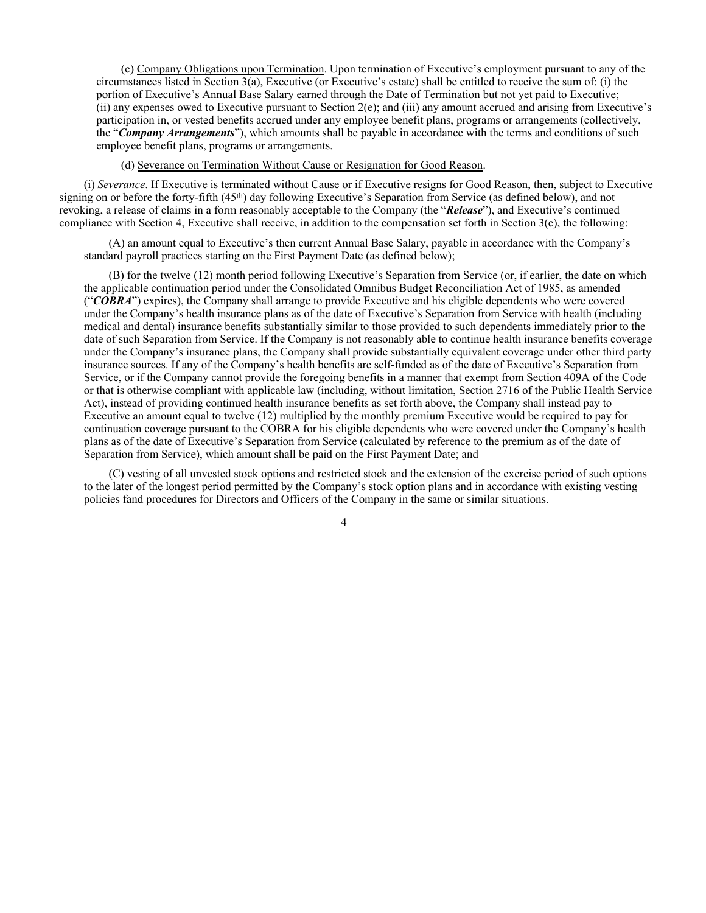(c) Company Obligations upon Termination. Upon termination of Executive's employment pursuant to any of the circumstances listed in Section 3(a), Executive (or Executive's estate) shall be entitled to receive the sum of: (i) the portion of Executive's Annual Base Salary earned through the Date of Termination but not yet paid to Executive; (ii) any expenses owed to Executive pursuant to Section 2(e); and (iii) any amount accrued and arising from Executive's participation in, or vested benefits accrued under any employee benefit plans, programs or arrangements (collectively, the "*Company Arrangements*"), which amounts shall be payable in accordance with the terms and conditions of such employee benefit plans, programs or arrangements.

#### (d) Severance on Termination Without Cause or Resignation for Good Reason.

(i) *Severance*. If Executive is terminated without Cause or if Executive resigns for Good Reason, then, subject to Executive signing on or before the forty-fifth (45th) day following Executive's Separation from Service (as defined below), and not revoking, a release of claims in a form reasonably acceptable to the Company (the "*Release*"), and Executive's continued compliance with Section 4, Executive shall receive, in addition to the compensation set forth in Section 3(c), the following:

(A) an amount equal to Executive's then current Annual Base Salary, payable in accordance with the Company's standard payroll practices starting on the First Payment Date (as defined below);

(B) for the twelve (12) month period following Executive's Separation from Service (or, if earlier, the date on which the applicable continuation period under the Consolidated Omnibus Budget Reconciliation Act of 1985, as amended ("*COBRA*") expires), the Company shall arrange to provide Executive and his eligible dependents who were covered under the Company's health insurance plans as of the date of Executive's Separation from Service with health (including medical and dental) insurance benefits substantially similar to those provided to such dependents immediately prior to the date of such Separation from Service. If the Company is not reasonably able to continue health insurance benefits coverage under the Company's insurance plans, the Company shall provide substantially equivalent coverage under other third party insurance sources. If any of the Company's health benefits are self-funded as of the date of Executive's Separation from Service, or if the Company cannot provide the foregoing benefits in a manner that exempt from Section 409A of the Code or that is otherwise compliant with applicable law (including, without limitation, Section 2716 of the Public Health Service Act), instead of providing continued health insurance benefits as set forth above, the Company shall instead pay to Executive an amount equal to twelve (12) multiplied by the monthly premium Executive would be required to pay for continuation coverage pursuant to the COBRA for his eligible dependents who were covered under the Company's health plans as of the date of Executive's Separation from Service (calculated by reference to the premium as of the date of Separation from Service), which amount shall be paid on the First Payment Date; and

(C) vesting of all unvested stock options and restricted stock and the extension of the exercise period of such options to the later of the longest period permitted by the Company's stock option plans and in accordance with existing vesting policies fand procedures for Directors and Officers of the Company in the same or similar situations.

 $\Delta$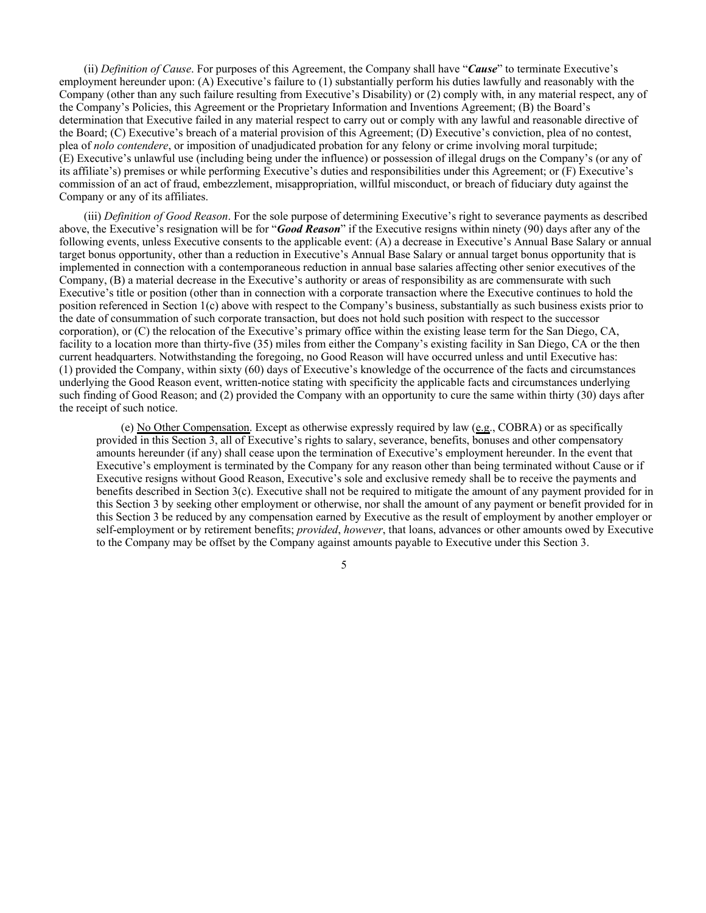(ii) *Definition of Cause*. For purposes of this Agreement, the Company shall have "*Cause*" to terminate Executive's employment hereunder upon: (A) Executive's failure to (1) substantially perform his duties lawfully and reasonably with the Company (other than any such failure resulting from Executive's Disability) or (2) comply with, in any material respect, any of the Company's Policies, this Agreement or the Proprietary Information and Inventions Agreement; (B) the Board's determination that Executive failed in any material respect to carry out or comply with any lawful and reasonable directive of the Board; (C) Executive's breach of a material provision of this Agreement; (D) Executive's conviction, plea of no contest, plea of *nolo contendere*, or imposition of unadjudicated probation for any felony or crime involving moral turpitude; (E) Executive's unlawful use (including being under the influence) or possession of illegal drugs on the Company's (or any of its affiliate's) premises or while performing Executive's duties and responsibilities under this Agreement; or (F) Executive's commission of an act of fraud, embezzlement, misappropriation, willful misconduct, or breach of fiduciary duty against the Company or any of its affiliates.

(iii) *Definition of Good Reason*. For the sole purpose of determining Executive's right to severance payments as described above, the Executive's resignation will be for "*Good Reason*" if the Executive resigns within ninety (90) days after any of the following events, unless Executive consents to the applicable event: (A) a decrease in Executive's Annual Base Salary or annual target bonus opportunity, other than a reduction in Executive's Annual Base Salary or annual target bonus opportunity that is implemented in connection with a contemporaneous reduction in annual base salaries affecting other senior executives of the Company, (B) a material decrease in the Executive's authority or areas of responsibility as are commensurate with such Executive's title or position (other than in connection with a corporate transaction where the Executive continues to hold the position referenced in Section 1(c) above with respect to the Company's business, substantially as such business exists prior to the date of consummation of such corporate transaction, but does not hold such position with respect to the successor corporation), or (C) the relocation of the Executive's primary office within the existing lease term for the San Diego, CA, facility to a location more than thirty-five (35) miles from either the Company's existing facility in San Diego, CA or the then current headquarters. Notwithstanding the foregoing, no Good Reason will have occurred unless and until Executive has: (1) provided the Company, within sixty (60) days of Executive's knowledge of the occurrence of the facts and circumstances underlying the Good Reason event, written-notice stating with specificity the applicable facts and circumstances underlying such finding of Good Reason; and (2) provided the Company with an opportunity to cure the same within thirty (30) days after the receipt of such notice.

(e) No Other Compensation. Except as otherwise expressly required by law (e.g., COBRA) or as specifically provided in this Section 3, all of Executive's rights to salary, severance, benefits, bonuses and other compensatory amounts hereunder (if any) shall cease upon the termination of Executive's employment hereunder. In the event that Executive's employment is terminated by the Company for any reason other than being terminated without Cause or if Executive resigns without Good Reason, Executive's sole and exclusive remedy shall be to receive the payments and benefits described in Section 3(c). Executive shall not be required to mitigate the amount of any payment provided for in this Section 3 by seeking other employment or otherwise, nor shall the amount of any payment or benefit provided for in this Section 3 be reduced by any compensation earned by Executive as the result of employment by another employer or self-employment or by retirement benefits; *provided*, *however*, that loans, advances or other amounts owed by Executive to the Company may be offset by the Company against amounts payable to Executive under this Section 3.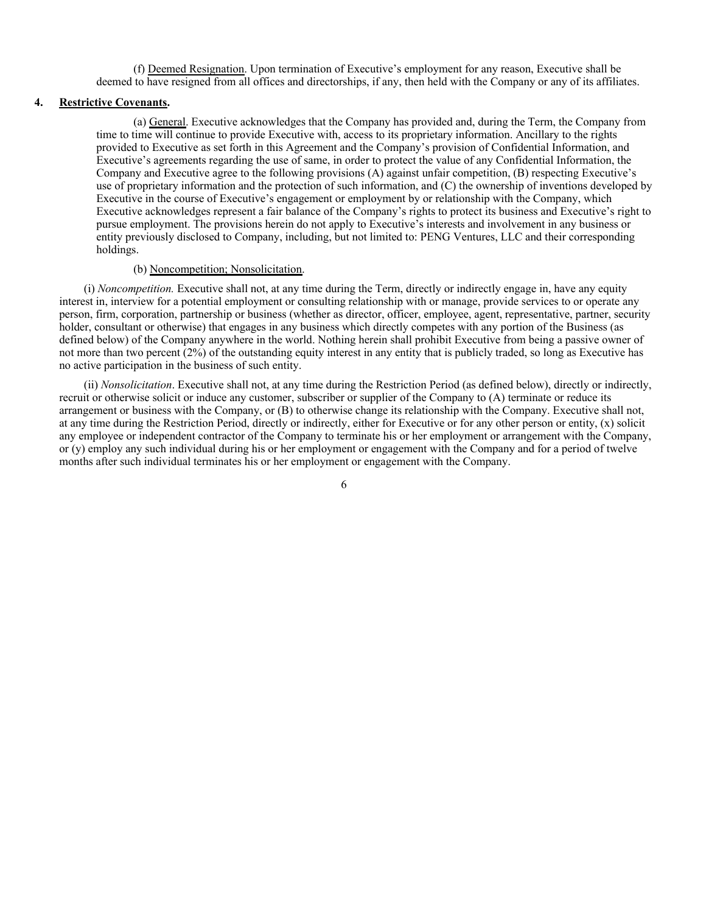(f) Deemed Resignation. Upon termination of Executive's employment for any reason, Executive shall be deemed to have resigned from all offices and directorships, if any, then held with the Company or any of its affiliates.

#### **4. Restrictive Covenants.**

(a) General. Executive acknowledges that the Company has provided and, during the Term, the Company from time to time will continue to provide Executive with, access to its proprietary information. Ancillary to the rights provided to Executive as set forth in this Agreement and the Company's provision of Confidential Information, and Executive's agreements regarding the use of same, in order to protect the value of any Confidential Information, the Company and Executive agree to the following provisions (A) against unfair competition, (B) respecting Executive's use of proprietary information and the protection of such information, and (C) the ownership of inventions developed by Executive in the course of Executive's engagement or employment by or relationship with the Company, which Executive acknowledges represent a fair balance of the Company's rights to protect its business and Executive's right to pursue employment. The provisions herein do not apply to Executive's interests and involvement in any business or entity previously disclosed to Company, including, but not limited to: PENG Ventures, LLC and their corresponding holdings.

#### (b) Noncompetition; Nonsolicitation.

(i) *Noncompetition.* Executive shall not, at any time during the Term, directly or indirectly engage in, have any equity interest in, interview for a potential employment or consulting relationship with or manage, provide services to or operate any person, firm, corporation, partnership or business (whether as director, officer, employee, agent, representative, partner, security holder, consultant or otherwise) that engages in any business which directly competes with any portion of the Business (as defined below) of the Company anywhere in the world. Nothing herein shall prohibit Executive from being a passive owner of not more than two percent (2%) of the outstanding equity interest in any entity that is publicly traded, so long as Executive has no active participation in the business of such entity.

(ii) *Nonsolicitation*. Executive shall not, at any time during the Restriction Period (as defined below), directly or indirectly, recruit or otherwise solicit or induce any customer, subscriber or supplier of the Company to (A) terminate or reduce its arrangement or business with the Company, or (B) to otherwise change its relationship with the Company. Executive shall not, at any time during the Restriction Period, directly or indirectly, either for Executive or for any other person or entity, (x) solicit any employee or independent contractor of the Company to terminate his or her employment or arrangement with the Company, or (y) employ any such individual during his or her employment or engagement with the Company and for a period of twelve months after such individual terminates his or her employment or engagement with the Company.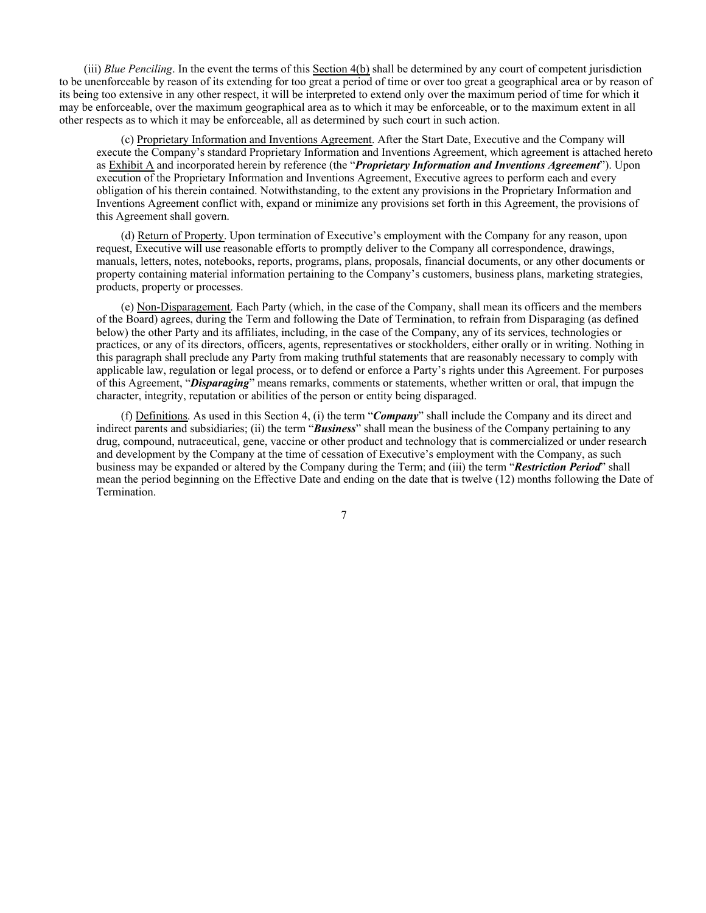(iii) *Blue Penciling*. In the event the terms of this Section 4(b) shall be determined by any court of competent jurisdiction to be unenforceable by reason of its extending for too great a period of time or over too great a geographical area or by reason of its being too extensive in any other respect, it will be interpreted to extend only over the maximum period of time for which it may be enforceable, over the maximum geographical area as to which it may be enforceable, or to the maximum extent in all other respects as to which it may be enforceable, all as determined by such court in such action.

(c) Proprietary Information and Inventions Agreement. After the Start Date, Executive and the Company will execute the Company's standard Proprietary Information and Inventions Agreement, which agreement is attached hereto as Exhibit A and incorporated herein by reference (the "*Proprietary Information and Inventions Agreement*"). Upon execution of the Proprietary Information and Inventions Agreement, Executive agrees to perform each and every obligation of his therein contained. Notwithstanding, to the extent any provisions in the Proprietary Information and Inventions Agreement conflict with, expand or minimize any provisions set forth in this Agreement, the provisions of this Agreement shall govern.

(d) Return of Property. Upon termination of Executive's employment with the Company for any reason, upon request, Executive will use reasonable efforts to promptly deliver to the Company all correspondence, drawings, manuals, letters, notes, notebooks, reports, programs, plans, proposals, financial documents, or any other documents or property containing material information pertaining to the Company's customers, business plans, marketing strategies, products, property or processes.

(e) Non-Disparagement. Each Party (which, in the case of the Company, shall mean its officers and the members of the Board) agrees, during the Term and following the Date of Termination, to refrain from Disparaging (as defined below) the other Party and its affiliates, including, in the case of the Company, any of its services, technologies or practices, or any of its directors, officers, agents, representatives or stockholders, either orally or in writing. Nothing in this paragraph shall preclude any Party from making truthful statements that are reasonably necessary to comply with applicable law, regulation or legal process, or to defend or enforce a Party's rights under this Agreement. For purposes of this Agreement, "*Disparaging*" means remarks, comments or statements, whether written or oral, that impugn the character, integrity, reputation or abilities of the person or entity being disparaged.

(f) Definitions. As used in this Section 4, (i) the term "*Company*" shall include the Company and its direct and indirect parents and subsidiaries; (ii) the term "*Business*" shall mean the business of the Company pertaining to any drug, compound, nutraceutical, gene, vaccine or other product and technology that is commercialized or under research and development by the Company at the time of cessation of Executive's employment with the Company, as such business may be expanded or altered by the Company during the Term; and (iii) the term "*Restriction Period*" shall mean the period beginning on the Effective Date and ending on the date that is twelve (12) months following the Date of Termination.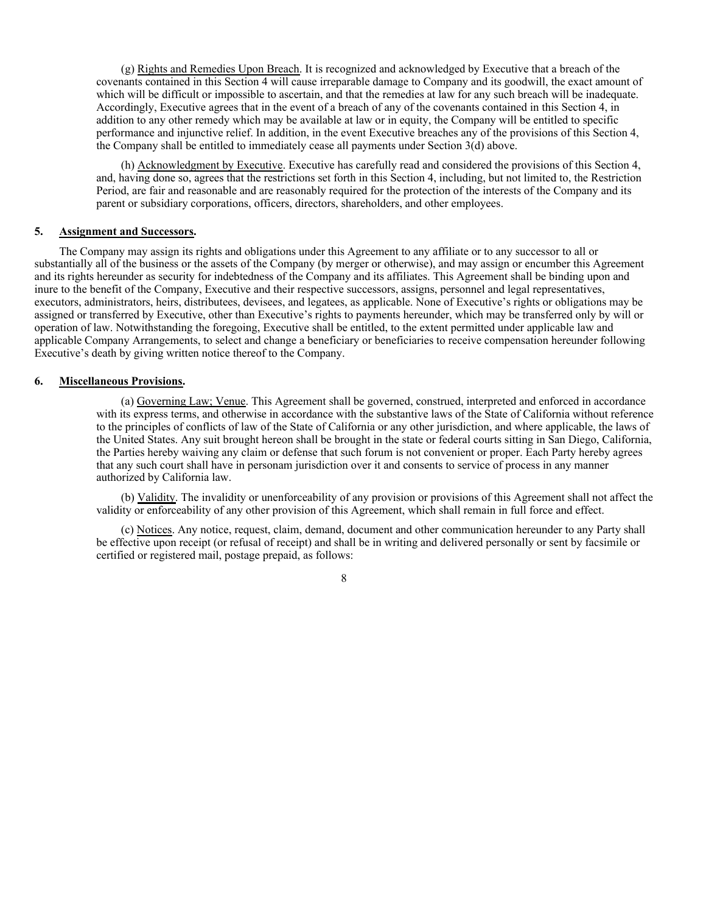(g) Rights and Remedies Upon Breach. It is recognized and acknowledged by Executive that a breach of the covenants contained in this Section 4 will cause irreparable damage to Company and its goodwill, the exact amount of which will be difficult or impossible to ascertain, and that the remedies at law for any such breach will be inadequate. Accordingly, Executive agrees that in the event of a breach of any of the covenants contained in this Section 4, in addition to any other remedy which may be available at law or in equity, the Company will be entitled to specific performance and injunctive relief. In addition, in the event Executive breaches any of the provisions of this Section 4, the Company shall be entitled to immediately cease all payments under Section 3(d) above.

(h) Acknowledgment by Executive. Executive has carefully read and considered the provisions of this Section 4, and, having done so, agrees that the restrictions set forth in this Section 4, including, but not limited to, the Restriction Period, are fair and reasonable and are reasonably required for the protection of the interests of the Company and its parent or subsidiary corporations, officers, directors, shareholders, and other employees.

#### **5. Assignment and Successors.**

The Company may assign its rights and obligations under this Agreement to any affiliate or to any successor to all or substantially all of the business or the assets of the Company (by merger or otherwise), and may assign or encumber this Agreement and its rights hereunder as security for indebtedness of the Company and its affiliates. This Agreement shall be binding upon and inure to the benefit of the Company, Executive and their respective successors, assigns, personnel and legal representatives, executors, administrators, heirs, distributees, devisees, and legatees, as applicable. None of Executive's rights or obligations may be assigned or transferred by Executive, other than Executive's rights to payments hereunder, which may be transferred only by will or operation of law. Notwithstanding the foregoing, Executive shall be entitled, to the extent permitted under applicable law and applicable Company Arrangements, to select and change a beneficiary or beneficiaries to receive compensation hereunder following Executive's death by giving written notice thereof to the Company.

#### **6. Miscellaneous Provisions.**

(a) Governing Law; Venue. This Agreement shall be governed, construed, interpreted and enforced in accordance with its express terms, and otherwise in accordance with the substantive laws of the State of California without reference to the principles of conflicts of law of the State of California or any other jurisdiction, and where applicable, the laws of the United States. Any suit brought hereon shall be brought in the state or federal courts sitting in San Diego, California, the Parties hereby waiving any claim or defense that such forum is not convenient or proper. Each Party hereby agrees that any such court shall have in personam jurisdiction over it and consents to service of process in any manner authorized by California law.

(b) Validity. The invalidity or unenforceability of any provision or provisions of this Agreement shall not affect the validity or enforceability of any other provision of this Agreement, which shall remain in full force and effect.

(c) Notices. Any notice, request, claim, demand, document and other communication hereunder to any Party shall be effective upon receipt (or refusal of receipt) and shall be in writing and delivered personally or sent by facsimile or certified or registered mail, postage prepaid, as follows: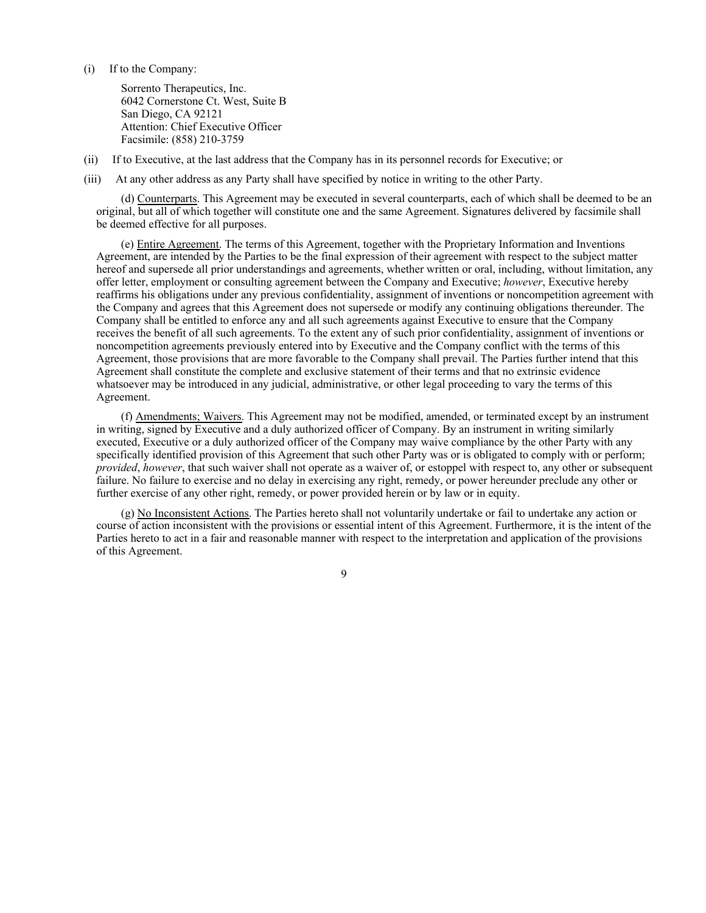(i) If to the Company:

Sorrento Therapeutics, Inc. 6042 Cornerstone Ct. West, Suite B San Diego, CA 92121 Attention: Chief Executive Officer Facsimile: (858) 210-3759

- (ii) If to Executive, at the last address that the Company has in its personnel records for Executive; or
- (iii) At any other address as any Party shall have specified by notice in writing to the other Party.

(d) Counterparts. This Agreement may be executed in several counterparts, each of which shall be deemed to be an original, but all of which together will constitute one and the same Agreement. Signatures delivered by facsimile shall be deemed effective for all purposes.

(e) Entire Agreement. The terms of this Agreement, together with the Proprietary Information and Inventions Agreement, are intended by the Parties to be the final expression of their agreement with respect to the subject matter hereof and supersede all prior understandings and agreements, whether written or oral, including, without limitation, any offer letter, employment or consulting agreement between the Company and Executive; *however*, Executive hereby reaffirms his obligations under any previous confidentiality, assignment of inventions or noncompetition agreement with the Company and agrees that this Agreement does not supersede or modify any continuing obligations thereunder. The Company shall be entitled to enforce any and all such agreements against Executive to ensure that the Company receives the benefit of all such agreements. To the extent any of such prior confidentiality, assignment of inventions or noncompetition agreements previously entered into by Executive and the Company conflict with the terms of this Agreement, those provisions that are more favorable to the Company shall prevail. The Parties further intend that this Agreement shall constitute the complete and exclusive statement of their terms and that no extrinsic evidence whatsoever may be introduced in any judicial, administrative, or other legal proceeding to vary the terms of this Agreement.

(f) Amendments; Waivers. This Agreement may not be modified, amended, or terminated except by an instrument in writing, signed by Executive and a duly authorized officer of Company. By an instrument in writing similarly executed, Executive or a duly authorized officer of the Company may waive compliance by the other Party with any specifically identified provision of this Agreement that such other Party was or is obligated to comply with or perform; *provided*, *however*, that such waiver shall not operate as a waiver of, or estoppel with respect to, any other or subsequent failure. No failure to exercise and no delay in exercising any right, remedy, or power hereunder preclude any other or further exercise of any other right, remedy, or power provided herein or by law or in equity.

(g) No Inconsistent Actions. The Parties hereto shall not voluntarily undertake or fail to undertake any action or course of action inconsistent with the provisions or essential intent of this Agreement. Furthermore, it is the intent of the Parties hereto to act in a fair and reasonable manner with respect to the interpretation and application of the provisions of this Agreement.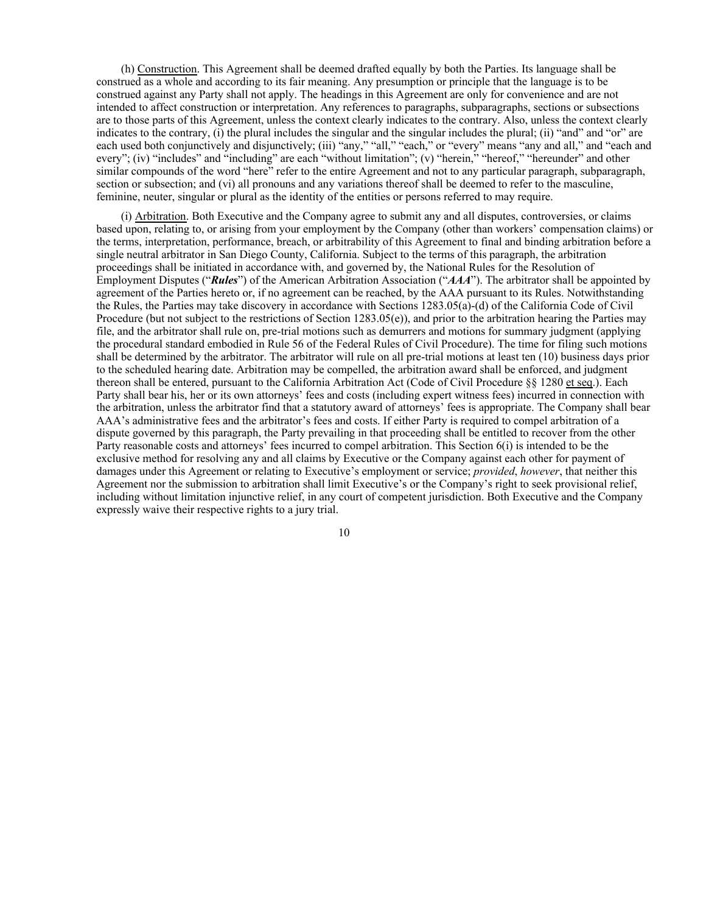(h) Construction. This Agreement shall be deemed drafted equally by both the Parties. Its language shall be construed as a whole and according to its fair meaning. Any presumption or principle that the language is to be construed against any Party shall not apply. The headings in this Agreement are only for convenience and are not intended to affect construction or interpretation. Any references to paragraphs, subparagraphs, sections or subsections are to those parts of this Agreement, unless the context clearly indicates to the contrary. Also, unless the context clearly indicates to the contrary, (i) the plural includes the singular and the singular includes the plural; (ii) "and" and "or" are each used both conjunctively and disjunctively; (iii) "any," "all," "each," or "every" means "any and all," and "each and every"; (iv) "includes" and "including" are each "without limitation"; (v) "herein," "hereof," "hereunder" and other similar compounds of the word "here" refer to the entire Agreement and not to any particular paragraph, subparagraph, section or subsection; and (vi) all pronouns and any variations thereof shall be deemed to refer to the masculine, feminine, neuter, singular or plural as the identity of the entities or persons referred to may require.

(i) Arbitration. Both Executive and the Company agree to submit any and all disputes, controversies, or claims based upon, relating to, or arising from your employment by the Company (other than workers' compensation claims) or the terms, interpretation, performance, breach, or arbitrability of this Agreement to final and binding arbitration before a single neutral arbitrator in San Diego County, California. Subject to the terms of this paragraph, the arbitration proceedings shall be initiated in accordance with, and governed by, the National Rules for the Resolution of Employment Disputes ("*Rules*") of the American Arbitration Association ("*AAA*"). The arbitrator shall be appointed by agreement of the Parties hereto or, if no agreement can be reached, by the AAA pursuant to its Rules. Notwithstanding the Rules, the Parties may take discovery in accordance with Sections 1283.05(a)-(d) of the California Code of Civil Procedure (but not subject to the restrictions of Section 1283.05(e)), and prior to the arbitration hearing the Parties may file, and the arbitrator shall rule on, pre-trial motions such as demurrers and motions for summary judgment (applying the procedural standard embodied in Rule 56 of the Federal Rules of Civil Procedure). The time for filing such motions shall be determined by the arbitrator. The arbitrator will rule on all pre-trial motions at least ten (10) business days prior to the scheduled hearing date. Arbitration may be compelled, the arbitration award shall be enforced, and judgment thereon shall be entered, pursuant to the California Arbitration Act (Code of Civil Procedure §§ 1280 et seq.). Each Party shall bear his, her or its own attorneys' fees and costs (including expert witness fees) incurred in connection with the arbitration, unless the arbitrator find that a statutory award of attorneys' fees is appropriate. The Company shall bear AAA's administrative fees and the arbitrator's fees and costs. If either Party is required to compel arbitration of a dispute governed by this paragraph, the Party prevailing in that proceeding shall be entitled to recover from the other Party reasonable costs and attorneys' fees incurred to compel arbitration. This Section 6(i) is intended to be the exclusive method for resolving any and all claims by Executive or the Company against each other for payment of damages under this Agreement or relating to Executive's employment or service; *provided*, *however*, that neither this Agreement nor the submission to arbitration shall limit Executive's or the Company's right to seek provisional relief, including without limitation injunctive relief, in any court of competent jurisdiction. Both Executive and the Company expressly waive their respective rights to a jury trial.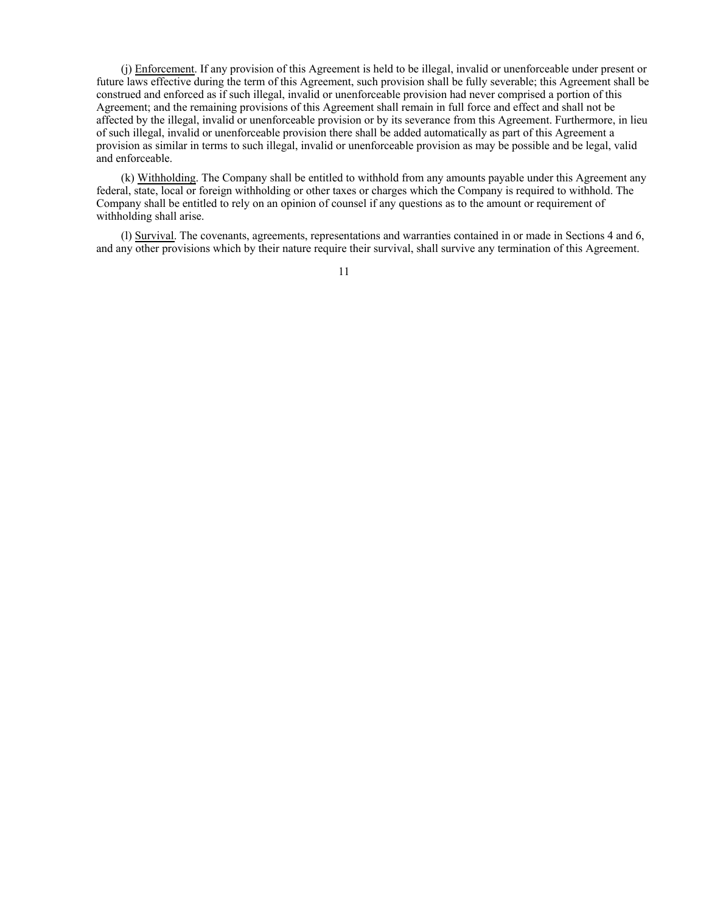(j) Enforcement. If any provision of this Agreement is held to be illegal, invalid or unenforceable under present or future laws effective during the term of this Agreement, such provision shall be fully severable; this Agreement shall be construed and enforced as if such illegal, invalid or unenforceable provision had never comprised a portion of this Agreement; and the remaining provisions of this Agreement shall remain in full force and effect and shall not be affected by the illegal, invalid or unenforceable provision or by its severance from this Agreement. Furthermore, in lieu of such illegal, invalid or unenforceable provision there shall be added automatically as part of this Agreement a provision as similar in terms to such illegal, invalid or unenforceable provision as may be possible and be legal, valid and enforceable.

(k) Withholding. The Company shall be entitled to withhold from any amounts payable under this Agreement any federal, state, local or foreign withholding or other taxes or charges which the Company is required to withhold. The Company shall be entitled to rely on an opinion of counsel if any questions as to the amount or requirement of withholding shall arise.

(l) Survival. The covenants, agreements, representations and warranties contained in or made in Sections 4 and 6, and any other provisions which by their nature require their survival, shall survive any termination of this Agreement.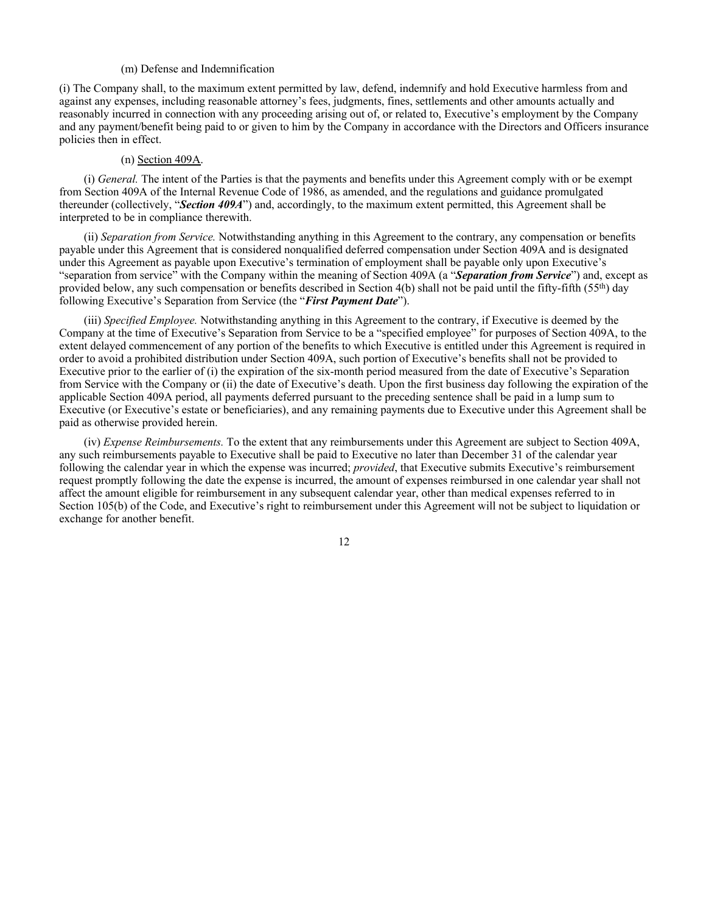#### (m) Defense and Indemnification

(i) The Company shall, to the maximum extent permitted by law, defend, indemnify and hold Executive harmless from and against any expenses, including reasonable attorney's fees, judgments, fines, settlements and other amounts actually and reasonably incurred in connection with any proceeding arising out of, or related to, Executive's employment by the Company and any payment/benefit being paid to or given to him by the Company in accordance with the Directors and Officers insurance policies then in effect.

#### (n) Section 409A.

(i) *General.* The intent of the Parties is that the payments and benefits under this Agreement comply with or be exempt from Section 409A of the Internal Revenue Code of 1986, as amended, and the regulations and guidance promulgated thereunder (collectively, "*Section 409A*") and, accordingly, to the maximum extent permitted, this Agreement shall be interpreted to be in compliance therewith.

(ii) *Separation from Service.* Notwithstanding anything in this Agreement to the contrary, any compensation or benefits payable under this Agreement that is considered nonqualified deferred compensation under Section 409A and is designated under this Agreement as payable upon Executive's termination of employment shall be payable only upon Executive's "separation from service" with the Company within the meaning of Section 409A (a "*Separation from Service*") and, except as provided below, any such compensation or benefits described in Section 4(b) shall not be paid until the fifty-fifth (55<sup>th</sup>) day following Executive's Separation from Service (the "*First Payment Date*").

(iii) *Specified Employee.* Notwithstanding anything in this Agreement to the contrary, if Executive is deemed by the Company at the time of Executive's Separation from Service to be a "specified employee" for purposes of Section 409A, to the extent delayed commencement of any portion of the benefits to which Executive is entitled under this Agreement is required in order to avoid a prohibited distribution under Section 409A, such portion of Executive's benefits shall not be provided to Executive prior to the earlier of (i) the expiration of the six-month period measured from the date of Executive's Separation from Service with the Company or (ii) the date of Executive's death. Upon the first business day following the expiration of the applicable Section 409A period, all payments deferred pursuant to the preceding sentence shall be paid in a lump sum to Executive (or Executive's estate or beneficiaries), and any remaining payments due to Executive under this Agreement shall be paid as otherwise provided herein.

(iv) *Expense Reimbursements.* To the extent that any reimbursements under this Agreement are subject to Section 409A, any such reimbursements payable to Executive shall be paid to Executive no later than December 31 of the calendar year following the calendar year in which the expense was incurred; *provided*, that Executive submits Executive's reimbursement request promptly following the date the expense is incurred, the amount of expenses reimbursed in one calendar year shall not affect the amount eligible for reimbursement in any subsequent calendar year, other than medical expenses referred to in Section 105(b) of the Code, and Executive's right to reimbursement under this Agreement will not be subject to liquidation or exchange for another benefit.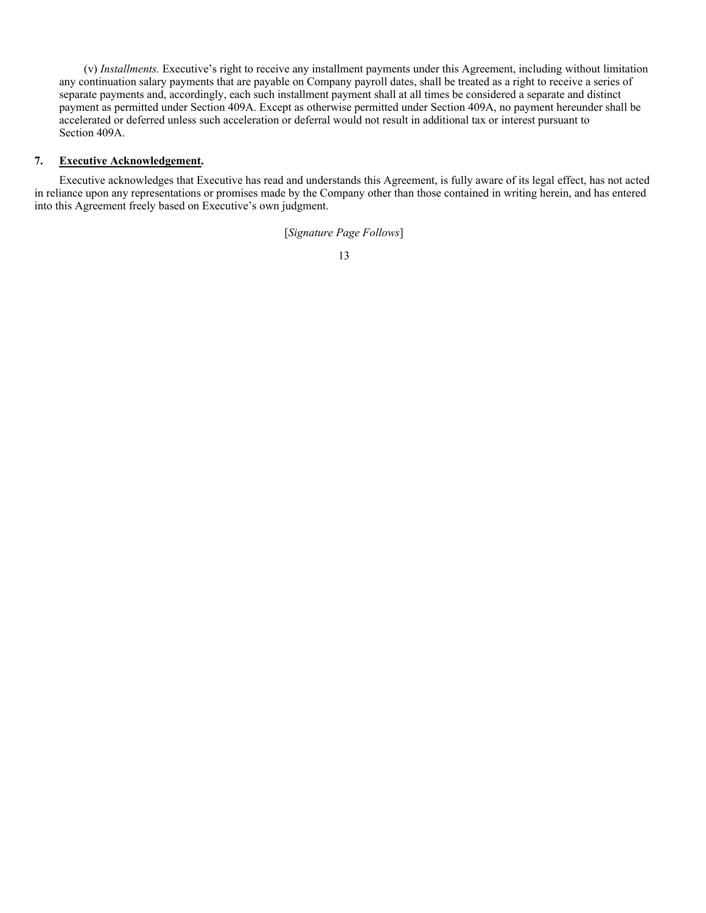(v) *Installments.* Executive's right to receive any installment payments under this Agreement, including without limitation any continuation salary payments that are payable on Company payroll dates, shall be treated as a right to receive a series of separate payments and, accordingly, each such installment payment shall at all times be considered a separate and distinct payment as permitted under Section 409A. Except as otherwise permitted under Section 409A, no payment hereunder shall be accelerated or deferred unless such acceleration or deferral would not result in additional tax or interest pursuant to Section 409A.

#### **7. Executive Acknowledgement.**

Executive acknowledges that Executive has read and understands this Agreement, is fully aware of its legal effect, has not acted in reliance upon any representations or promises made by the Company other than those contained in writing herein, and has entered into this Agreement freely based on Executive's own judgment.

#### [*Signature Page Follows*]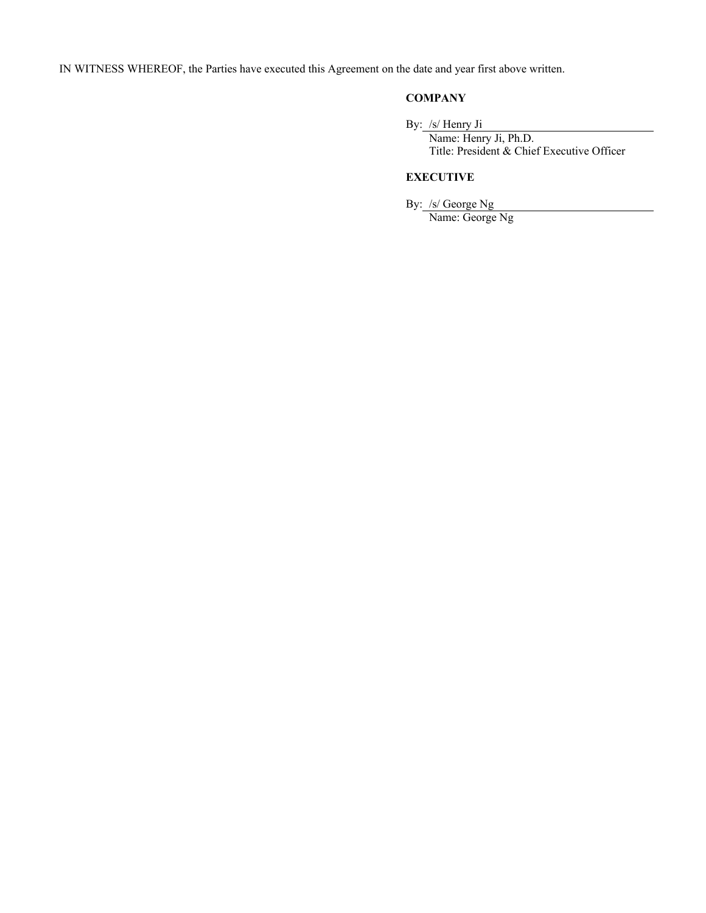IN WITNESS WHEREOF, the Parties have executed this Agreement on the date and year first above written.

### **COMPANY**

By: /s/ Henry Ji

Name: Henry Ji, Ph.D. Title: President & Chief Executive Officer

# **EXECUTIVE**

By: /s/ George Ng

Name: George Ng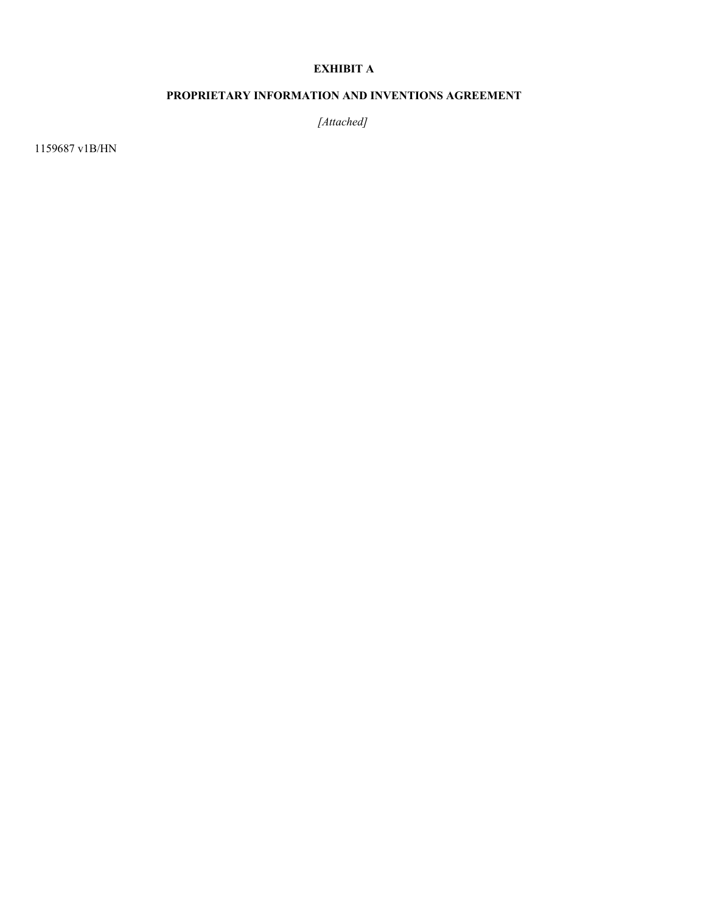# **EXHIBIT A**

# **PROPRIETARY INFORMATION AND INVENTIONS AGREEMENT**

*[Attached]* 

1159687 v1B/HN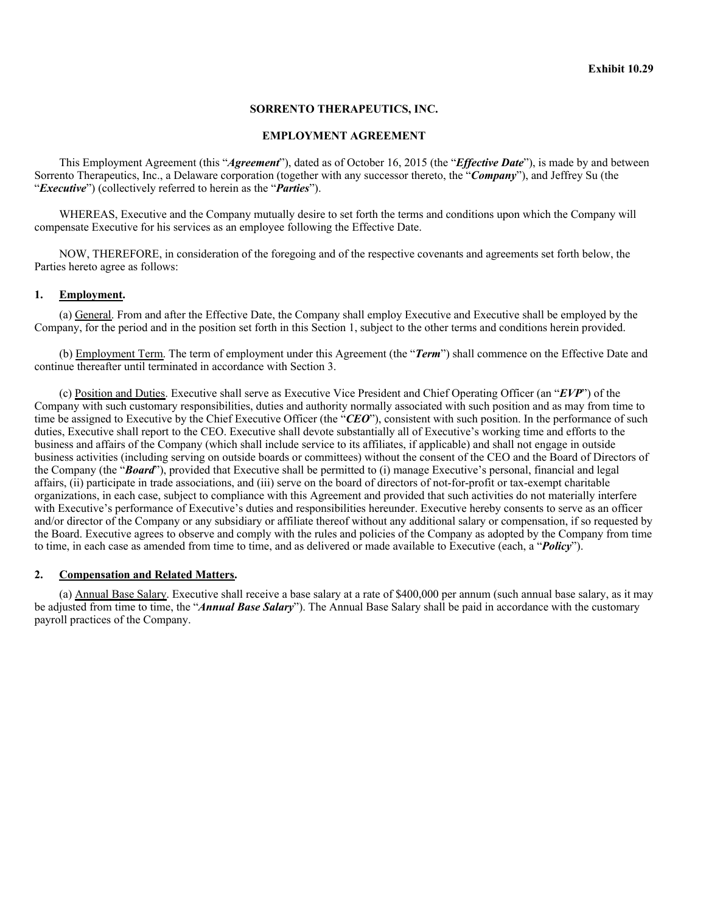#### **SORRENTO THERAPEUTICS, INC.**

#### **EMPLOYMENT AGREEMENT**

This Employment Agreement (this "*Agreement*"), dated as of October 16, 2015 (the "*Effective Date*"), is made by and between Sorrento Therapeutics, Inc., a Delaware corporation (together with any successor thereto, the "*Company*"), and Jeffrey Su (the "*Executive*") (collectively referred to herein as the "*Parties*").

WHEREAS, Executive and the Company mutually desire to set forth the terms and conditions upon which the Company will compensate Executive for his services as an employee following the Effective Date.

NOW, THEREFORE, in consideration of the foregoing and of the respective covenants and agreements set forth below, the Parties hereto agree as follows:

#### **1. Employment.**

(a) General. From and after the Effective Date, the Company shall employ Executive and Executive shall be employed by the Company, for the period and in the position set forth in this Section 1, subject to the other terms and conditions herein provided.

(b) Employment Term. The term of employment under this Agreement (the "*Term*") shall commence on the Effective Date and continue thereafter until terminated in accordance with Section 3.

(c) Position and Duties. Executive shall serve as Executive Vice President and Chief Operating Officer (an "*EVP*") of the Company with such customary responsibilities, duties and authority normally associated with such position and as may from time to time be assigned to Executive by the Chief Executive Officer (the "*CEO*"), consistent with such position. In the performance of such duties, Executive shall report to the CEO. Executive shall devote substantially all of Executive's working time and efforts to the business and affairs of the Company (which shall include service to its affiliates, if applicable) and shall not engage in outside business activities (including serving on outside boards or committees) without the consent of the CEO and the Board of Directors of the Company (the "*Board*"), provided that Executive shall be permitted to (i) manage Executive's personal, financial and legal affairs, (ii) participate in trade associations, and (iii) serve on the board of directors of not-for-profit or tax-exempt charitable organizations, in each case, subject to compliance with this Agreement and provided that such activities do not materially interfere with Executive's performance of Executive's duties and responsibilities hereunder. Executive hereby consents to serve as an officer and/or director of the Company or any subsidiary or affiliate thereof without any additional salary or compensation, if so requested by the Board. Executive agrees to observe and comply with the rules and policies of the Company as adopted by the Company from time to time, in each case as amended from time to time, and as delivered or made available to Executive (each, a "*Policy*").

#### **2. Compensation and Related Matters.**

(a) Annual Base Salary. Executive shall receive a base salary at a rate of \$400,000 per annum (such annual base salary, as it may be adjusted from time to time, the "*Annual Base Salary*"). The Annual Base Salary shall be paid in accordance with the customary payroll practices of the Company.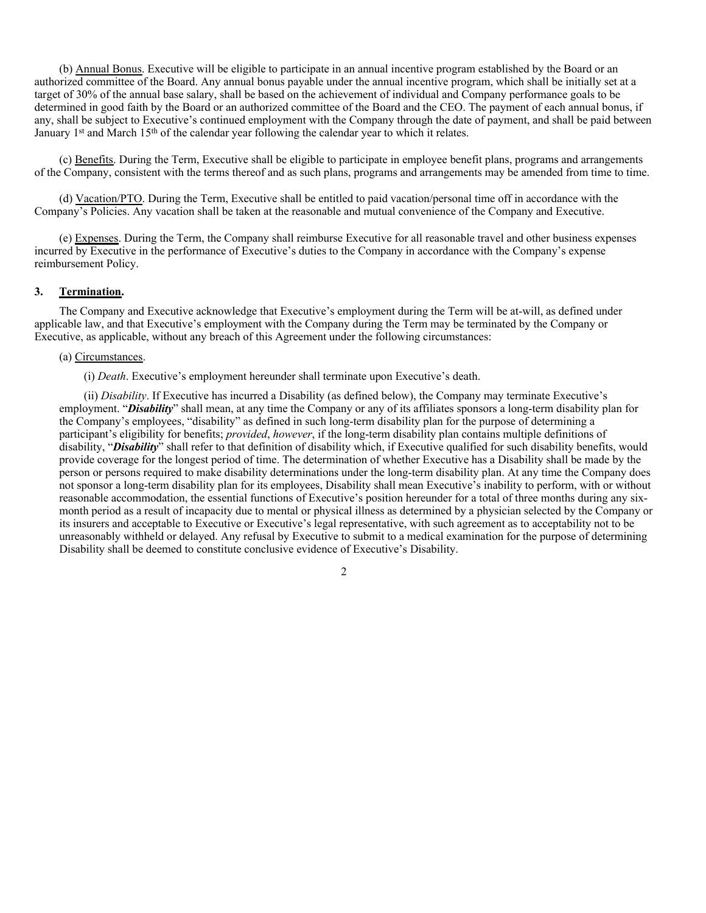(b) Annual Bonus. Executive will be eligible to participate in an annual incentive program established by the Board or an authorized committee of the Board. Any annual bonus payable under the annual incentive program, which shall be initially set at a target of 30% of the annual base salary, shall be based on the achievement of individual and Company performance goals to be determined in good faith by the Board or an authorized committee of the Board and the CEO. The payment of each annual bonus, if any, shall be subject to Executive's continued employment with the Company through the date of payment, and shall be paid between January 1st and March 15th of the calendar year following the calendar year to which it relates.

(c) Benefits. During the Term, Executive shall be eligible to participate in employee benefit plans, programs and arrangements of the Company, consistent with the terms thereof and as such plans, programs and arrangements may be amended from time to time.

(d) Vacation/PTO. During the Term, Executive shall be entitled to paid vacation/personal time off in accordance with the Company's Policies. Any vacation shall be taken at the reasonable and mutual convenience of the Company and Executive.

(e) Expenses. During the Term, the Company shall reimburse Executive for all reasonable travel and other business expenses incurred by Executive in the performance of Executive's duties to the Company in accordance with the Company's expense reimbursement Policy.

#### **3. Termination.**

The Company and Executive acknowledge that Executive's employment during the Term will be at-will, as defined under applicable law, and that Executive's employment with the Company during the Term may be terminated by the Company or Executive, as applicable, without any breach of this Agreement under the following circumstances:

#### (a) Circumstances.

(i) *Death*. Executive's employment hereunder shall terminate upon Executive's death.

(ii) *Disability*. If Executive has incurred a Disability (as defined below), the Company may terminate Executive's employment. "*Disability*" shall mean, at any time the Company or any of its affiliates sponsors a long-term disability plan for the Company's employees, "disability" as defined in such long-term disability plan for the purpose of determining a participant's eligibility for benefits; *provided*, *however*, if the long-term disability plan contains multiple definitions of disability, "*Disability*" shall refer to that definition of disability which, if Executive qualified for such disability benefits, would provide coverage for the longest period of time. The determination of whether Executive has a Disability shall be made by the person or persons required to make disability determinations under the long-term disability plan. At any time the Company does not sponsor a long-term disability plan for its employees, Disability shall mean Executive's inability to perform, with or without reasonable accommodation, the essential functions of Executive's position hereunder for a total of three months during any sixmonth period as a result of incapacity due to mental or physical illness as determined by a physician selected by the Company or its insurers and acceptable to Executive or Executive's legal representative, with such agreement as to acceptability not to be unreasonably withheld or delayed. Any refusal by Executive to submit to a medical examination for the purpose of determining Disability shall be deemed to constitute conclusive evidence of Executive's Disability.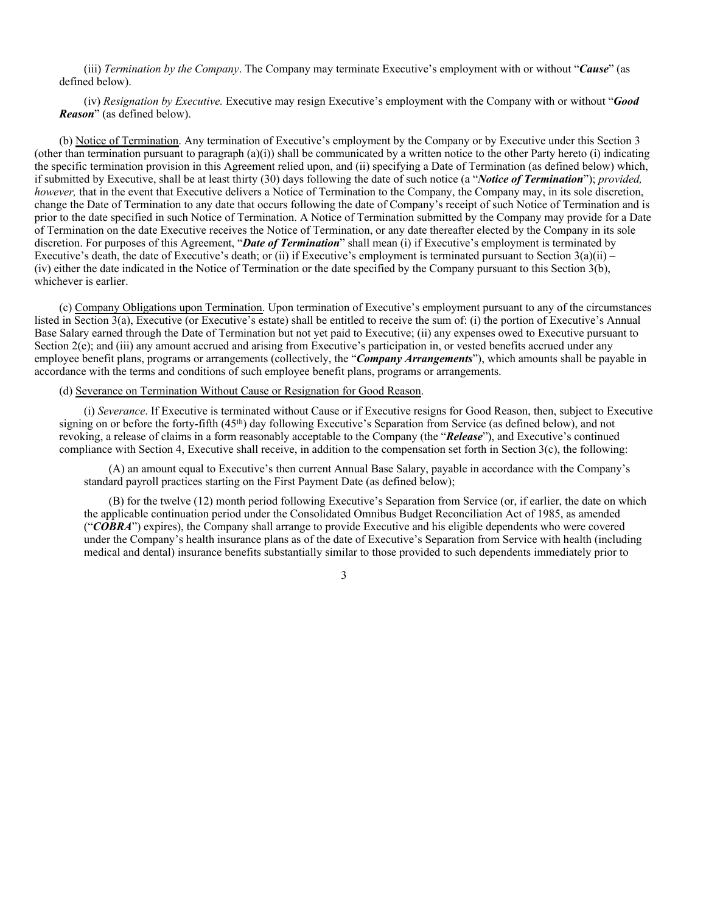(iii) *Termination by the Company*. The Company may terminate Executive's employment with or without "*Cause*" (as defined below).

(iv) *Resignation by Executive.* Executive may resign Executive's employment with the Company with or without "*Good Reason*" (as defined below).

(b) Notice of Termination. Any termination of Executive's employment by the Company or by Executive under this Section 3 (other than termination pursuant to paragraph  $(a)(i)$ ) shall be communicated by a written notice to the other Party hereto (i) indicating the specific termination provision in this Agreement relied upon, and (ii) specifying a Date of Termination (as defined below) which, if submitted by Executive, shall be at least thirty (30) days following the date of such notice (a "*Notice of Termination*"); *provided, however*, that in the event that Executive delivers a Notice of Termination to the Company, the Company may, in its sole discretion, change the Date of Termination to any date that occurs following the date of Company's receipt of such Notice of Termination and is prior to the date specified in such Notice of Termination. A Notice of Termination submitted by the Company may provide for a Date of Termination on the date Executive receives the Notice of Termination, or any date thereafter elected by the Company in its sole discretion. For purposes of this Agreement, "*Date of Termination*" shall mean (i) if Executive's employment is terminated by Executive's death, the date of Executive's death; or (ii) if Executive's employment is terminated pursuant to Section 3(a)(ii) – (iv) either the date indicated in the Notice of Termination or the date specified by the Company pursuant to this Section 3(b), whichever is earlier.

(c) Company Obligations upon Termination. Upon termination of Executive's employment pursuant to any of the circumstances listed in Section 3(a), Executive (or Executive's estate) shall be entitled to receive the sum of: (i) the portion of Executive's Annual Base Salary earned through the Date of Termination but not yet paid to Executive; (ii) any expenses owed to Executive pursuant to Section 2(e); and (iii) any amount accrued and arising from Executive's participation in, or vested benefits accrued under any employee benefit plans, programs or arrangements (collectively, the "*Company Arrangements*"), which amounts shall be payable in accordance with the terms and conditions of such employee benefit plans, programs or arrangements.

(d) Severance on Termination Without Cause or Resignation for Good Reason.

(i) *Severance*. If Executive is terminated without Cause or if Executive resigns for Good Reason, then, subject to Executive signing on or before the forty-fifth (45th) day following Executive's Separation from Service (as defined below), and not revoking, a release of claims in a form reasonably acceptable to the Company (the "*Release*"), and Executive's continued compliance with Section 4, Executive shall receive, in addition to the compensation set forth in Section 3(c), the following:

(A) an amount equal to Executive's then current Annual Base Salary, payable in accordance with the Company's standard payroll practices starting on the First Payment Date (as defined below);

(B) for the twelve (12) month period following Executive's Separation from Service (or, if earlier, the date on which the applicable continuation period under the Consolidated Omnibus Budget Reconciliation Act of 1985, as amended ("*COBRA*") expires), the Company shall arrange to provide Executive and his eligible dependents who were covered under the Company's health insurance plans as of the date of Executive's Separation from Service with health (including medical and dental) insurance benefits substantially similar to those provided to such dependents immediately prior to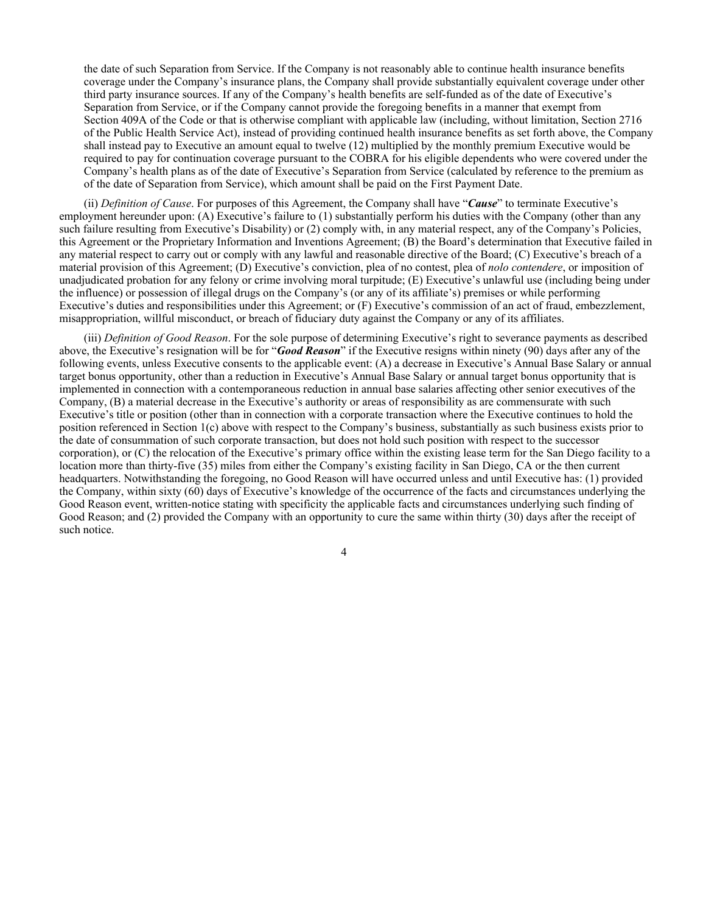the date of such Separation from Service. If the Company is not reasonably able to continue health insurance benefits coverage under the Company's insurance plans, the Company shall provide substantially equivalent coverage under other third party insurance sources. If any of the Company's health benefits are self-funded as of the date of Executive's Separation from Service, or if the Company cannot provide the foregoing benefits in a manner that exempt from Section 409A of the Code or that is otherwise compliant with applicable law (including, without limitation, Section 2716 of the Public Health Service Act), instead of providing continued health insurance benefits as set forth above, the Company shall instead pay to Executive an amount equal to twelve (12) multiplied by the monthly premium Executive would be required to pay for continuation coverage pursuant to the COBRA for his eligible dependents who were covered under the Company's health plans as of the date of Executive's Separation from Service (calculated by reference to the premium as of the date of Separation from Service), which amount shall be paid on the First Payment Date.

(ii) *Definition of Cause*. For purposes of this Agreement, the Company shall have "*Cause*" to terminate Executive's employment hereunder upon: (A) Executive's failure to (1) substantially perform his duties with the Company (other than any such failure resulting from Executive's Disability) or (2) comply with, in any material respect, any of the Company's Policies, this Agreement or the Proprietary Information and Inventions Agreement; (B) the Board's determination that Executive failed in any material respect to carry out or comply with any lawful and reasonable directive of the Board; (C) Executive's breach of a material provision of this Agreement; (D) Executive's conviction, plea of no contest, plea of *nolo contendere*, or imposition of unadjudicated probation for any felony or crime involving moral turpitude; (E) Executive's unlawful use (including being under the influence) or possession of illegal drugs on the Company's (or any of its affiliate's) premises or while performing Executive's duties and responsibilities under this Agreement; or (F) Executive's commission of an act of fraud, embezzlement, misappropriation, willful misconduct, or breach of fiduciary duty against the Company or any of its affiliates.

(iii) *Definition of Good Reason*. For the sole purpose of determining Executive's right to severance payments as described above, the Executive's resignation will be for "*Good Reason*" if the Executive resigns within ninety (90) days after any of the following events, unless Executive consents to the applicable event: (A) a decrease in Executive's Annual Base Salary or annual target bonus opportunity, other than a reduction in Executive's Annual Base Salary or annual target bonus opportunity that is implemented in connection with a contemporaneous reduction in annual base salaries affecting other senior executives of the Company, (B) a material decrease in the Executive's authority or areas of responsibility as are commensurate with such Executive's title or position (other than in connection with a corporate transaction where the Executive continues to hold the position referenced in Section 1(c) above with respect to the Company's business, substantially as such business exists prior to the date of consummation of such corporate transaction, but does not hold such position with respect to the successor corporation), or (C) the relocation of the Executive's primary office within the existing lease term for the San Diego facility to a location more than thirty-five (35) miles from either the Company's existing facility in San Diego, CA or the then current headquarters. Notwithstanding the foregoing, no Good Reason will have occurred unless and until Executive has: (1) provided the Company, within sixty (60) days of Executive's knowledge of the occurrence of the facts and circumstances underlying the Good Reason event, written-notice stating with specificity the applicable facts and circumstances underlying such finding of Good Reason; and (2) provided the Company with an opportunity to cure the same within thirty (30) days after the receipt of such notice.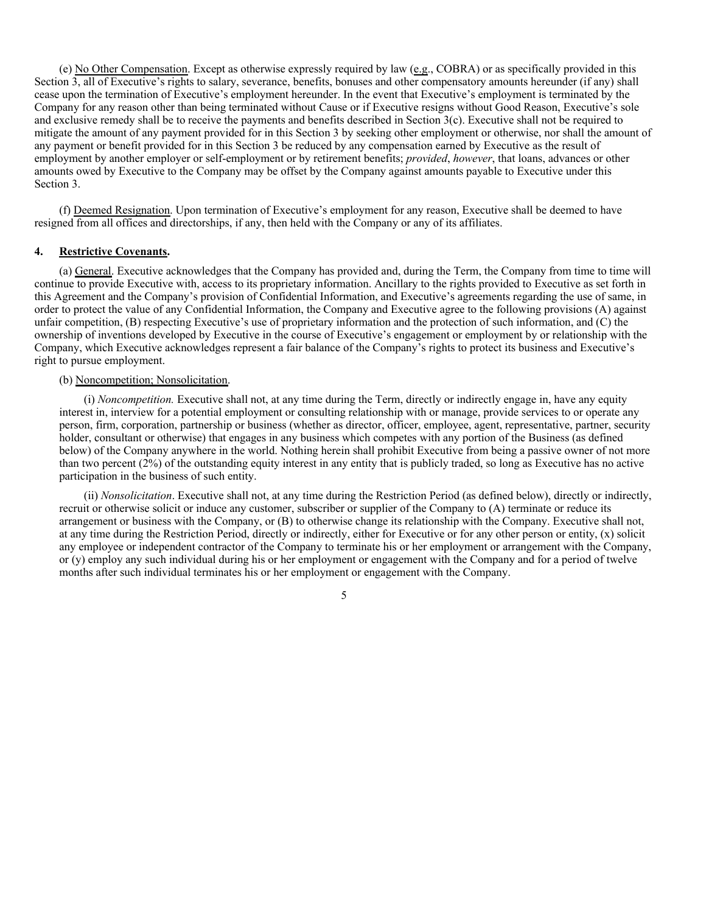(e) No Other Compensation. Except as otherwise expressly required by law (e.g., COBRA) or as specifically provided in this Section 3, all of Executive's rights to salary, severance, benefits, bonuses and other compensatory amounts hereunder (if any) shall cease upon the termination of Executive's employment hereunder. In the event that Executive's employment is terminated by the Company for any reason other than being terminated without Cause or if Executive resigns without Good Reason, Executive's sole and exclusive remedy shall be to receive the payments and benefits described in Section  $3(c)$ . Executive shall not be required to mitigate the amount of any payment provided for in this Section 3 by seeking other employment or otherwise, nor shall the amount of any payment or benefit provided for in this Section 3 be reduced by any compensation earned by Executive as the result of employment by another employer or self-employment or by retirement benefits; *provided*, *however*, that loans, advances or other amounts owed by Executive to the Company may be offset by the Company against amounts payable to Executive under this Section 3.

(f) Deemed Resignation. Upon termination of Executive's employment for any reason, Executive shall be deemed to have resigned from all offices and directorships, if any, then held with the Company or any of its affiliates.

#### **4. Restrictive Covenants.**

(a) General. Executive acknowledges that the Company has provided and, during the Term, the Company from time to time will continue to provide Executive with, access to its proprietary information. Ancillary to the rights provided to Executive as set forth in this Agreement and the Company's provision of Confidential Information, and Executive's agreements regarding the use of same, in order to protect the value of any Confidential Information, the Company and Executive agree to the following provisions (A) against unfair competition, (B) respecting Executive's use of proprietary information and the protection of such information, and (C) the ownership of inventions developed by Executive in the course of Executive's engagement or employment by or relationship with the Company, which Executive acknowledges represent a fair balance of the Company's rights to protect its business and Executive's right to pursue employment.

#### (b) Noncompetition; Nonsolicitation.

(i) *Noncompetition.* Executive shall not, at any time during the Term, directly or indirectly engage in, have any equity interest in, interview for a potential employment or consulting relationship with or manage, provide services to or operate any person, firm, corporation, partnership or business (whether as director, officer, employee, agent, representative, partner, security holder, consultant or otherwise) that engages in any business which competes with any portion of the Business (as defined below) of the Company anywhere in the world. Nothing herein shall prohibit Executive from being a passive owner of not more than two percent (2%) of the outstanding equity interest in any entity that is publicly traded, so long as Executive has no active participation in the business of such entity.

(ii) *Nonsolicitation*. Executive shall not, at any time during the Restriction Period (as defined below), directly or indirectly, recruit or otherwise solicit or induce any customer, subscriber or supplier of the Company to (A) terminate or reduce its arrangement or business with the Company, or (B) to otherwise change its relationship with the Company. Executive shall not, at any time during the Restriction Period, directly or indirectly, either for Executive or for any other person or entity, (x) solicit any employee or independent contractor of the Company to terminate his or her employment or arrangement with the Company, or (y) employ any such individual during his or her employment or engagement with the Company and for a period of twelve months after such individual terminates his or her employment or engagement with the Company.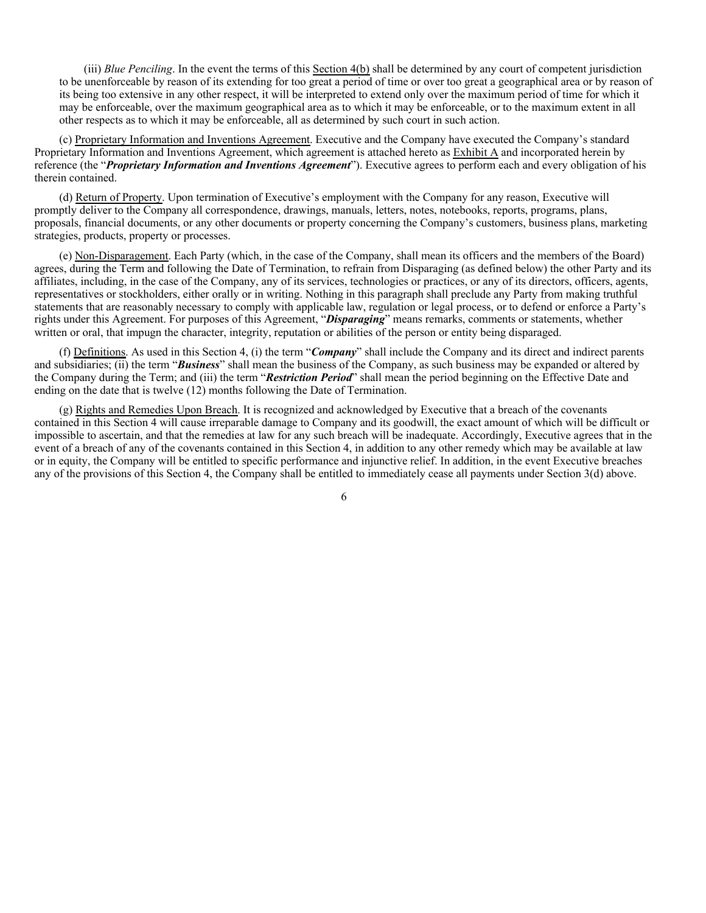(iii) *Blue Penciling*. In the event the terms of this Section 4(b) shall be determined by any court of competent jurisdiction to be unenforceable by reason of its extending for too great a period of time or over too great a geographical area or by reason of its being too extensive in any other respect, it will be interpreted to extend only over the maximum period of time for which it may be enforceable, over the maximum geographical area as to which it may be enforceable, or to the maximum extent in all other respects as to which it may be enforceable, all as determined by such court in such action.

(c) Proprietary Information and Inventions Agreement. Executive and the Company have executed the Company's standard Proprietary Information and Inventions Agreement, which agreement is attached hereto as **Exhibit A** and incorporated herein by reference (the "*Proprietary Information and Inventions Agreement*"). Executive agrees to perform each and every obligation of his therein contained.

(d) Return of Property. Upon termination of Executive's employment with the Company for any reason, Executive will promptly deliver to the Company all correspondence, drawings, manuals, letters, notes, notebooks, reports, programs, plans, proposals, financial documents, or any other documents or property concerning the Company's customers, business plans, marketing strategies, products, property or processes.

(e) Non-Disparagement. Each Party (which, in the case of the Company, shall mean its officers and the members of the Board) agrees, during the Term and following the Date of Termination, to refrain from Disparaging (as defined below) the other Party and its affiliates, including, in the case of the Company, any of its services, technologies or practices, or any of its directors, officers, agents, representatives or stockholders, either orally or in writing. Nothing in this paragraph shall preclude any Party from making truthful statements that are reasonably necessary to comply with applicable law, regulation or legal process, or to defend or enforce a Party's rights under this Agreement. For purposes of this Agreement, "*Disparaging*" means remarks, comments or statements, whether written or oral, that impugn the character, integrity, reputation or abilities of the person or entity being disparaged.

(f) Definitions. As used in this Section 4, (i) the term "*Company*" shall include the Company and its direct and indirect parents and subsidiaries; (ii) the term "*Business*" shall mean the business of the Company, as such business may be expanded or altered by the Company during the Term; and (iii) the term "*Restriction Period*" shall mean the period beginning on the Effective Date and ending on the date that is twelve (12) months following the Date of Termination.

(g) Rights and Remedies Upon Breach. It is recognized and acknowledged by Executive that a breach of the covenants contained in this Section 4 will cause irreparable damage to Company and its goodwill, the exact amount of which will be difficult or impossible to ascertain, and that the remedies at law for any such breach will be inadequate. Accordingly, Executive agrees that in the event of a breach of any of the covenants contained in this Section 4, in addition to any other remedy which may be available at law or in equity, the Company will be entitled to specific performance and injunctive relief. In addition, in the event Executive breaches any of the provisions of this Section 4, the Company shall be entitled to immediately cease all payments under Section 3(d) above.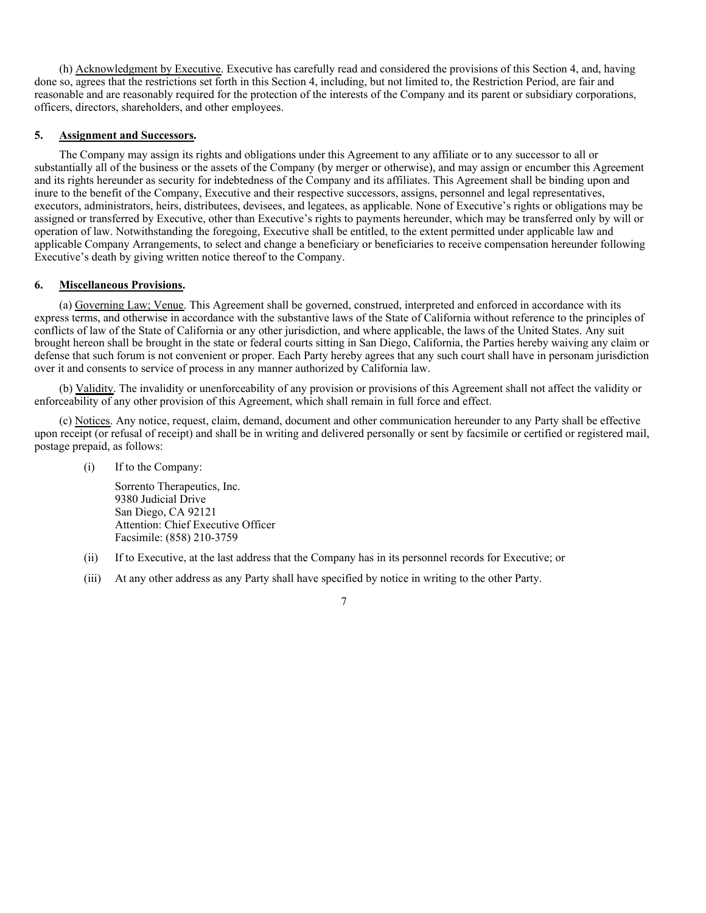(h) Acknowledgment by Executive. Executive has carefully read and considered the provisions of this Section 4, and, having done so, agrees that the restrictions set forth in this Section 4, including, but not limited to, the Restriction Period, are fair and reasonable and are reasonably required for the protection of the interests of the Company and its parent or subsidiary corporations, officers, directors, shareholders, and other employees.

### **5. Assignment and Successors.**

The Company may assign its rights and obligations under this Agreement to any affiliate or to any successor to all or substantially all of the business or the assets of the Company (by merger or otherwise), and may assign or encumber this Agreement and its rights hereunder as security for indebtedness of the Company and its affiliates. This Agreement shall be binding upon and inure to the benefit of the Company, Executive and their respective successors, assigns, personnel and legal representatives, executors, administrators, heirs, distributees, devisees, and legatees, as applicable. None of Executive's rights or obligations may be assigned or transferred by Executive, other than Executive's rights to payments hereunder, which may be transferred only by will or operation of law. Notwithstanding the foregoing, Executive shall be entitled, to the extent permitted under applicable law and applicable Company Arrangements, to select and change a beneficiary or beneficiaries to receive compensation hereunder following Executive's death by giving written notice thereof to the Company.

#### **6. Miscellaneous Provisions.**

(a) Governing Law; Venue. This Agreement shall be governed, construed, interpreted and enforced in accordance with its express terms, and otherwise in accordance with the substantive laws of the State of California without reference to the principles of conflicts of law of the State of California or any other jurisdiction, and where applicable, the laws of the United States. Any suit brought hereon shall be brought in the state or federal courts sitting in San Diego, California, the Parties hereby waiving any claim or defense that such forum is not convenient or proper. Each Party hereby agrees that any such court shall have in personam jurisdiction over it and consents to service of process in any manner authorized by California law.

(b) Validity. The invalidity or unenforceability of any provision or provisions of this Agreement shall not affect the validity or enforceability of any other provision of this Agreement, which shall remain in full force and effect.

(c) Notices. Any notice, request, claim, demand, document and other communication hereunder to any Party shall be effective upon receipt (or refusal of receipt) and shall be in writing and delivered personally or sent by facsimile or certified or registered mail, postage prepaid, as follows:

(i) If to the Company:

Sorrento Therapeutics, Inc. 9380 Judicial Drive San Diego, CA 92121 Attention: Chief Executive Officer Facsimile: (858) 210-3759

(ii) If to Executive, at the last address that the Company has in its personnel records for Executive; or

7

(iii) At any other address as any Party shall have specified by notice in writing to the other Party.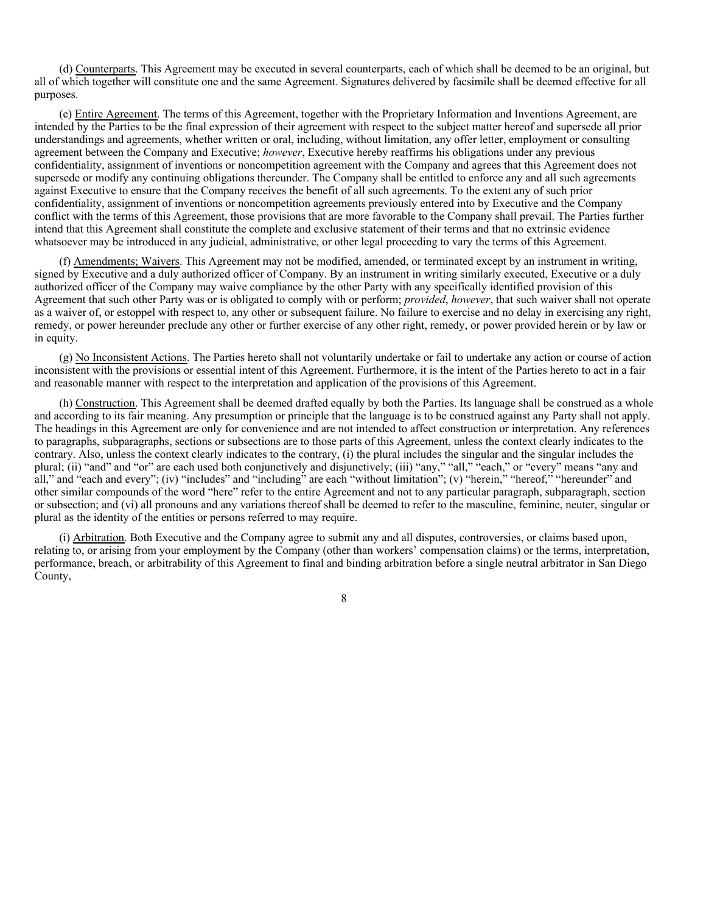(d) Counterparts. This Agreement may be executed in several counterparts, each of which shall be deemed to be an original, but all of which together will constitute one and the same Agreement. Signatures delivered by facsimile shall be deemed effective for all purposes.

(e) Entire Agreement. The terms of this Agreement, together with the Proprietary Information and Inventions Agreement, are intended by the Parties to be the final expression of their agreement with respect to the subject matter hereof and supersede all prior understandings and agreements, whether written or oral, including, without limitation, any offer letter, employment or consulting agreement between the Company and Executive; *however*, Executive hereby reaffirms his obligations under any previous confidentiality, assignment of inventions or noncompetition agreement with the Company and agrees that this Agreement does not supersede or modify any continuing obligations thereunder. The Company shall be entitled to enforce any and all such agreements against Executive to ensure that the Company receives the benefit of all such agreements. To the extent any of such prior confidentiality, assignment of inventions or noncompetition agreements previously entered into by Executive and the Company conflict with the terms of this Agreement, those provisions that are more favorable to the Company shall prevail. The Parties further intend that this Agreement shall constitute the complete and exclusive statement of their terms and that no extrinsic evidence whatsoever may be introduced in any judicial, administrative, or other legal proceeding to vary the terms of this Agreement.

(f) Amendments; Waivers. This Agreement may not be modified, amended, or terminated except by an instrument in writing, signed by Executive and a duly authorized officer of Company. By an instrument in writing similarly executed, Executive or a duly authorized officer of the Company may waive compliance by the other Party with any specifically identified provision of this Agreement that such other Party was or is obligated to comply with or perform; *provided*, *however*, that such waiver shall not operate as a waiver of, or estoppel with respect to, any other or subsequent failure. No failure to exercise and no delay in exercising any right, remedy, or power hereunder preclude any other or further exercise of any other right, remedy, or power provided herein or by law or in equity.

(g) No Inconsistent Actions. The Parties hereto shall not voluntarily undertake or fail to undertake any action or course of action inconsistent with the provisions or essential intent of this Agreement. Furthermore, it is the intent of the Parties hereto to act in a fair and reasonable manner with respect to the interpretation and application of the provisions of this Agreement.

(h) Construction. This Agreement shall be deemed drafted equally by both the Parties. Its language shall be construed as a whole and according to its fair meaning. Any presumption or principle that the language is to be construed against any Party shall not apply. The headings in this Agreement are only for convenience and are not intended to affect construction or interpretation. Any references to paragraphs, subparagraphs, sections or subsections are to those parts of this Agreement, unless the context clearly indicates to the contrary. Also, unless the context clearly indicates to the contrary, (i) the plural includes the singular and the singular includes the plural; (ii) "and" and "or" are each used both conjunctively and disjunctively; (iii) "any," "all," "each," or "every" means "any and all," and "each and every"; (iv) "includes" and "including" are each "without limitation"; (v) "herein," "hereof," "hereunder" and other similar compounds of the word "here" refer to the entire Agreement and not to any particular paragraph, subparagraph, section or subsection; and (vi) all pronouns and any variations thereof shall be deemed to refer to the masculine, feminine, neuter, singular or plural as the identity of the entities or persons referred to may require.

(i) Arbitration. Both Executive and the Company agree to submit any and all disputes, controversies, or claims based upon, relating to, or arising from your employment by the Company (other than workers' compensation claims) or the terms, interpretation, performance, breach, or arbitrability of this Agreement to final and binding arbitration before a single neutral arbitrator in San Diego County,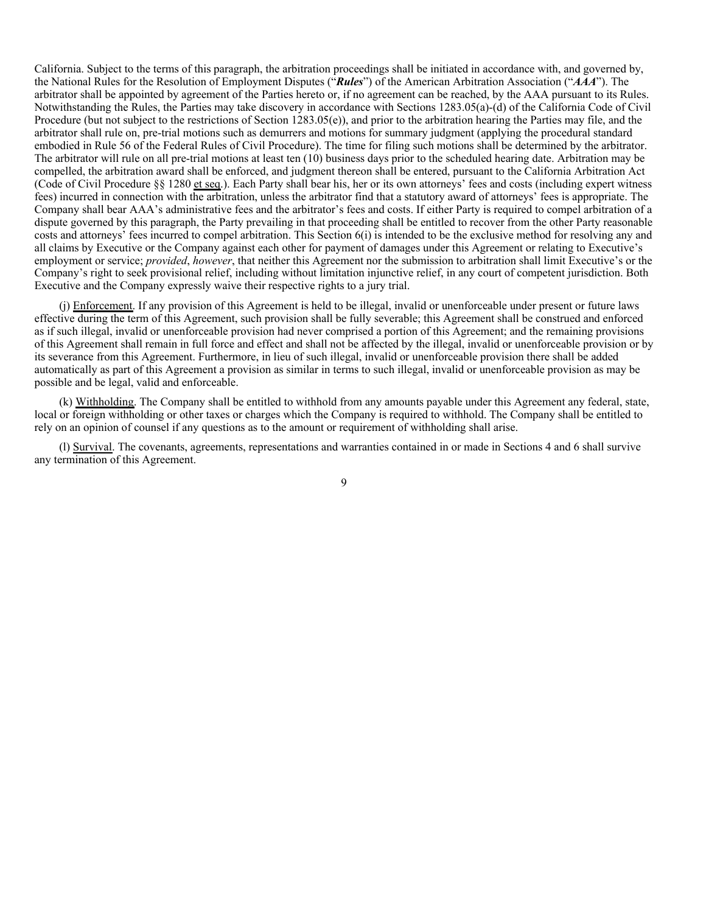California. Subject to the terms of this paragraph, the arbitration proceedings shall be initiated in accordance with, and governed by, the National Rules for the Resolution of Employment Disputes ("*Rules*") of the American Arbitration Association ("*AAA*"). The arbitrator shall be appointed by agreement of the Parties hereto or, if no agreement can be reached, by the AAA pursuant to its Rules. Notwithstanding the Rules, the Parties may take discovery in accordance with Sections 1283.05(a)-(d) of the California Code of Civil Procedure (but not subject to the restrictions of Section 1283.05(e)), and prior to the arbitration hearing the Parties may file, and the arbitrator shall rule on, pre-trial motions such as demurrers and motions for summary judgment (applying the procedural standard embodied in Rule 56 of the Federal Rules of Civil Procedure). The time for filing such motions shall be determined by the arbitrator. The arbitrator will rule on all pre-trial motions at least ten (10) business days prior to the scheduled hearing date. Arbitration may be compelled, the arbitration award shall be enforced, and judgment thereon shall be entered, pursuant to the California Arbitration Act (Code of Civil Procedure §§ 1280 et seq.). Each Party shall bear his, her or its own attorneys' fees and costs (including expert witness fees) incurred in connection with the arbitration, unless the arbitrator find that a statutory award of attorneys' fees is appropriate. The Company shall bear AAA's administrative fees and the arbitrator's fees and costs. If either Party is required to compel arbitration of a dispute governed by this paragraph, the Party prevailing in that proceeding shall be entitled to recover from the other Party reasonable costs and attorneys' fees incurred to compel arbitration. This Section 6(i) is intended to be the exclusive method for resolving any and all claims by Executive or the Company against each other for payment of damages under this Agreement or relating to Executive's employment or service; *provided*, *however*, that neither this Agreement nor the submission to arbitration shall limit Executive's or the Company's right to seek provisional relief, including without limitation injunctive relief, in any court of competent jurisdiction. Both Executive and the Company expressly waive their respective rights to a jury trial.

(j) Enforcement. If any provision of this Agreement is held to be illegal, invalid or unenforceable under present or future laws effective during the term of this Agreement, such provision shall be fully severable; this Agreement shall be construed and enforced as if such illegal, invalid or unenforceable provision had never comprised a portion of this Agreement; and the remaining provisions of this Agreement shall remain in full force and effect and shall not be affected by the illegal, invalid or unenforceable provision or by its severance from this Agreement. Furthermore, in lieu of such illegal, invalid or unenforceable provision there shall be added automatically as part of this Agreement a provision as similar in terms to such illegal, invalid or unenforceable provision as may be possible and be legal, valid and enforceable.

(k) Withholding. The Company shall be entitled to withhold from any amounts payable under this Agreement any federal, state, local or foreign withholding or other taxes or charges which the Company is required to withhold. The Company shall be entitled to rely on an opinion of counsel if any questions as to the amount or requirement of withholding shall arise.

(l) Survival. The covenants, agreements, representations and warranties contained in or made in Sections 4 and 6 shall survive any termination of this Agreement.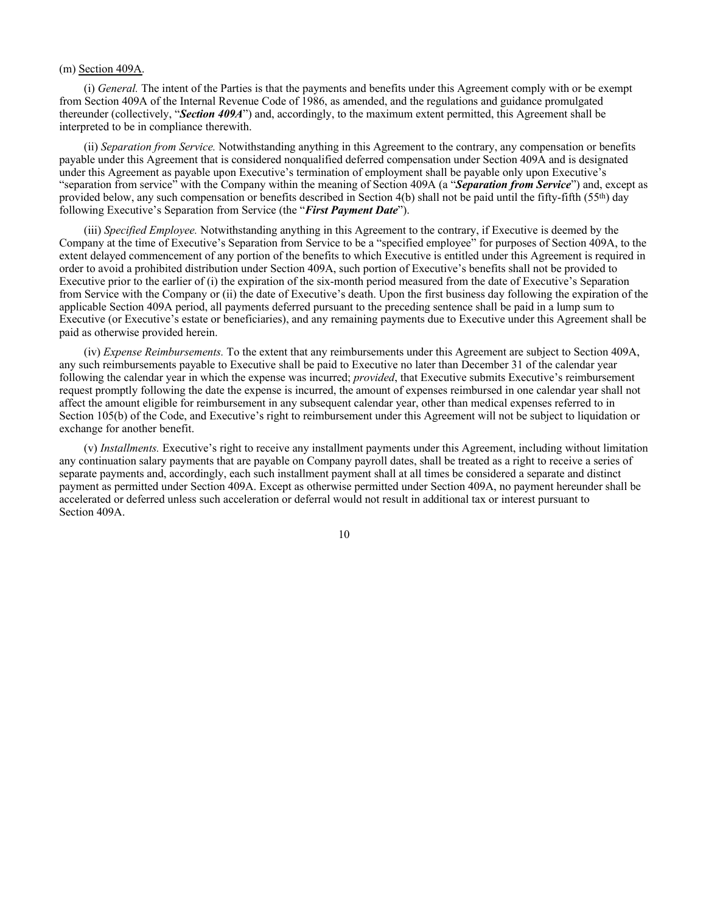#### (m) Section 409A.

(i) *General.* The intent of the Parties is that the payments and benefits under this Agreement comply with or be exempt from Section 409A of the Internal Revenue Code of 1986, as amended, and the regulations and guidance promulgated thereunder (collectively, "*Section 409A*") and, accordingly, to the maximum extent permitted, this Agreement shall be interpreted to be in compliance therewith.

(ii) *Separation from Service.* Notwithstanding anything in this Agreement to the contrary, any compensation or benefits payable under this Agreement that is considered nonqualified deferred compensation under Section 409A and is designated under this Agreement as payable upon Executive's termination of employment shall be payable only upon Executive's "separation from service" with the Company within the meaning of Section 409A (a "*Separation from Service*") and, except as provided below, any such compensation or benefits described in Section 4(b) shall not be paid until the fifty-fifth (55th) day following Executive's Separation from Service (the "*First Payment Date*").

(iii) *Specified Employee.* Notwithstanding anything in this Agreement to the contrary, if Executive is deemed by the Company at the time of Executive's Separation from Service to be a "specified employee" for purposes of Section 409A, to the extent delayed commencement of any portion of the benefits to which Executive is entitled under this Agreement is required in order to avoid a prohibited distribution under Section 409A, such portion of Executive's benefits shall not be provided to Executive prior to the earlier of (i) the expiration of the six-month period measured from the date of Executive's Separation from Service with the Company or (ii) the date of Executive's death. Upon the first business day following the expiration of the applicable Section 409A period, all payments deferred pursuant to the preceding sentence shall be paid in a lump sum to Executive (or Executive's estate or beneficiaries), and any remaining payments due to Executive under this Agreement shall be paid as otherwise provided herein.

(iv) *Expense Reimbursements.* To the extent that any reimbursements under this Agreement are subject to Section 409A, any such reimbursements payable to Executive shall be paid to Executive no later than December 31 of the calendar year following the calendar year in which the expense was incurred; *provided*, that Executive submits Executive's reimbursement request promptly following the date the expense is incurred, the amount of expenses reimbursed in one calendar year shall not affect the amount eligible for reimbursement in any subsequent calendar year, other than medical expenses referred to in Section 105(b) of the Code, and Executive's right to reimbursement under this Agreement will not be subject to liquidation or exchange for another benefit.

(v) *Installments.* Executive's right to receive any installment payments under this Agreement, including without limitation any continuation salary payments that are payable on Company payroll dates, shall be treated as a right to receive a series of separate payments and, accordingly, each such installment payment shall at all times be considered a separate and distinct payment as permitted under Section 409A. Except as otherwise permitted under Section 409A, no payment hereunder shall be accelerated or deferred unless such acceleration or deferral would not result in additional tax or interest pursuant to Section 409A.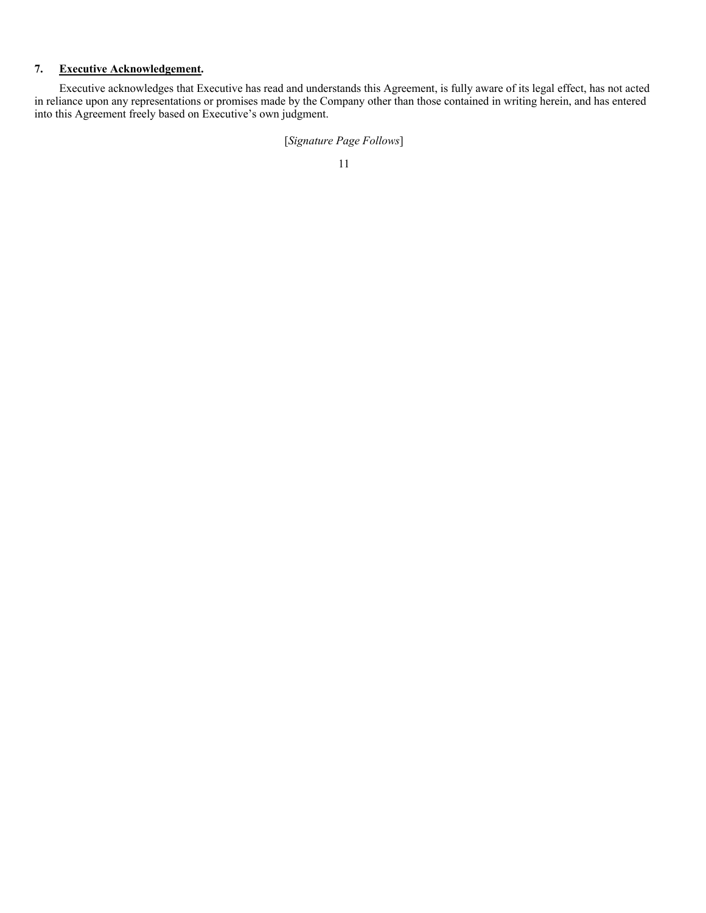### **7. Executive Acknowledgement.**

Executive acknowledges that Executive has read and understands this Agreement, is fully aware of its legal effect, has not acted in reliance upon any representations or promises made by the Company other than those contained in writing herein, and has entered into this Agreement freely based on Executive's own judgment.

### [*Signature Page Follows*]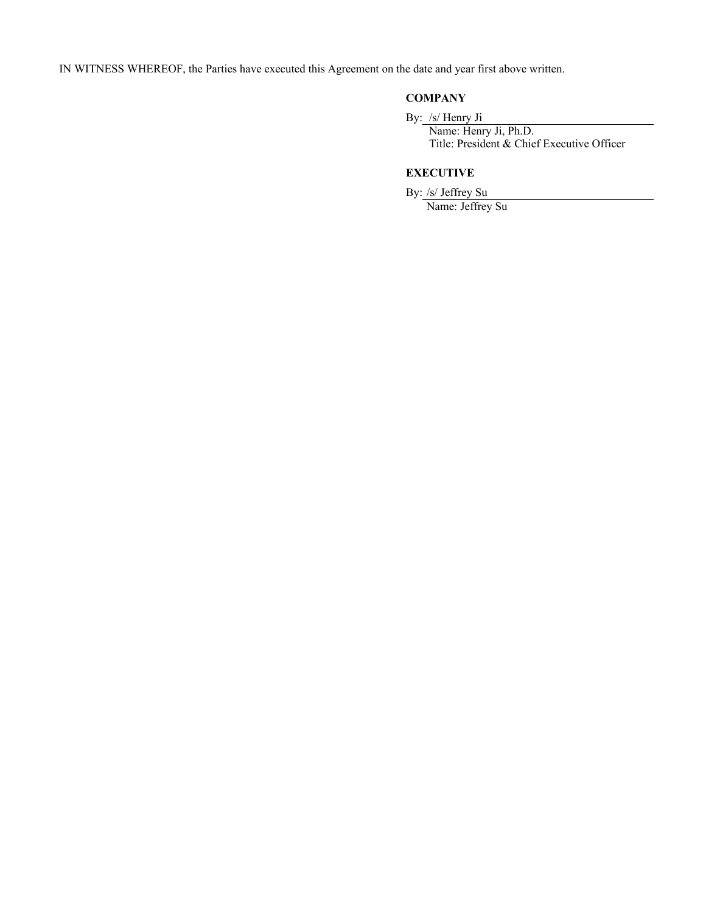IN WITNESS WHEREOF, the Parties have executed this Agreement on the date and year first above written.

# **COMPANY**

By: /s/ Henry Ji

Name: Henry Ji, Ph.D. Title: President & Chief Executive Officer

# **EXECUTIVE**

By: /s/ Jeffrey Su

Name: Jeffrey Su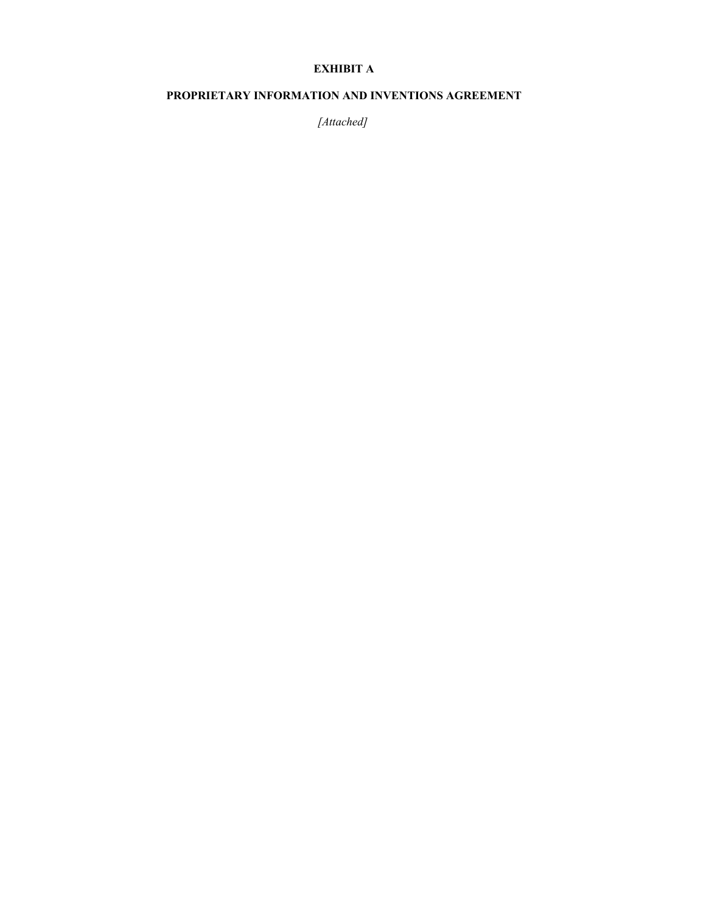# **EXHIBIT A**

# **PROPRIETARY INFORMATION AND INVENTIONS AGREEMENT**

*[Attached]*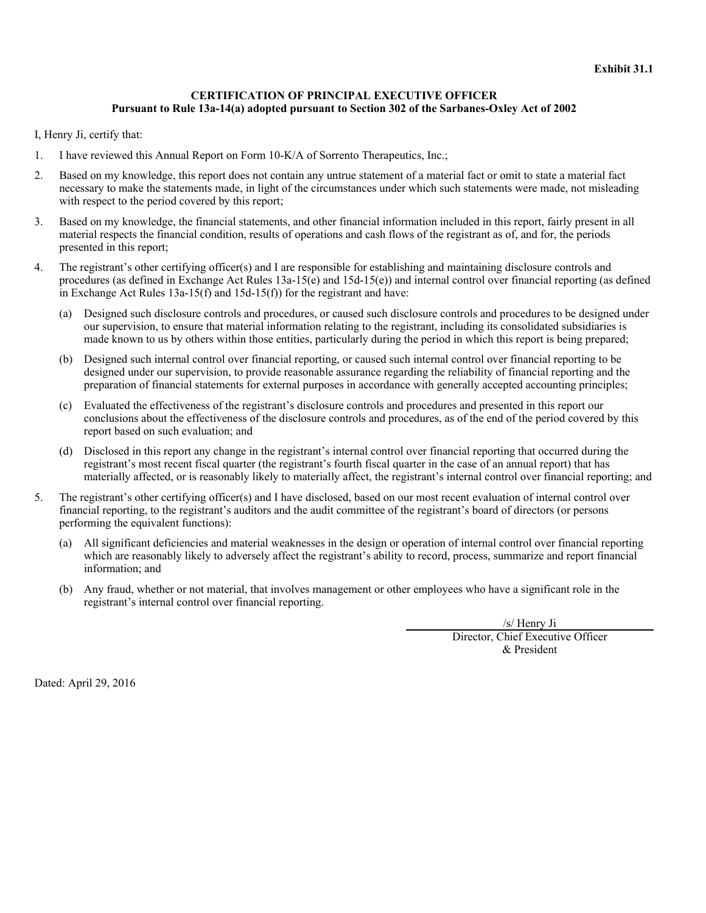#### **CERTIFICATION OF PRINCIPAL EXECUTIVE OFFICER Pursuant to Rule 13a-14(a) adopted pursuant to Section 302 of the Sarbanes-Oxley Act of 2002**

I, Henry Ji, certify that:

- 1. I have reviewed this Annual Report on Form 10-K/A of Sorrento Therapeutics, Inc.;
- 2. Based on my knowledge, this report does not contain any untrue statement of a material fact or omit to state a material fact necessary to make the statements made, in light of the circumstances under which such statements were made, not misleading with respect to the period covered by this report;
- 3. Based on my knowledge, the financial statements, and other financial information included in this report, fairly present in all material respects the financial condition, results of operations and cash flows of the registrant as of, and for, the periods presented in this report;
- 4. The registrant's other certifying officer(s) and I are responsible for establishing and maintaining disclosure controls and procedures (as defined in Exchange Act Rules 13a-15(e) and 15d-15(e)) and internal control over financial reporting (as defined in Exchange Act Rules 13a-15(f) and 15d-15(f)) for the registrant and have:
	- (a) Designed such disclosure controls and procedures, or caused such disclosure controls and procedures to be designed under our supervision, to ensure that material information relating to the registrant, including its consolidated subsidiaries is made known to us by others within those entities, particularly during the period in which this report is being prepared;
	- (b) Designed such internal control over financial reporting, or caused such internal control over financial reporting to be designed under our supervision, to provide reasonable assurance regarding the reliability of financial reporting and the preparation of financial statements for external purposes in accordance with generally accepted accounting principles;
	- (c) Evaluated the effectiveness of the registrant's disclosure controls and procedures and presented in this report our conclusions about the effectiveness of the disclosure controls and procedures, as of the end of the period covered by this report based on such evaluation; and
	- (d) Disclosed in this report any change in the registrant's internal control over financial reporting that occurred during the registrant's most recent fiscal quarter (the registrant's fourth fiscal quarter in the case of an annual report) that has materially affected, or is reasonably likely to materially affect, the registrant's internal control over financial reporting; and
- 5. The registrant's other certifying officer(s) and I have disclosed, based on our most recent evaluation of internal control over financial reporting, to the registrant's auditors and the audit committee of the registrant's board of directors (or persons performing the equivalent functions):
	- (a) All significant deficiencies and material weaknesses in the design or operation of internal control over financial reporting which are reasonably likely to adversely affect the registrant's ability to record, process, summarize and report financial information; and
	- (b) Any fraud, whether or not material, that involves management or other employees who have a significant role in the registrant's internal control over financial reporting.

/s/ Henry Ji Director, Chief Executive Officer & President

Dated: April 29, 2016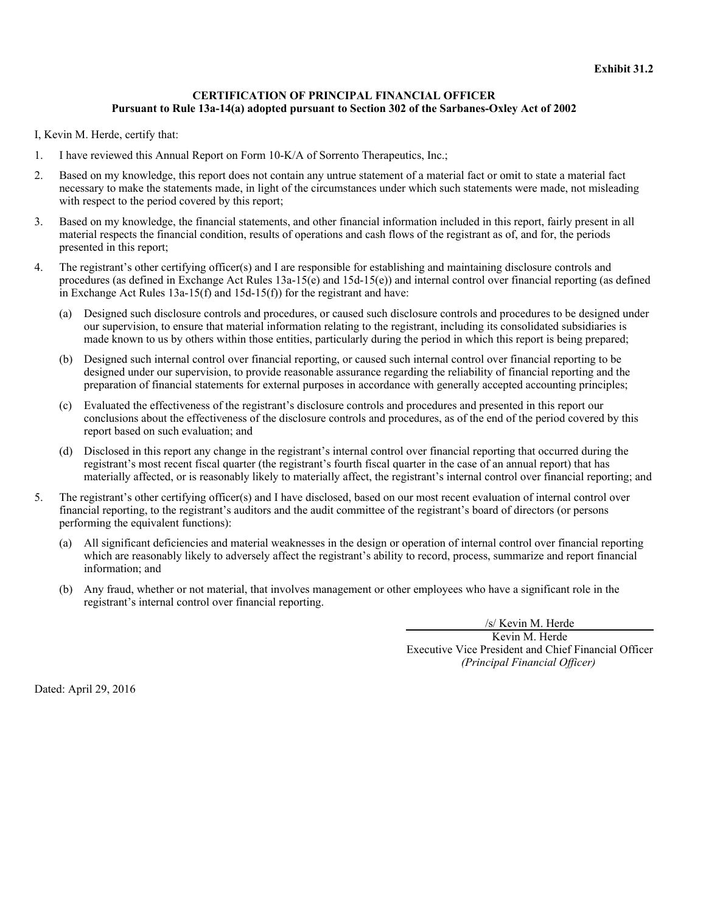#### **CERTIFICATION OF PRINCIPAL FINANCIAL OFFICER Pursuant to Rule 13a-14(a) adopted pursuant to Section 302 of the Sarbanes-Oxley Act of 2002**

I, Kevin M. Herde, certify that:

- 1. I have reviewed this Annual Report on Form 10-K/A of Sorrento Therapeutics, Inc.;
- 2. Based on my knowledge, this report does not contain any untrue statement of a material fact or omit to state a material fact necessary to make the statements made, in light of the circumstances under which such statements were made, not misleading with respect to the period covered by this report;
- 3. Based on my knowledge, the financial statements, and other financial information included in this report, fairly present in all material respects the financial condition, results of operations and cash flows of the registrant as of, and for, the periods presented in this report;
- 4. The registrant's other certifying officer(s) and I are responsible for establishing and maintaining disclosure controls and procedures (as defined in Exchange Act Rules 13a-15(e) and 15d-15(e)) and internal control over financial reporting (as defined in Exchange Act Rules  $13a-15(f)$  and  $15d-15(f)$ ) for the registrant and have:
	- (a) Designed such disclosure controls and procedures, or caused such disclosure controls and procedures to be designed under our supervision, to ensure that material information relating to the registrant, including its consolidated subsidiaries is made known to us by others within those entities, particularly during the period in which this report is being prepared;
	- (b) Designed such internal control over financial reporting, or caused such internal control over financial reporting to be designed under our supervision, to provide reasonable assurance regarding the reliability of financial reporting and the preparation of financial statements for external purposes in accordance with generally accepted accounting principles;
	- (c) Evaluated the effectiveness of the registrant's disclosure controls and procedures and presented in this report our conclusions about the effectiveness of the disclosure controls and procedures, as of the end of the period covered by this report based on such evaluation; and
	- (d) Disclosed in this report any change in the registrant's internal control over financial reporting that occurred during the registrant's most recent fiscal quarter (the registrant's fourth fiscal quarter in the case of an annual report) that has materially affected, or is reasonably likely to materially affect, the registrant's internal control over financial reporting; and
- 5. The registrant's other certifying officer(s) and I have disclosed, based on our most recent evaluation of internal control over financial reporting, to the registrant's auditors and the audit committee of the registrant's board of directors (or persons performing the equivalent functions):
	- (a) All significant deficiencies and material weaknesses in the design or operation of internal control over financial reporting which are reasonably likely to adversely affect the registrant's ability to record, process, summarize and report financial information; and
	- (b) Any fraud, whether or not material, that involves management or other employees who have a significant role in the registrant's internal control over financial reporting.

/s/ Kevin M. Herde Kevin M. Herde Executive Vice President and Chief Financial Officer *(Principal Financial Officer)*

Dated: April 29, 2016